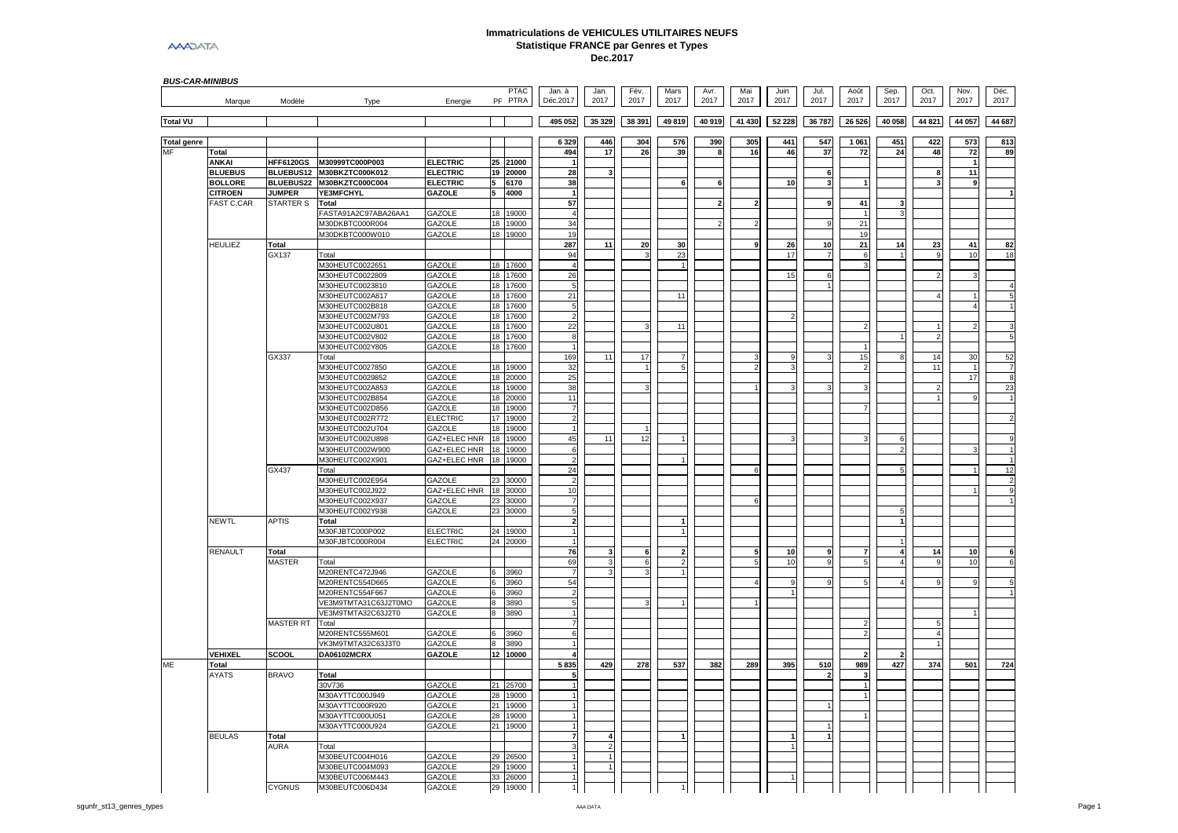# **Immatriculations de VEHICULES UTILITAIRES NEUFS Statistique FRANCE par Genres et Types Dec.2017**

| <b>BUS-CAR-MINIBUS</b>   |                |                  |                           |                 |                |              |                       |              |              |              |              |             |                 |              |                          |              |                          |                |              |
|--------------------------|----------------|------------------|---------------------------|-----------------|----------------|--------------|-----------------------|--------------|--------------|--------------|--------------|-------------|-----------------|--------------|--------------------------|--------------|--------------------------|----------------|--------------|
|                          | Marque         | Modèle           | Type                      | Energie         | PF             | PTAC<br>PTRA | Jan. à<br>Déc.2017    | Jan.<br>2017 | Fév.<br>2017 | Mars<br>2017 | Avr.<br>2017 | Mai<br>2017 | Juin<br>2017    | Jul.<br>2017 | Août<br>2017             | Sep.<br>2017 | Oct.<br>2017             | Nov.<br>2017   | Déc.<br>2017 |
| <b>Total VU</b>          |                |                  |                           |                 |                |              | 495 052               | 35 329       | 38 391       | 49 819       | 40 919       | 41 430      | 52 228          | 36 787       | 26 5 26                  | 40 058       | 44 8 21                  | 44 057         | 44 687       |
|                          |                |                  |                           |                 |                |              | 6329                  | 446          | 304          | 576          | 390          | 305         | 441             | 547          | 1 0 6 1                  | 451          | 422                      | 573            | 813          |
| <b>Total genre</b><br>MF |                |                  |                           |                 |                |              | 494                   | 17           | 26           | 39           | 8            | 16          | 46              | 37           | 72                       | 24           | 48                       | 72             | 89           |
|                          | Total<br>ANKAI | <b>HFF6120GS</b> | M30999TC000P003           | <b>ELECTRIC</b> |                | 25 21000     |                       |              |              |              |              |             |                 |              |                          |              |                          | $\overline{1}$ |              |
|                          | <b>BLUEBUS</b> |                  | BLUEBUS12 M30BKZTC000K012 | <b>ELECTRIC</b> |                | 19 20000     | 28                    | 3            |              |              |              |             |                 | 6            |                          |              | 8                        | 11             |              |
|                          | <b>BOLLORE</b> | <b>BLUEBUS22</b> | M30BKZTC000C004           | <b>ELECTRIC</b> | 5              | 6170         | 38                    |              |              | 6            | 6            |             | 10              | $\mathbf{3}$ |                          |              |                          | 9              |              |
|                          | <b>CITROEN</b> | <b>JUMPER</b>    | YE3MFCHYL                 | <b>GAZOLE</b>   | $\overline{5}$ | 4000         | $\overline{1}$        |              |              |              |              |             |                 |              |                          |              |                          |                |              |
|                          | FAST C.CAR     | STARTER S        | <b>Total</b>              |                 |                |              | 57                    |              |              |              |              |             |                 | 9            | 41                       |              |                          |                |              |
|                          |                |                  | FASTA91A2C97ABA26AA1      | <b>GAZOLE</b>   | 18             | 19000        | $\overline{4}$        |              |              |              |              |             |                 |              | $\overline{1}$           |              |                          |                |              |
|                          |                |                  | M30DKBTC000R004           | GAZOLE          | 18             | 19000        | 34                    |              |              |              |              |             |                 |              | 21                       |              |                          |                |              |
|                          |                |                  | M30DKBTC000W010           | GAZOLE          |                | 18 19000     | 19                    |              |              |              |              |             |                 |              | 19                       |              |                          |                |              |
|                          | <b>HEULIEZ</b> | Total            |                           |                 |                |              | 287                   | 11           | 20           | 30           |              |             | 26              | 10           | 21                       | 14           | 23                       | 41             | 82           |
|                          |                | GX137            | Total                     |                 |                |              | 94                    |              |              | 23           |              |             | 17              |              | 6                        |              |                          | 10             | 18           |
|                          |                |                  | M30HEUTC0022651           | <b>GAZOLE</b>   | 18             | 17600        | $\boldsymbol{\Delta}$ |              |              |              |              |             |                 |              |                          |              |                          |                |              |
|                          |                |                  | M30HEUTC0022809           | GAZOLE          | 18             | 17600        | 26                    |              |              |              |              |             | 15              | 6            |                          |              |                          | 3              |              |
|                          |                |                  | M30HEUTC0023810           | GAZOLE          | 18             | 17600        |                       |              |              |              |              |             |                 |              |                          |              |                          |                |              |
|                          |                |                  | M30HEUTC002A817           | GAZOLE          | 18             | 17600        | 21                    |              |              | 11           |              |             |                 |              |                          |              |                          |                |              |
|                          |                |                  | M30HEUTC002B818           | GAZOLE          | 18             | 17600        | 5                     |              |              |              |              |             |                 |              |                          |              |                          | $\overline{a}$ |              |
|                          |                |                  | M30HEUTC002M793           | GAZOLE          | 18             | 17600        | $\mathcal{P}$         |              |              |              |              |             | 2               |              |                          |              |                          |                |              |
|                          |                |                  | M30HEUTC002U801           | <b>GAZOLE</b>   | 18             | 17600        | 22                    |              |              | 11           |              |             |                 |              |                          |              |                          | $\mathcal{P}$  |              |
|                          |                |                  | M30HEUTC002V802           | GAZOLE          | 18             | 17600        |                       |              |              |              |              |             |                 |              |                          |              |                          |                |              |
|                          |                |                  | M30HEUTC002Y805           | <b>GAZOLE</b>   | 18             | 17600        |                       |              |              |              |              |             |                 |              |                          |              |                          |                |              |
|                          |                | GX337            | Total                     |                 |                |              | 169                   | 11           | 17           |              |              |             |                 |              | 15                       |              | 14                       | 30             | 52           |
|                          |                |                  | M30HEUTC0027850           | <b>GAZOLE</b>   | 18             | 19000        | 32                    |              |              |              |              |             |                 |              |                          |              | 11                       |                |              |
|                          |                |                  | M30HEUTC0029852           | GAZOLE          | 18             | 20000        | 25                    |              |              |              |              |             |                 |              |                          |              |                          | 17             | 8            |
|                          |                |                  | M30HEUTC002A853           | GAZOLE          | 18             | 19000        | 38                    |              | 3            |              |              |             |                 |              |                          |              | $\overline{\phantom{a}}$ |                | 23           |
|                          |                |                  | M30HEUTC002B854           | GAZOLE          | 18             | 20000        | 11                    |              |              |              |              |             |                 |              |                          |              |                          | $\alpha$       |              |
|                          |                |                  | M30HEUTC002D856           | <b>GAZOLE</b>   | 18             | 19000        |                       |              |              |              |              |             |                 |              |                          |              |                          |                |              |
|                          |                |                  | M30HEUTC002R772           | ELECTRIC        | 17             | 19000        |                       |              |              |              |              |             |                 |              |                          |              |                          |                |              |
|                          |                |                  | M30HEUTC002U704           | GAZOLE          | 18             | 19000        |                       |              |              |              |              |             |                 |              |                          |              |                          |                |              |
|                          |                |                  | M30HEUTC002U898           | GAZ+ELEC HNR    | 18             | 19000        | 45                    | 11           | 12           |              |              |             |                 |              |                          |              |                          |                |              |
|                          |                |                  | M30HEUTC002W900           | GAZ+ELEC HNR    | 18             | 19000        | 6                     |              |              |              |              |             |                 |              |                          |              |                          |                |              |
|                          |                |                  | M30HEUTC002X901           | GAZ+ELEC HNR    | 18             | 19000        |                       |              |              |              |              |             |                 |              |                          |              |                          |                |              |
|                          |                | GX437            | Total                     |                 |                |              | 24                    |              |              |              |              | 6           |                 |              |                          | 5            |                          |                | 12           |
|                          |                |                  | M30HEUTC002E954           | GAZOLE          | 23             | 30000        |                       |              |              |              |              |             |                 |              |                          |              |                          |                |              |
|                          |                |                  | M30HEUTC002J922           | GAZ+ELEC HNR    | 18             | 30000        | 10                    |              |              |              |              |             |                 |              |                          |              |                          |                |              |
|                          |                |                  | M30HEUTC002X937           | GAZOLE          | 23             | 30000        |                       |              |              |              |              |             |                 |              |                          |              |                          |                |              |
|                          |                |                  | M30HEUTC002Y938           | GAZOLE          | 23             | 30000        | 5                     |              |              |              |              |             |                 |              |                          |              |                          |                |              |
|                          | NEWTL          | <b>APTIS</b>     | Total                     |                 |                |              | 2                     |              |              |              |              |             |                 |              |                          |              |                          |                |              |
|                          |                |                  | M30FJBTC000P002           | <b>ELECTRIC</b> | 24             | 19000        |                       |              |              |              |              |             |                 |              |                          |              |                          |                |              |
|                          |                |                  | M30FJBTC000R004           | <b>ELECTRIC</b> |                | 24 20000     |                       |              |              |              |              |             |                 |              |                          |              |                          |                |              |
|                          | RENAULT        | Total            |                           |                 |                |              | 76                    | 3            | 6            | 2            |              | 5           | 10 <sup>1</sup> | 9            | 7                        |              | 14                       | 10             |              |
|                          |                | <b>MASTER</b>    | Total                     |                 |                |              | 69                    | 3            | 6            |              |              |             | 10              |              |                          |              | q                        | 10             |              |
|                          |                |                  | M20RENTC472J946           | GAZOLE          |                | 3960         |                       |              |              |              |              |             |                 |              |                          |              |                          |                |              |
|                          |                |                  | M20RENTC554D665           | <b>GAZOLE</b>   |                | 3960         | 54                    |              |              |              |              |             |                 |              |                          |              |                          | $\mathbf{q}$   |              |
|                          |                |                  | M20RENTC554F667           | GAZOLE          |                | 3960         |                       |              |              |              |              |             |                 |              |                          |              |                          |                |              |
|                          |                |                  | VE3M9TMTA31C63J2T0MO      | GAZOLE          | 8              | 3890         |                       |              |              |              |              |             |                 |              |                          |              |                          |                |              |
|                          |                |                  | VE3M9TMTA32C63J2T0        | GAZOLE          |                | 3890         |                       |              |              |              |              |             |                 |              |                          |              |                          |                |              |
|                          |                | <b>MASTER RT</b> | Total                     |                 |                |              |                       |              |              |              |              |             |                 |              | $\overline{\phantom{a}}$ |              | 5                        |                |              |
|                          |                |                  | M20RENTC555M601           | GAZOLE          |                | 3960         | 6                     |              |              |              |              |             |                 |              |                          |              |                          |                |              |
|                          |                |                  | VK3M9TMTA32C63J3T0        | <b>GAZOLE</b>   |                | 3890         |                       |              |              |              |              |             |                 |              |                          |              |                          |                |              |
|                          | <b>VEHIXEI</b> | SCOOL            | DA06102MCRX               | <b>GAZOLE</b>   | 12             | 10000        |                       |              |              |              |              |             |                 |              |                          |              |                          |                |              |
| ME                       | Total          |                  |                           |                 |                |              | 5835                  | 429          | 278          | 537          | 382          | 289         | 395             | 510          | 989                      | 427          | 374                      | 501            | 724          |
|                          | <b>AYATS</b>   | <b>BRAVO</b>     | Total                     |                 |                |              |                       |              |              |              |              |             |                 |              |                          |              |                          |                |              |
|                          |                |                  | 30V736                    | GAZOLE          | 21             | 25700        |                       |              |              |              |              |             |                 |              |                          |              |                          |                |              |
|                          |                |                  | M30AYTTC000J949           | GAZOLE          | 28             | 19000        |                       |              |              |              |              |             |                 |              |                          |              |                          |                |              |
|                          |                |                  | M30AYTTC000R920           | GAZOLE          | 21             | 19000        |                       |              |              |              |              |             |                 |              |                          |              |                          |                |              |
|                          |                |                  | M30AYTTC000U051           | GAZOLE          | 28             | 19000        |                       |              |              |              |              |             |                 |              |                          |              |                          |                |              |
|                          |                |                  | M30AYTTC000U924           | GAZOLE          | 21             | 19000        |                       |              |              |              |              |             |                 |              |                          |              |                          |                |              |
|                          | <b>BEULAS</b>  | Total            |                           |                 |                |              |                       |              |              |              |              |             |                 |              |                          |              |                          |                |              |
|                          |                | AURA             | Total                     |                 |                |              |                       |              |              |              |              |             |                 |              |                          |              |                          |                |              |
|                          |                |                  | M30BEUTC004H016           | GAZOLE          | 29             | 26500        |                       |              |              |              |              |             |                 |              |                          |              |                          |                |              |
|                          |                |                  | M30BEUTC004M093           | GAZOLE          | 29             | 19000        |                       |              |              |              |              |             |                 |              |                          |              |                          |                |              |
|                          |                |                  | M30BEUTC006M443           | GAZOLE          |                | 33 26000     |                       |              |              |              |              |             |                 |              |                          |              |                          |                |              |
|                          |                | <b>CYGNUS</b>    | M30BEUTC006D434           | <b>GAZOLE</b>   |                | 29 19000     | $\mathbf{1}$          |              |              |              |              |             |                 |              |                          |              |                          |                |              |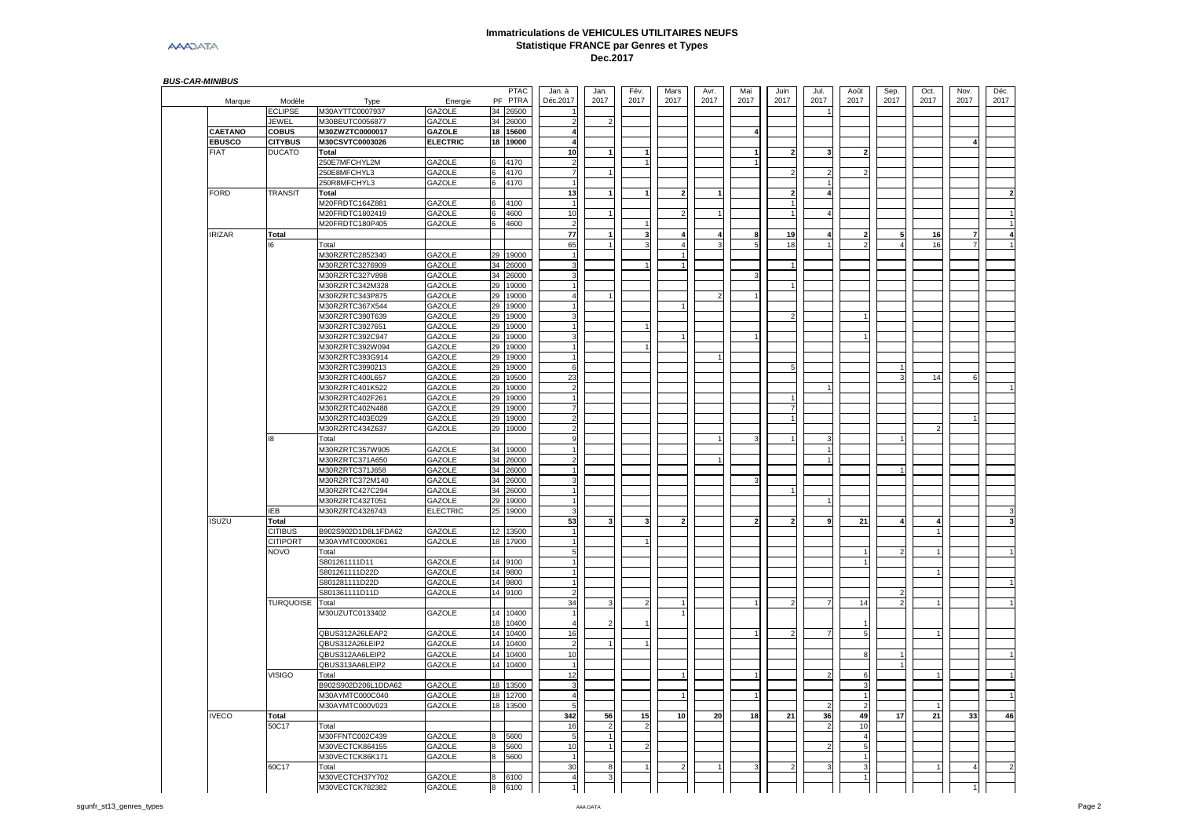| Marque         | Modèle                            | Type                | Energie         |    | <b>PTAC</b><br>PF PTRA | Jan. à<br>Déc.2017   | Jan.<br>2017   | Fév.<br>2017   | Mars<br>2017   | Avr.<br>2017 | Mai<br>2017              | Juin<br>2017             | Jul.<br>2017             | Août<br>2017  | Sep.<br>2017             | Oct.<br>2017 | Nov.<br>2017 | Déc.<br>2017 |
|----------------|-----------------------------------|---------------------|-----------------|----|------------------------|----------------------|----------------|----------------|----------------|--------------|--------------------------|--------------------------|--------------------------|---------------|--------------------------|--------------|--------------|--------------|
|                | <b>ECLIPSE</b>                    | M30AYTTC0007937     | <b>GAZOLE</b>   | 34 | 26500                  |                      |                |                |                |              |                          |                          |                          |               |                          |              |              |              |
|                | <b>JEWEL</b>                      | M30BEUTC0056877     | GAZOLE          | 34 | 26000                  | $\overline{2}$       |                |                |                |              |                          |                          |                          |               |                          |              |              |              |
| <b>CAETANO</b> | COBUS                             | M30ZWZTC0000017     | <b>GAZOLE</b>   | 18 | 15600                  | $\overline{4}$       |                |                |                |              | 4                        |                          |                          |               |                          |              |              |              |
| <b>EBUSCO</b>  | <b>CITYBUS</b>                    | M30CSVTC0003026     | <b>ELECTRIC</b> |    | 18 19000               | $\overline{4}$       |                |                |                |              |                          |                          |                          |               |                          |              | 4            |              |
| <b>FIAT</b>    | <b>DUCATO</b>                     | Total               |                 |    |                        | 10                   |                | $\mathbf{1}$   |                |              | $\mathbf{1}$             | $\overline{\phantom{a}}$ |                          |               |                          |              |              |              |
|                |                                   | 250E7MFCHYL2M       | GAZOLE          | 6  | 4170                   | $\overline{2}$       |                |                |                |              |                          |                          |                          |               |                          |              |              |              |
|                |                                   | 250E8MFCHYL3        | <b>GAZOLE</b>   | 6  | 4170                   | $\overline{7}$       |                |                |                |              |                          | $\mathcal{P}$            |                          |               |                          |              |              |              |
|                |                                   | 250R8MFCHYL3        | GAZOLE          | 6  | 4170                   | $\overline{1}$       |                |                |                |              |                          |                          |                          |               |                          |              |              |              |
| FORD           | <b>TRANSIT</b>                    | Total               |                 |    |                        | 13                   |                |                | 2              |              |                          | $\overline{\mathbf{2}}$  | $\overline{4}$           |               |                          |              |              |              |
|                |                                   | M20FRDTC164Z881     | GAZOLE          | 6  | 4100                   | $\overline{1}$       |                |                |                |              |                          | $\overline{1}$           |                          |               |                          |              |              |              |
|                |                                   | M20FRDTC1802419     | <b>GAZOLE</b>   | 6  | 4600                   | 10                   |                |                | $\mathcal{P}$  |              |                          |                          | $\overline{4}$           |               |                          |              |              |              |
|                |                                   | M20FRDTC180P405     | GAZOLE          | 6  | 4600                   | $\overline{2}$       |                |                |                |              |                          |                          |                          |               |                          |              |              |              |
| <b>IRIZAR</b>  | <b>Total</b>                      |                     |                 |    |                        | $77$                 | -1             | 3              | 4              |              | 8                        | 19                       | $\overline{\bf{4}}$      |               | 5                        | 16           | 7            |              |
|                | 6.                                | Total               |                 |    |                        | 65                   |                |                | $\overline{4}$ |              |                          | 18                       |                          |               |                          | 16           |              |              |
|                |                                   | M30RZRTC2852340     | GAZOLE          |    | 29 19000               | $\mathbf{1}$         |                |                |                |              |                          |                          |                          |               |                          |              |              |              |
|                |                                   |                     |                 |    |                        |                      |                | $\overline{ }$ | $\overline{1}$ |              |                          | $\overline{1}$           |                          |               |                          |              |              |              |
|                |                                   | M30RZRTC3276909     | GAZOLE          | 34 | 26000                  | 3                    |                |                |                |              |                          |                          |                          |               |                          |              |              |              |
|                |                                   | M30RZRTC327V898     | GAZOLE          | 34 | 26000                  | 3                    |                |                |                |              |                          |                          |                          |               |                          |              |              |              |
|                |                                   | M30RZRTC342M328     | <b>GAZOLE</b>   | 29 | 19000                  | $\mathbf{1}$         |                |                |                |              |                          |                          |                          |               |                          |              |              |              |
|                |                                   | M30RZRTC343P875     | GAZOLE          | 29 | 19000                  | $\overline{a}$       |                |                |                |              |                          |                          |                          |               |                          |              |              |              |
|                |                                   | M30RZRTC367X544     | GAZOLE          | 29 | 19000                  |                      |                |                |                |              |                          |                          |                          |               |                          |              |              |              |
|                |                                   | M30RZRTC390T639     | GAZOLE          | 29 | 19000                  | 3                    |                |                |                |              |                          | $\overline{2}$           |                          |               |                          |              |              |              |
|                |                                   | M30RZRTC3927651     | GAZOLE          | 29 | 19000                  | $\overline{1}$       |                |                |                |              |                          |                          |                          |               |                          |              |              |              |
|                |                                   | M30RZRTC392C947     | GAZOLE          | 29 | 19000                  | 3                    |                |                |                |              |                          |                          |                          |               |                          |              |              |              |
|                |                                   | M30RZRTC392W094     | <b>GAZOLE</b>   | 29 | 19000                  | $\ddot{\phantom{0}}$ |                |                |                |              |                          |                          |                          |               |                          |              |              |              |
|                |                                   | M30RZRTC393G914     | GAZOLE          | 29 | 19000                  | $\overline{1}$       |                |                |                |              |                          |                          |                          |               |                          |              |              |              |
|                |                                   | M30RZRTC3990213     | GAZOLE          | 29 | 19000                  | 6                    |                |                |                |              |                          | 5                        |                          |               |                          |              |              |              |
|                |                                   | M30RZRTC400L657     | GAZOLE          | 29 | 19500                  | 23                   |                |                |                |              |                          |                          |                          |               | 3                        | 14           | 6            |              |
|                |                                   | M30RZRTC401K522     | <b>GAZOLE</b>   | 29 | 19000                  | $\overline{2}$       |                |                |                |              |                          |                          |                          |               |                          |              |              |              |
|                |                                   | M30RZRTC402F261     | GAZOLE          | 29 | 19000                  | $\overline{1}$       |                |                |                |              |                          |                          |                          |               |                          |              |              |              |
|                |                                   | M30RZRTC402N488     | GAZOLE          | 29 | 19000                  | $\overline{7}$       |                |                |                |              |                          | $\overline{7}$           |                          |               |                          |              |              |              |
|                |                                   | M30RZRTC403E029     | GAZOLE          | 29 | 19000                  | $\overline{2}$       |                |                |                |              |                          |                          |                          |               |                          |              |              |              |
|                |                                   | M30RZRTC434Z637     | GAZOLE          |    | 29 19000               | $\overline{a}$       |                |                |                |              |                          |                          |                          |               |                          |              |              |              |
|                | 18                                | Total               |                 |    |                        | 9                    |                |                |                |              |                          |                          |                          |               |                          |              |              |              |
|                |                                   | M30RZRTC357W905     | GAZOLE          | 34 | 19000                  | $\overline{1}$       |                |                |                |              |                          |                          |                          |               |                          |              |              |              |
|                |                                   | M30RZRTC371A650     | <b>GAZOLE</b>   | 34 | 26000                  | $\overline{2}$       |                |                |                |              |                          |                          |                          |               |                          |              |              |              |
|                |                                   | M30RZRTC371J658     | GAZOLE          | 34 | 26000                  |                      |                |                |                |              |                          |                          |                          |               |                          |              |              |              |
|                |                                   | M30RZRTC372M140     | GAZOLE          | 34 | 26000                  | 3                    |                |                |                |              |                          |                          |                          |               |                          |              |              |              |
|                |                                   | M30RZRTC427C294     | GAZOLE          | 34 | 26000                  |                      |                |                |                |              |                          |                          |                          |               |                          |              |              |              |
|                |                                   | M30RZRTC432T051     | <b>GAZOLE</b>   | 29 | 19000                  | $\mathbf{1}$         |                |                |                |              |                          |                          |                          |               |                          |              |              |              |
|                | EB                                | M30RZRTC4326743     | ELECTRIC        | 25 | 19000                  | 3                    |                |                |                |              |                          |                          |                          |               |                          |              |              |              |
| <b>ISUZU</b>   |                                   |                     |                 |    |                        | 53                   |                | 3              |                |              | $\overline{\phantom{a}}$ | $\overline{2}$           | 9                        |               |                          |              |              |              |
|                | Total                             |                     | GAZOLE          |    |                        | $\overline{1}$       |                |                |                |              |                          |                          |                          | 21            |                          |              |              |              |
|                | <b>CITIBUS</b><br><b>CITIPORT</b> | B902S902D1D8L1FDA62 |                 | 12 | 13500                  |                      |                |                |                |              |                          |                          |                          |               |                          |              |              |              |
|                |                                   | M30AYMTC000X061     | GAZOLE          |    | 18 17900               | $\mathbf{1}$         |                |                |                |              |                          |                          |                          |               |                          |              |              |              |
|                | OVOV                              | Total               |                 |    |                        | 5                    |                |                |                |              |                          |                          |                          |               |                          |              |              |              |
|                |                                   | S801261111D11       | GAZOLE          | 14 | 9100                   | $\overline{1}$       |                |                |                |              |                          |                          |                          |               |                          |              |              |              |
|                |                                   | S801261111D22D      | GAZOLE          | 14 | 9800                   |                      |                |                |                |              |                          |                          |                          |               |                          |              |              |              |
|                |                                   | S801281111D22D      | GAZOLE          |    | 14 9800                | $\overline{1}$       |                |                |                |              |                          |                          |                          |               |                          |              |              |              |
|                |                                   | S801361111D11D      | GAZOLE          |    | 14 9100                | $\overline{2}$       |                |                |                |              |                          |                          |                          |               | $\overline{\phantom{a}}$ |              |              |              |
|                | <b>TURQUOISE</b>                  | Total               |                 |    |                        | 34                   | 3              |                |                |              |                          | $\overline{2}$           | $\overline{7}$           | 14            | $\overline{2}$           |              |              |              |
|                |                                   | M30UZUTC0133402     | GAZOLE          | 14 | 10400                  |                      |                |                |                |              |                          |                          |                          |               |                          |              |              |              |
|                |                                   |                     |                 | 18 | 10400                  | $\overline{a}$       | $\overline{2}$ |                |                |              |                          |                          |                          |               |                          |              |              |              |
|                |                                   | QBUS312A26LEAP2     | <b>GAZOLE</b>   | 14 | 10400                  | 16                   |                |                |                |              |                          | $\mathcal{P}$            |                          | 5             |                          |              |              |              |
|                |                                   | QBUS312A26LEIP2     | GAZOLE          | 14 | 10400                  | $\overline{2}$       |                |                |                |              |                          |                          |                          |               |                          |              |              |              |
|                |                                   | QBUS312AA6LEIP2     | GAZOLE          | 14 | 10400                  | 10                   |                |                |                |              |                          |                          |                          | 8             |                          |              |              |              |
|                |                                   | QBUS313AA6LEIP2     | GAZOLE          |    | 14 10400               | $\overline{1}$       |                |                |                |              |                          |                          |                          |               |                          |              |              |              |
|                | <b>VISIGO</b>                     | Total               |                 |    |                        | 12                   |                |                |                |              | $\overline{1}$           |                          | $\mathcal{D}$            | 6             |                          |              |              |              |
|                |                                   | B902S902D206L1DDA62 | GAZOLE          | 18 | 13500                  | 3                    |                |                |                |              |                          |                          |                          |               |                          |              |              |              |
|                |                                   | M30AYMTC000C040     | GAZOLE          |    | 18 12700               | $\overline{a}$       |                |                |                |              |                          |                          |                          |               |                          |              |              |              |
|                |                                   | M30AYMTC000V023     | GAZOLE          | 18 | 13500                  | 5                    |                |                |                |              |                          |                          | $\overline{2}$           | $\mathcal{P}$ |                          |              |              |              |
| <b>IVECO</b>   | Total                             |                     |                 |    |                        | 342                  | 56             | 15             | 10             | 20           | 18                       | ${\bf 21}$               | 36                       | 49            | 17                       | 21           | 33           |              |
|                | 50C17                             | Total               |                 |    |                        | 16                   | $\overline{2}$ | $\overline{2}$ |                |              |                          |                          | $\overline{\phantom{a}}$ | 10            |                          |              |              |              |
|                |                                   | M30FFNTC002C439     | GAZOLE          | 8  | 5600                   | 5                    |                |                |                |              |                          |                          |                          |               |                          |              |              |              |
|                |                                   |                     |                 |    |                        |                      |                |                |                |              |                          |                          |                          |               |                          |              |              |              |
|                |                                   | M30VECTCK864155     | GAZOLE          |    | 5600                   | 10                   |                |                |                |              |                          |                          |                          |               |                          |              |              |              |
|                |                                   | M30VECTCK86K171     | GAZOLE          | 8  | 5600                   |                      |                |                |                |              |                          |                          |                          |               |                          |              |              |              |
|                | 60C17                             | Total               |                 |    |                        | 30                   | 8              |                |                |              |                          |                          |                          |               |                          |              |              |              |
|                |                                   | M30VECTCH37Y702     | GAZOLE          | 8  | 6100                   | $\overline{4}$       | 3              |                |                |              |                          |                          |                          |               |                          |              |              |              |
|                |                                   | M30VECTCK782382     | <b>GAZOLE</b>   | 8  | 6100                   | 1                    |                |                |                |              |                          |                          |                          |               |                          |              |              |              |
|                |                                   |                     |                 |    |                        |                      |                |                |                |              |                          |                          |                          |               |                          |              |              |              |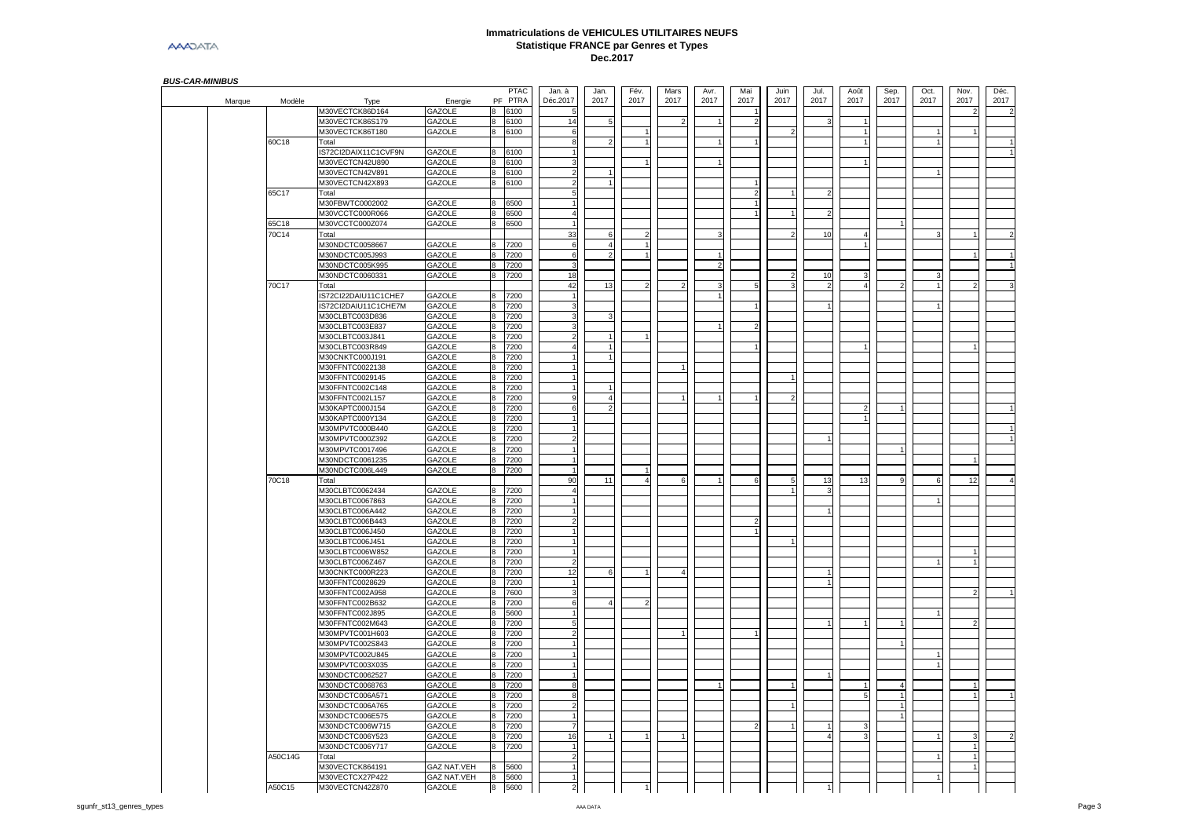# **Immatriculations de VEHICULES UTILITAIRES NEUFS Statistique FRANCE par Genres et Types Dec.2017**

| Marque | Modèle         |                                    |                       | PF | PTAC<br>PTRA | Jan. à<br>Jan.<br>Déc.2017<br>2017 | Fév.<br>2017 | Mars<br>2017 | Avr.<br>2017 | Mai<br>2017   | Juin<br>2017 | Jul.<br>2017 | Août<br>2017 | Sep.<br>2017 | Oct.<br>2017 | Nov.<br>2017            |
|--------|----------------|------------------------------------|-----------------------|----|--------------|------------------------------------|--------------|--------------|--------------|---------------|--------------|--------------|--------------|--------------|--------------|-------------------------|
|        |                | Type<br>M30VECTCK86D164            | Energie<br>GAZOLE     |    | 6100         |                                    |              |              |              |               |              |              |              |              |              | $\mathcal{D}$           |
|        |                | M30VECTCK86S179                    | GAZOLE                |    | 6100         | 14<br>5                            |              |              |              |               |              |              |              |              |              |                         |
|        |                | M30VECTCK86T180                    | GAZOLE                |    | 6100         | 6                                  |              |              |              |               |              |              |              |              |              |                         |
|        | 60C18          | Total                              |                       |    |              | 8<br>$\overline{2}$                |              |              |              |               |              |              |              |              |              |                         |
|        |                | IS72CI2DAIX11C1CVF9N               | GAZOLE                |    | 6100         |                                    |              |              |              |               |              |              |              |              |              |                         |
|        |                |                                    |                       |    |              |                                    |              |              |              |               |              |              |              |              |              |                         |
|        |                | M30VECTCN42U890                    | GAZOLE                |    | 6100         |                                    |              |              |              |               |              |              |              |              |              |                         |
|        |                | M30VECTCN42V891                    | GAZOLE                |    | 6100         |                                    |              |              |              |               |              |              |              |              |              |                         |
|        |                | M30VECTCN42X893                    | GAZOLE                |    | 6100         |                                    |              |              |              |               |              |              |              |              |              |                         |
|        | 65C17          | Total                              |                       |    |              |                                    |              |              |              | $\mathcal{D}$ |              |              |              |              |              |                         |
|        |                | M30FBWTC0002002                    | GAZOLE                |    | 6500         |                                    |              |              |              |               |              |              |              |              |              |                         |
|        |                | M30VCCTC000R066                    | GAZOLE                |    | 6500         |                                    |              |              |              |               |              |              |              |              |              |                         |
|        | 65C18<br>70C14 | M30VCCTC000Z074                    | GAZOLE                |    | 6500         | 33                                 |              |              |              |               |              |              |              |              |              |                         |
|        |                | Total<br>M30NDCTC0058667           | GAZOLE                |    | 7200         | $\overline{4}$<br>6                |              |              |              |               |              | 10           |              |              |              |                         |
|        |                | M30NDCTC005J993                    | <b>GAZOLE</b>         |    | 7200         | 6<br>$\overline{2}$                |              |              |              |               |              |              |              |              |              |                         |
|        |                | M30NDCTC005K995                    | GAZOLE                | 8  | 7200         |                                    |              |              |              |               |              |              |              |              |              |                         |
|        |                | M30NDCTC0060331                    | GAZOLE                |    | 7200         | 18                                 |              |              |              |               |              | 10           |              |              |              |                         |
|        | 70C17          |                                    |                       |    |              |                                    |              |              | -3           | 5             |              |              |              |              |              | $\mathcal{D}$           |
|        |                | Total<br>S72Cl22DAIU11C1CHE7       | GAZOLE                |    | 7200         | 42<br>13                           |              |              |              |               |              |              |              |              |              |                         |
|        |                |                                    |                       |    |              |                                    |              |              |              |               |              |              |              |              |              |                         |
|        |                | S72CI2DAIU11C1CHE7M                | GAZOLE                |    | 7200         |                                    |              |              |              |               |              |              |              |              |              |                         |
|        |                | M30CLBTC003D836                    | GAZOLE                |    | 7200         | 3                                  |              |              |              |               |              |              |              |              |              |                         |
|        |                | M30CLBTC003E837                    | GAZOLE                |    | 7200         |                                    |              |              |              | $\mathcal{D}$ |              |              |              |              |              |                         |
|        |                | M30CLBTC003J841                    | GAZOLE                |    | 7200         |                                    |              |              |              |               |              |              |              |              |              |                         |
|        |                | M30CLBTC003R849                    | GAZOLE                |    | 7200         | $\overline{1}$                     |              |              |              |               |              |              |              |              |              |                         |
|        |                | M30CNKTC000J191                    | GAZOLE                |    | 7200         |                                    |              |              |              |               |              |              |              |              |              |                         |
|        |                | M30FFNTC0022138                    | GAZOLE                |    | 7200         |                                    |              |              |              |               |              |              |              |              |              |                         |
|        |                | M30FFNTC0029145                    | GAZOLE                |    | 7200         |                                    |              |              |              |               |              |              |              |              |              |                         |
|        |                | M30FFNTC002C148                    | GAZOLE                |    | 7200         |                                    |              |              |              |               |              |              |              |              |              |                         |
|        |                | M30FFNTC002L157                    | GAZOLE                |    | 7200         | $\overline{a}$<br>- q              |              |              |              |               |              |              |              |              |              |                         |
|        |                | M30KAPTC000J154                    | GAZOLE                |    | 7200         | 6                                  |              |              |              |               |              |              |              |              |              |                         |
|        |                | M30KAPTC000Y134                    | GAZOLE                |    | 7200         |                                    |              |              |              |               |              |              |              |              |              |                         |
|        |                | M30MPVTC000B440                    | <b>GAZOLE</b>         |    | 7200         |                                    |              |              |              |               |              |              |              |              |              |                         |
|        |                | M30MPVTC000Z392                    | GAZOLE                |    | 7200         |                                    |              |              |              |               |              |              |              |              |              |                         |
|        |                | M30MPVTC0017496                    | GAZOLE                |    | 7200         |                                    |              |              |              |               |              |              |              |              |              |                         |
|        |                | M30NDCTC0061235                    | GAZOLE                |    | 7200         |                                    |              |              |              |               |              |              |              |              |              |                         |
|        |                | M30NDCTC006L449                    | GAZOLE                |    | 7200         |                                    |              |              |              |               |              |              |              |              |              |                         |
|        | 70C18          | Total                              |                       |    |              | 90<br>11                           |              | 6            |              | 6             |              | 13           | 13           |              | 6            | 12                      |
|        |                | M30CLBTC0062434                    | GAZOLE                |    | 7200         |                                    |              |              |              |               |              |              |              |              |              |                         |
|        |                | M30CLBTC0067863                    | GAZOLE                |    | 7200         |                                    |              |              |              |               |              |              |              |              |              |                         |
|        |                | M30CLBTC006A442                    | GAZOLE                |    | 7200         |                                    |              |              |              |               |              |              |              |              |              |                         |
|        |                |                                    |                       |    |              | $\overline{2}$                     |              |              |              |               |              |              |              |              |              |                         |
|        |                |                                    |                       |    |              |                                    |              |              |              |               |              |              |              |              |              |                         |
|        |                | M30CLBTC006B443                    | GAZOLE                |    | 7200         |                                    |              |              |              |               |              |              |              |              |              |                         |
|        |                | M30CLBTC006J450                    | GAZOLE                |    | 7200         |                                    |              |              |              |               |              |              |              |              |              |                         |
|        |                | M30CLBTC006J451                    | GAZOLE                |    | 7200         |                                    |              |              |              |               |              |              |              |              |              |                         |
|        |                | M30CLBTC006W852                    | GAZOLE                |    | 7200         |                                    |              |              |              |               |              |              |              |              |              |                         |
|        |                | M30CLBTC006Z467                    | GAZOLE                | 8  | 7200         | $\overline{2}$                     |              |              |              |               |              |              |              |              |              |                         |
|        |                | M30CNKTC000R223                    | <b>GAZOLE</b>         |    | 7200         | 12                                 |              |              |              |               |              |              |              |              |              |                         |
|        |                | M30FFNTC0028629                    | GAZOLE                |    | 7200         |                                    |              |              |              |               |              |              |              |              |              |                         |
|        |                | M30FFNTC002A958                    | GAZOLE                |    | 7600         |                                    |              |              |              |               |              |              |              |              |              |                         |
|        |                | M30FFNTC002B632                    | GAZOLE                |    | 7200         | 6<br>$\boldsymbol{\Delta}$         |              |              |              |               |              |              |              |              |              |                         |
|        |                | M30FFNTC002J895                    | GAZOLE                | 8  | 5600         |                                    |              |              |              |               |              |              |              |              |              |                         |
|        |                | M30FFNTC002M643                    | GAZOLE                | 8  | 7200         |                                    |              |              |              |               |              |              |              |              |              |                         |
|        |                | M30MPVTC001H603                    | <b>GAZOLE</b>         |    | 7200         |                                    |              |              |              |               |              |              |              |              |              |                         |
|        |                | M30MPVTC002S843                    | GAZOLE                |    | 7200         |                                    |              |              |              |               |              |              |              |              |              |                         |
|        |                | M30MPVTC002U845                    | GAZOLE                |    | 7200         |                                    |              |              |              |               |              |              |              |              | 1            |                         |
|        |                | M30MPVTC003X035                    | GAZOLE                |    | 7200         |                                    |              |              |              |               |              |              |              |              |              |                         |
|        |                | M30NDCTC0062527                    | GAZOLE                |    | 7200         |                                    |              |              |              |               |              |              |              |              |              |                         |
|        |                |                                    |                       |    |              |                                    |              |              |              |               |              |              |              |              |              |                         |
|        |                | 030NDCTC0068763                    | GAZOLE                |    | 7200         | 8                                  |              |              |              |               |              |              |              |              |              |                         |
|        |                | M30NDCTC006A571                    | GAZOLE                |    | 7200         | $\overline{2}$                     |              |              |              |               |              |              |              |              |              |                         |
|        |                | M30NDCTC006A765                    | GAZOLE                |    | 7200         |                                    |              |              |              |               |              |              |              |              |              |                         |
|        |                | M30NDCTC006E575                    | GAZOLE                |    | 7200         |                                    |              |              |              |               |              |              |              |              |              |                         |
|        |                | M30NDCTC006W715                    | GAZOLE                |    | 7200         |                                    |              |              |              |               |              |              |              |              |              |                         |
|        |                | M30NDCTC006Y523                    | GAZOLE                | 8  | 7200         | 16                                 |              |              |              |               |              |              |              |              |              |                         |
|        |                | M30NDCTC006Y717                    | GAZOLE                |    | 7200         |                                    |              |              |              |               |              |              |              |              |              | $\overline{\mathbf{c}}$ |
|        | A50C14G        | Total                              |                       |    |              |                                    |              |              |              |               |              |              |              |              |              |                         |
|        |                | M30VECTCK864191                    | GAZ NAT.VEH           | 8  | 5600         |                                    |              |              |              |               |              |              |              |              |              |                         |
|        | A50C15         | M30VECTCX27P422<br>M30VECTCN42Z870 | GAZ NAT.VEH<br>GAZOLE | 8  | 5600<br>5600 | $\overline{2}$                     |              |              |              |               |              |              |              |              |              |                         |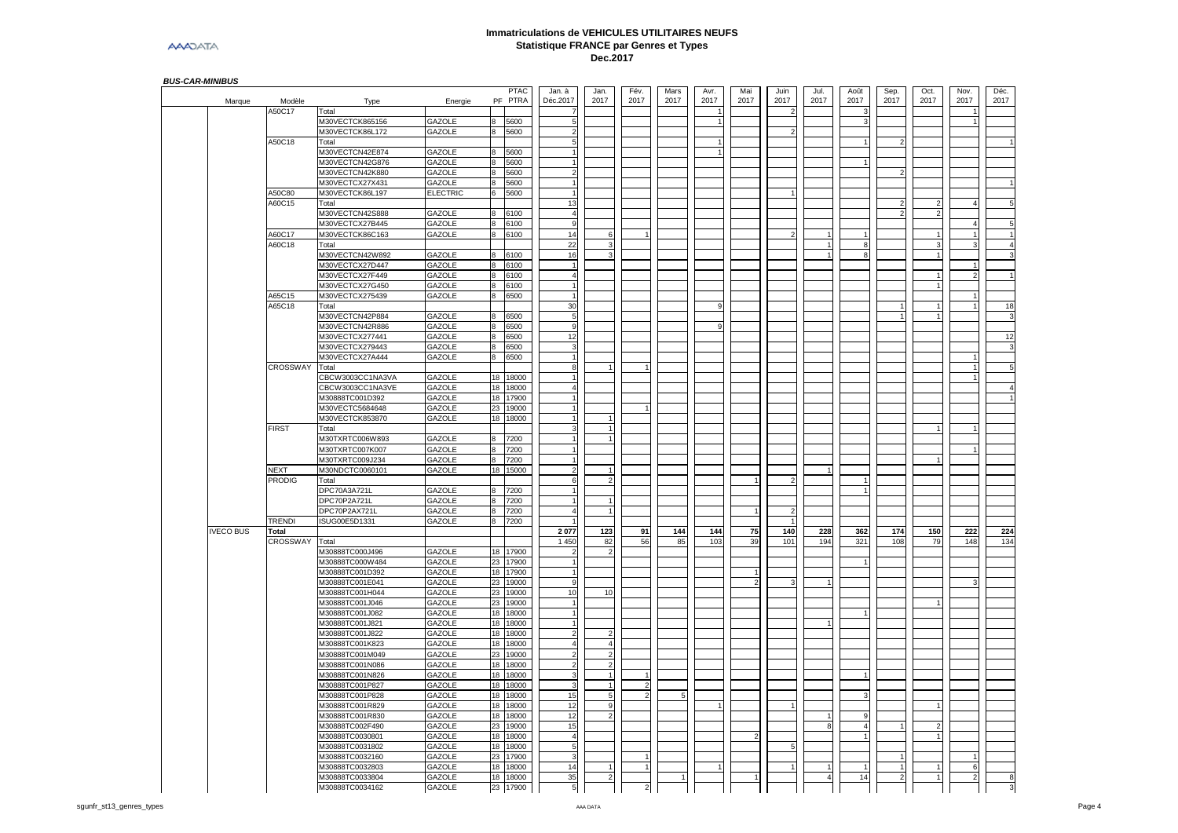# **Immatriculations de VEHICULES UTILITAIRES NEUFS Statistique FRANCE par Genres et Types Dec.2017**

| PF PTRA<br>Déc.2017<br>2017<br>2017<br>2017<br>2017<br>2017<br>2017<br>Marque<br>Modèle<br>Type<br>Energie<br>A50C17<br>Total<br>M30VECTCK865156<br>GAZOLE<br>5600<br>M30VECTCK86L172<br>GAZOLE<br>5600<br>A50C18<br>Total<br>M30VECTCN42E874<br>GAZOLE<br>5600<br>M30VECTCN42G876<br>GAZOLE<br>5600<br>M30VECTCN42K880<br>GAZOLE<br>5600<br>M30VECTCX27X431<br>GAZOLE<br>5600<br>A50C80<br>M30VECTCK86L197<br><b>ELECTRIC</b><br>5600<br>13<br>A60C15<br>Total<br>M30VECTCN42S888<br>GAZOLE<br>6100<br>M30VECTCX27B445<br>6100<br>9<br>GAZOLE<br>A60C17<br>14<br>M30VECTCK86C163<br>GAZOLE<br>6100<br>22<br>A60C18<br>Total<br><b>GAZOLE</b><br>16<br>M30VECTCN42W892<br>6100<br>8<br>M30VECTCX27D447<br><b>GAZOLE</b><br>6100<br>8<br>M30VECTCX27F449<br><b>GAZOLE</b><br>6100<br>M30VECTCX27G450<br>GAZOLE<br>6100<br><b>R</b><br>A65C15<br>M30VECTCX275439<br>GAZOLE<br>6500<br>A65C18<br>30<br>Total<br>M30VECTCN42P884<br>GAZOLE<br>5<br>6500<br>8<br>M30VECTCN42R886<br>GAZOLE<br>6500<br>8<br>$\mathsf{Q}$<br>M30VECTCX277441<br>GAZOLE<br>6500<br>12<br>M30VECTCX279443<br>GAZOLE<br>6500<br>M30VECTCX27A444<br>GAZOLE<br>6500<br>CROSSWAY<br>Total<br>8<br>GAZOLE<br>CBCW3003CC1NA3VA<br>18<br>18000<br>CBCW3003CC1NA3VE<br>GAZOLE<br>18<br>18000<br>M30888TC001D392<br>GAZOLE<br>18<br>17900<br>M30VECTC5684648<br>GAZOLE<br>23<br>19000<br>M30VECTCK853870<br>GAZOLE<br>18 18000<br><b>FIRST</b><br>Total<br>M30TXRTC006W893<br>GAZOLE<br>7200<br>8<br>M30TXRTC007K007<br>GAZOLE<br>7200<br>8<br>7200<br>M30TXRTC009J234<br>GAZOLE<br>8<br><b>NEXT</b><br>M30NDCTC0060101<br>GAZOLE<br>18 15000<br><b>PRODIG</b><br>Total<br>6<br>2<br>GAZOLE<br>DPC70A3A721L<br>7200<br>8<br>DPC70P2A721L<br>GAZOLE<br>7200<br>8<br>DPC70P2AX721L<br>GAZOLE<br>7200<br>ISUG00E5D1331<br><b>GAZOLE</b><br>TRENDI<br><b>R</b><br>7200<br><b>VECO BUS</b><br>2077<br>123<br>91<br>144<br>144<br>75<br>140<br>Total<br>CROSSWAY<br>1 4 5 0<br>82<br>56<br>85<br>103<br>39<br>101<br>Total<br>GAZOLE<br>18 17900<br>$\mathfrak{p}$<br>M30888TC000J496<br>M30888TC000W484<br>GAZOLE<br>23<br>17900 | 2017<br>2017<br>2017<br>2017<br>2017<br>$\overline{2}$<br>$\mathbf{a}$<br>$\mathbf{\hat{z}}$<br>$\mathbf{a}$ |
|-------------------------------------------------------------------------------------------------------------------------------------------------------------------------------------------------------------------------------------------------------------------------------------------------------------------------------------------------------------------------------------------------------------------------------------------------------------------------------------------------------------------------------------------------------------------------------------------------------------------------------------------------------------------------------------------------------------------------------------------------------------------------------------------------------------------------------------------------------------------------------------------------------------------------------------------------------------------------------------------------------------------------------------------------------------------------------------------------------------------------------------------------------------------------------------------------------------------------------------------------------------------------------------------------------------------------------------------------------------------------------------------------------------------------------------------------------------------------------------------------------------------------------------------------------------------------------------------------------------------------------------------------------------------------------------------------------------------------------------------------------------------------------------------------------------------------------------------------------------------------------------------------------------------------------------------------------------------------------------------------------------------------------------------------------------------------------------------|--------------------------------------------------------------------------------------------------------------|
|                                                                                                                                                                                                                                                                                                                                                                                                                                                                                                                                                                                                                                                                                                                                                                                                                                                                                                                                                                                                                                                                                                                                                                                                                                                                                                                                                                                                                                                                                                                                                                                                                                                                                                                                                                                                                                                                                                                                                                                                                                                                                           |                                                                                                              |
|                                                                                                                                                                                                                                                                                                                                                                                                                                                                                                                                                                                                                                                                                                                                                                                                                                                                                                                                                                                                                                                                                                                                                                                                                                                                                                                                                                                                                                                                                                                                                                                                                                                                                                                                                                                                                                                                                                                                                                                                                                                                                           |                                                                                                              |
|                                                                                                                                                                                                                                                                                                                                                                                                                                                                                                                                                                                                                                                                                                                                                                                                                                                                                                                                                                                                                                                                                                                                                                                                                                                                                                                                                                                                                                                                                                                                                                                                                                                                                                                                                                                                                                                                                                                                                                                                                                                                                           |                                                                                                              |
|                                                                                                                                                                                                                                                                                                                                                                                                                                                                                                                                                                                                                                                                                                                                                                                                                                                                                                                                                                                                                                                                                                                                                                                                                                                                                                                                                                                                                                                                                                                                                                                                                                                                                                                                                                                                                                                                                                                                                                                                                                                                                           |                                                                                                              |
|                                                                                                                                                                                                                                                                                                                                                                                                                                                                                                                                                                                                                                                                                                                                                                                                                                                                                                                                                                                                                                                                                                                                                                                                                                                                                                                                                                                                                                                                                                                                                                                                                                                                                                                                                                                                                                                                                                                                                                                                                                                                                           |                                                                                                              |
|                                                                                                                                                                                                                                                                                                                                                                                                                                                                                                                                                                                                                                                                                                                                                                                                                                                                                                                                                                                                                                                                                                                                                                                                                                                                                                                                                                                                                                                                                                                                                                                                                                                                                                                                                                                                                                                                                                                                                                                                                                                                                           |                                                                                                              |
|                                                                                                                                                                                                                                                                                                                                                                                                                                                                                                                                                                                                                                                                                                                                                                                                                                                                                                                                                                                                                                                                                                                                                                                                                                                                                                                                                                                                                                                                                                                                                                                                                                                                                                                                                                                                                                                                                                                                                                                                                                                                                           |                                                                                                              |
|                                                                                                                                                                                                                                                                                                                                                                                                                                                                                                                                                                                                                                                                                                                                                                                                                                                                                                                                                                                                                                                                                                                                                                                                                                                                                                                                                                                                                                                                                                                                                                                                                                                                                                                                                                                                                                                                                                                                                                                                                                                                                           |                                                                                                              |
|                                                                                                                                                                                                                                                                                                                                                                                                                                                                                                                                                                                                                                                                                                                                                                                                                                                                                                                                                                                                                                                                                                                                                                                                                                                                                                                                                                                                                                                                                                                                                                                                                                                                                                                                                                                                                                                                                                                                                                                                                                                                                           |                                                                                                              |
|                                                                                                                                                                                                                                                                                                                                                                                                                                                                                                                                                                                                                                                                                                                                                                                                                                                                                                                                                                                                                                                                                                                                                                                                                                                                                                                                                                                                                                                                                                                                                                                                                                                                                                                                                                                                                                                                                                                                                                                                                                                                                           |                                                                                                              |
|                                                                                                                                                                                                                                                                                                                                                                                                                                                                                                                                                                                                                                                                                                                                                                                                                                                                                                                                                                                                                                                                                                                                                                                                                                                                                                                                                                                                                                                                                                                                                                                                                                                                                                                                                                                                                                                                                                                                                                                                                                                                                           |                                                                                                              |
|                                                                                                                                                                                                                                                                                                                                                                                                                                                                                                                                                                                                                                                                                                                                                                                                                                                                                                                                                                                                                                                                                                                                                                                                                                                                                                                                                                                                                                                                                                                                                                                                                                                                                                                                                                                                                                                                                                                                                                                                                                                                                           |                                                                                                              |
|                                                                                                                                                                                                                                                                                                                                                                                                                                                                                                                                                                                                                                                                                                                                                                                                                                                                                                                                                                                                                                                                                                                                                                                                                                                                                                                                                                                                                                                                                                                                                                                                                                                                                                                                                                                                                                                                                                                                                                                                                                                                                           |                                                                                                              |
|                                                                                                                                                                                                                                                                                                                                                                                                                                                                                                                                                                                                                                                                                                                                                                                                                                                                                                                                                                                                                                                                                                                                                                                                                                                                                                                                                                                                                                                                                                                                                                                                                                                                                                                                                                                                                                                                                                                                                                                                                                                                                           |                                                                                                              |
|                                                                                                                                                                                                                                                                                                                                                                                                                                                                                                                                                                                                                                                                                                                                                                                                                                                                                                                                                                                                                                                                                                                                                                                                                                                                                                                                                                                                                                                                                                                                                                                                                                                                                                                                                                                                                                                                                                                                                                                                                                                                                           |                                                                                                              |
|                                                                                                                                                                                                                                                                                                                                                                                                                                                                                                                                                                                                                                                                                                                                                                                                                                                                                                                                                                                                                                                                                                                                                                                                                                                                                                                                                                                                                                                                                                                                                                                                                                                                                                                                                                                                                                                                                                                                                                                                                                                                                           |                                                                                                              |
|                                                                                                                                                                                                                                                                                                                                                                                                                                                                                                                                                                                                                                                                                                                                                                                                                                                                                                                                                                                                                                                                                                                                                                                                                                                                                                                                                                                                                                                                                                                                                                                                                                                                                                                                                                                                                                                                                                                                                                                                                                                                                           |                                                                                                              |
|                                                                                                                                                                                                                                                                                                                                                                                                                                                                                                                                                                                                                                                                                                                                                                                                                                                                                                                                                                                                                                                                                                                                                                                                                                                                                                                                                                                                                                                                                                                                                                                                                                                                                                                                                                                                                                                                                                                                                                                                                                                                                           |                                                                                                              |
|                                                                                                                                                                                                                                                                                                                                                                                                                                                                                                                                                                                                                                                                                                                                                                                                                                                                                                                                                                                                                                                                                                                                                                                                                                                                                                                                                                                                                                                                                                                                                                                                                                                                                                                                                                                                                                                                                                                                                                                                                                                                                           |                                                                                                              |
|                                                                                                                                                                                                                                                                                                                                                                                                                                                                                                                                                                                                                                                                                                                                                                                                                                                                                                                                                                                                                                                                                                                                                                                                                                                                                                                                                                                                                                                                                                                                                                                                                                                                                                                                                                                                                                                                                                                                                                                                                                                                                           |                                                                                                              |
|                                                                                                                                                                                                                                                                                                                                                                                                                                                                                                                                                                                                                                                                                                                                                                                                                                                                                                                                                                                                                                                                                                                                                                                                                                                                                                                                                                                                                                                                                                                                                                                                                                                                                                                                                                                                                                                                                                                                                                                                                                                                                           |                                                                                                              |
|                                                                                                                                                                                                                                                                                                                                                                                                                                                                                                                                                                                                                                                                                                                                                                                                                                                                                                                                                                                                                                                                                                                                                                                                                                                                                                                                                                                                                                                                                                                                                                                                                                                                                                                                                                                                                                                                                                                                                                                                                                                                                           |                                                                                                              |
|                                                                                                                                                                                                                                                                                                                                                                                                                                                                                                                                                                                                                                                                                                                                                                                                                                                                                                                                                                                                                                                                                                                                                                                                                                                                                                                                                                                                                                                                                                                                                                                                                                                                                                                                                                                                                                                                                                                                                                                                                                                                                           |                                                                                                              |
|                                                                                                                                                                                                                                                                                                                                                                                                                                                                                                                                                                                                                                                                                                                                                                                                                                                                                                                                                                                                                                                                                                                                                                                                                                                                                                                                                                                                                                                                                                                                                                                                                                                                                                                                                                                                                                                                                                                                                                                                                                                                                           |                                                                                                              |
|                                                                                                                                                                                                                                                                                                                                                                                                                                                                                                                                                                                                                                                                                                                                                                                                                                                                                                                                                                                                                                                                                                                                                                                                                                                                                                                                                                                                                                                                                                                                                                                                                                                                                                                                                                                                                                                                                                                                                                                                                                                                                           |                                                                                                              |
|                                                                                                                                                                                                                                                                                                                                                                                                                                                                                                                                                                                                                                                                                                                                                                                                                                                                                                                                                                                                                                                                                                                                                                                                                                                                                                                                                                                                                                                                                                                                                                                                                                                                                                                                                                                                                                                                                                                                                                                                                                                                                           |                                                                                                              |
|                                                                                                                                                                                                                                                                                                                                                                                                                                                                                                                                                                                                                                                                                                                                                                                                                                                                                                                                                                                                                                                                                                                                                                                                                                                                                                                                                                                                                                                                                                                                                                                                                                                                                                                                                                                                                                                                                                                                                                                                                                                                                           |                                                                                                              |
|                                                                                                                                                                                                                                                                                                                                                                                                                                                                                                                                                                                                                                                                                                                                                                                                                                                                                                                                                                                                                                                                                                                                                                                                                                                                                                                                                                                                                                                                                                                                                                                                                                                                                                                                                                                                                                                                                                                                                                                                                                                                                           |                                                                                                              |
|                                                                                                                                                                                                                                                                                                                                                                                                                                                                                                                                                                                                                                                                                                                                                                                                                                                                                                                                                                                                                                                                                                                                                                                                                                                                                                                                                                                                                                                                                                                                                                                                                                                                                                                                                                                                                                                                                                                                                                                                                                                                                           |                                                                                                              |
|                                                                                                                                                                                                                                                                                                                                                                                                                                                                                                                                                                                                                                                                                                                                                                                                                                                                                                                                                                                                                                                                                                                                                                                                                                                                                                                                                                                                                                                                                                                                                                                                                                                                                                                                                                                                                                                                                                                                                                                                                                                                                           |                                                                                                              |
|                                                                                                                                                                                                                                                                                                                                                                                                                                                                                                                                                                                                                                                                                                                                                                                                                                                                                                                                                                                                                                                                                                                                                                                                                                                                                                                                                                                                                                                                                                                                                                                                                                                                                                                                                                                                                                                                                                                                                                                                                                                                                           |                                                                                                              |
|                                                                                                                                                                                                                                                                                                                                                                                                                                                                                                                                                                                                                                                                                                                                                                                                                                                                                                                                                                                                                                                                                                                                                                                                                                                                                                                                                                                                                                                                                                                                                                                                                                                                                                                                                                                                                                                                                                                                                                                                                                                                                           |                                                                                                              |
|                                                                                                                                                                                                                                                                                                                                                                                                                                                                                                                                                                                                                                                                                                                                                                                                                                                                                                                                                                                                                                                                                                                                                                                                                                                                                                                                                                                                                                                                                                                                                                                                                                                                                                                                                                                                                                                                                                                                                                                                                                                                                           |                                                                                                              |
|                                                                                                                                                                                                                                                                                                                                                                                                                                                                                                                                                                                                                                                                                                                                                                                                                                                                                                                                                                                                                                                                                                                                                                                                                                                                                                                                                                                                                                                                                                                                                                                                                                                                                                                                                                                                                                                                                                                                                                                                                                                                                           |                                                                                                              |
|                                                                                                                                                                                                                                                                                                                                                                                                                                                                                                                                                                                                                                                                                                                                                                                                                                                                                                                                                                                                                                                                                                                                                                                                                                                                                                                                                                                                                                                                                                                                                                                                                                                                                                                                                                                                                                                                                                                                                                                                                                                                                           |                                                                                                              |
|                                                                                                                                                                                                                                                                                                                                                                                                                                                                                                                                                                                                                                                                                                                                                                                                                                                                                                                                                                                                                                                                                                                                                                                                                                                                                                                                                                                                                                                                                                                                                                                                                                                                                                                                                                                                                                                                                                                                                                                                                                                                                           |                                                                                                              |
|                                                                                                                                                                                                                                                                                                                                                                                                                                                                                                                                                                                                                                                                                                                                                                                                                                                                                                                                                                                                                                                                                                                                                                                                                                                                                                                                                                                                                                                                                                                                                                                                                                                                                                                                                                                                                                                                                                                                                                                                                                                                                           |                                                                                                              |
|                                                                                                                                                                                                                                                                                                                                                                                                                                                                                                                                                                                                                                                                                                                                                                                                                                                                                                                                                                                                                                                                                                                                                                                                                                                                                                                                                                                                                                                                                                                                                                                                                                                                                                                                                                                                                                                                                                                                                                                                                                                                                           |                                                                                                              |
|                                                                                                                                                                                                                                                                                                                                                                                                                                                                                                                                                                                                                                                                                                                                                                                                                                                                                                                                                                                                                                                                                                                                                                                                                                                                                                                                                                                                                                                                                                                                                                                                                                                                                                                                                                                                                                                                                                                                                                                                                                                                                           |                                                                                                              |
|                                                                                                                                                                                                                                                                                                                                                                                                                                                                                                                                                                                                                                                                                                                                                                                                                                                                                                                                                                                                                                                                                                                                                                                                                                                                                                                                                                                                                                                                                                                                                                                                                                                                                                                                                                                                                                                                                                                                                                                                                                                                                           |                                                                                                              |
|                                                                                                                                                                                                                                                                                                                                                                                                                                                                                                                                                                                                                                                                                                                                                                                                                                                                                                                                                                                                                                                                                                                                                                                                                                                                                                                                                                                                                                                                                                                                                                                                                                                                                                                                                                                                                                                                                                                                                                                                                                                                                           |                                                                                                              |
|                                                                                                                                                                                                                                                                                                                                                                                                                                                                                                                                                                                                                                                                                                                                                                                                                                                                                                                                                                                                                                                                                                                                                                                                                                                                                                                                                                                                                                                                                                                                                                                                                                                                                                                                                                                                                                                                                                                                                                                                                                                                                           | 228<br>362<br>174<br>150                                                                                     |
|                                                                                                                                                                                                                                                                                                                                                                                                                                                                                                                                                                                                                                                                                                                                                                                                                                                                                                                                                                                                                                                                                                                                                                                                                                                                                                                                                                                                                                                                                                                                                                                                                                                                                                                                                                                                                                                                                                                                                                                                                                                                                           | 194<br>321<br>108<br>79                                                                                      |
|                                                                                                                                                                                                                                                                                                                                                                                                                                                                                                                                                                                                                                                                                                                                                                                                                                                                                                                                                                                                                                                                                                                                                                                                                                                                                                                                                                                                                                                                                                                                                                                                                                                                                                                                                                                                                                                                                                                                                                                                                                                                                           |                                                                                                              |
|                                                                                                                                                                                                                                                                                                                                                                                                                                                                                                                                                                                                                                                                                                                                                                                                                                                                                                                                                                                                                                                                                                                                                                                                                                                                                                                                                                                                                                                                                                                                                                                                                                                                                                                                                                                                                                                                                                                                                                                                                                                                                           |                                                                                                              |
| M30888TC001D392<br><b>GAZOLE</b><br>18<br>17900                                                                                                                                                                                                                                                                                                                                                                                                                                                                                                                                                                                                                                                                                                                                                                                                                                                                                                                                                                                                                                                                                                                                                                                                                                                                                                                                                                                                                                                                                                                                                                                                                                                                                                                                                                                                                                                                                                                                                                                                                                           |                                                                                                              |
| M30888TC001E041<br><b>GAZOLE</b><br>23<br>19000                                                                                                                                                                                                                                                                                                                                                                                                                                                                                                                                                                                                                                                                                                                                                                                                                                                                                                                                                                                                                                                                                                                                                                                                                                                                                                                                                                                                                                                                                                                                                                                                                                                                                                                                                                                                                                                                                                                                                                                                                                           |                                                                                                              |
| M30888TC001H044<br>GAZOLE<br>19000<br>10<br>23<br>10                                                                                                                                                                                                                                                                                                                                                                                                                                                                                                                                                                                                                                                                                                                                                                                                                                                                                                                                                                                                                                                                                                                                                                                                                                                                                                                                                                                                                                                                                                                                                                                                                                                                                                                                                                                                                                                                                                                                                                                                                                      |                                                                                                              |
| M30888TC001J046<br>GAZOLE<br>19000<br>23                                                                                                                                                                                                                                                                                                                                                                                                                                                                                                                                                                                                                                                                                                                                                                                                                                                                                                                                                                                                                                                                                                                                                                                                                                                                                                                                                                                                                                                                                                                                                                                                                                                                                                                                                                                                                                                                                                                                                                                                                                                  |                                                                                                              |
| GAZOLE<br>18 18000<br>M30888TC001J082                                                                                                                                                                                                                                                                                                                                                                                                                                                                                                                                                                                                                                                                                                                                                                                                                                                                                                                                                                                                                                                                                                                                                                                                                                                                                                                                                                                                                                                                                                                                                                                                                                                                                                                                                                                                                                                                                                                                                                                                                                                     |                                                                                                              |
| M30888TC001J821<br>GAZOLE<br>18000<br>18                                                                                                                                                                                                                                                                                                                                                                                                                                                                                                                                                                                                                                                                                                                                                                                                                                                                                                                                                                                                                                                                                                                                                                                                                                                                                                                                                                                                                                                                                                                                                                                                                                                                                                                                                                                                                                                                                                                                                                                                                                                  |                                                                                                              |
| M30888TC001J822<br><b>GAZOLE</b><br>18000<br>18                                                                                                                                                                                                                                                                                                                                                                                                                                                                                                                                                                                                                                                                                                                                                                                                                                                                                                                                                                                                                                                                                                                                                                                                                                                                                                                                                                                                                                                                                                                                                                                                                                                                                                                                                                                                                                                                                                                                                                                                                                           |                                                                                                              |
| M30888TC001K823<br><b>GAZOLE</b><br>18<br>18000<br>$\overline{4}$                                                                                                                                                                                                                                                                                                                                                                                                                                                                                                                                                                                                                                                                                                                                                                                                                                                                                                                                                                                                                                                                                                                                                                                                                                                                                                                                                                                                                                                                                                                                                                                                                                                                                                                                                                                                                                                                                                                                                                                                                         |                                                                                                              |
| M30888TC001M049<br>GAZOLE<br>19000<br>23<br>$\overline{\phantom{a}}$                                                                                                                                                                                                                                                                                                                                                                                                                                                                                                                                                                                                                                                                                                                                                                                                                                                                                                                                                                                                                                                                                                                                                                                                                                                                                                                                                                                                                                                                                                                                                                                                                                                                                                                                                                                                                                                                                                                                                                                                                      |                                                                                                              |
| M30888TC001N086<br>18000<br><b>GAZOLE</b><br>18<br>$\overline{\phantom{a}}$<br>$\mathcal{D}$                                                                                                                                                                                                                                                                                                                                                                                                                                                                                                                                                                                                                                                                                                                                                                                                                                                                                                                                                                                                                                                                                                                                                                                                                                                                                                                                                                                                                                                                                                                                                                                                                                                                                                                                                                                                                                                                                                                                                                                              |                                                                                                              |
| M30888TC001N826<br><b>GAZOLE</b><br>18<br>18000                                                                                                                                                                                                                                                                                                                                                                                                                                                                                                                                                                                                                                                                                                                                                                                                                                                                                                                                                                                                                                                                                                                                                                                                                                                                                                                                                                                                                                                                                                                                                                                                                                                                                                                                                                                                                                                                                                                                                                                                                                           |                                                                                                              |
| M30888TC001P827<br>GAZOLE<br>18<br>18000                                                                                                                                                                                                                                                                                                                                                                                                                                                                                                                                                                                                                                                                                                                                                                                                                                                                                                                                                                                                                                                                                                                                                                                                                                                                                                                                                                                                                                                                                                                                                                                                                                                                                                                                                                                                                                                                                                                                                                                                                                                  |                                                                                                              |
| 15<br>GAZOLE<br>18 18000<br>M30888TC001P828<br>5                                                                                                                                                                                                                                                                                                                                                                                                                                                                                                                                                                                                                                                                                                                                                                                                                                                                                                                                                                                                                                                                                                                                                                                                                                                                                                                                                                                                                                                                                                                                                                                                                                                                                                                                                                                                                                                                                                                                                                                                                                          |                                                                                                              |
| M30888TC001R829<br><b>GAZOLE</b><br>18 18000<br>12<br>$\mathbf{Q}$                                                                                                                                                                                                                                                                                                                                                                                                                                                                                                                                                                                                                                                                                                                                                                                                                                                                                                                                                                                                                                                                                                                                                                                                                                                                                                                                                                                                                                                                                                                                                                                                                                                                                                                                                                                                                                                                                                                                                                                                                        |                                                                                                              |
| M30888TC001R830<br>GAZOLE<br>18000<br>12<br>18                                                                                                                                                                                                                                                                                                                                                                                                                                                                                                                                                                                                                                                                                                                                                                                                                                                                                                                                                                                                                                                                                                                                                                                                                                                                                                                                                                                                                                                                                                                                                                                                                                                                                                                                                                                                                                                                                                                                                                                                                                            |                                                                                                              |
| 15<br>M30888TC002F490<br>GAZOLE<br>19000<br>23                                                                                                                                                                                                                                                                                                                                                                                                                                                                                                                                                                                                                                                                                                                                                                                                                                                                                                                                                                                                                                                                                                                                                                                                                                                                                                                                                                                                                                                                                                                                                                                                                                                                                                                                                                                                                                                                                                                                                                                                                                            |                                                                                                              |
| M30888TC0030801<br><b>GAZOLE</b><br>18<br>18000<br>$\overline{4}$<br>GAZOLE<br>5                                                                                                                                                                                                                                                                                                                                                                                                                                                                                                                                                                                                                                                                                                                                                                                                                                                                                                                                                                                                                                                                                                                                                                                                                                                                                                                                                                                                                                                                                                                                                                                                                                                                                                                                                                                                                                                                                                                                                                                                          | $\boldsymbol{\Delta}$<br>$\Omega$<br>$\overline{2}$                                                          |
| M30888TC0031802<br>18000<br>18                                                                                                                                                                                                                                                                                                                                                                                                                                                                                                                                                                                                                                                                                                                                                                                                                                                                                                                                                                                                                                                                                                                                                                                                                                                                                                                                                                                                                                                                                                                                                                                                                                                                                                                                                                                                                                                                                                                                                                                                                                                            |                                                                                                              |
| M30888TC0032160<br>GAZOLE<br>23<br>17900                                                                                                                                                                                                                                                                                                                                                                                                                                                                                                                                                                                                                                                                                                                                                                                                                                                                                                                                                                                                                                                                                                                                                                                                                                                                                                                                                                                                                                                                                                                                                                                                                                                                                                                                                                                                                                                                                                                                                                                                                                                  |                                                                                                              |
|                                                                                                                                                                                                                                                                                                                                                                                                                                                                                                                                                                                                                                                                                                                                                                                                                                                                                                                                                                                                                                                                                                                                                                                                                                                                                                                                                                                                                                                                                                                                                                                                                                                                                                                                                                                                                                                                                                                                                                                                                                                                                           |                                                                                                              |
| M30888TC0032803<br>GAZOLE<br>18<br>18000<br>14<br>M30888TC0033804<br><b>GAZOLE</b><br>18000<br>35<br>18<br>$\overline{\phantom{a}}$                                                                                                                                                                                                                                                                                                                                                                                                                                                                                                                                                                                                                                                                                                                                                                                                                                                                                                                                                                                                                                                                                                                                                                                                                                                                                                                                                                                                                                                                                                                                                                                                                                                                                                                                                                                                                                                                                                                                                       | 14                                                                                                           |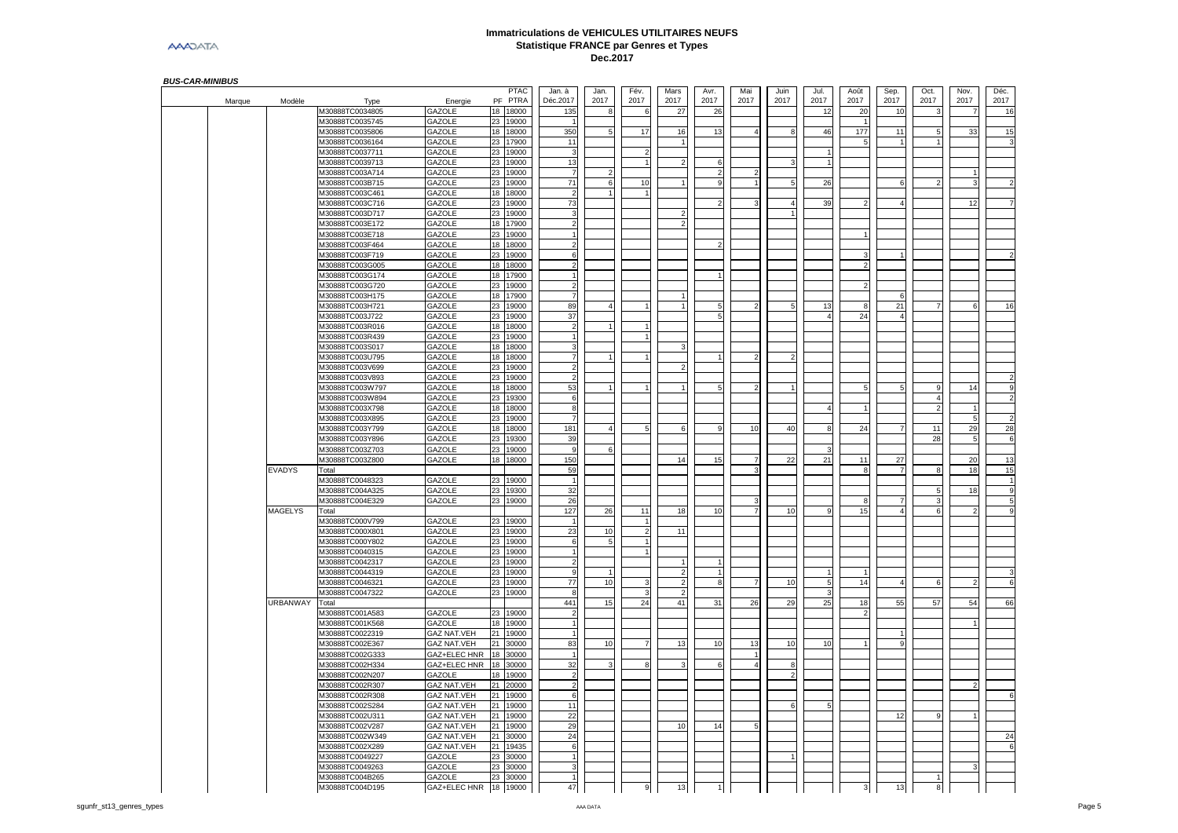# **Immatriculations de VEHICULES UTILITAIRES NEUFS Statistique FRANCE par Genres et Types Dec.2017**

|        |                 |                 |                       | PTAC        | Jan. à         | Jan.         | Fév. | Mars | Avr.           | Mai                   | Juin           | Jul.           | Août | Sep.                  | Oct. | Nov.           | Déc.           |
|--------|-----------------|-----------------|-----------------------|-------------|----------------|--------------|------|------|----------------|-----------------------|----------------|----------------|------|-----------------------|------|----------------|----------------|
| Marque | Modèle          | Type            | Energie               | PF PTRA     | Déc.2017       | 2017         | 2017 | 2017 | 2017           | 2017                  | 2017           | 2017           | 2017 | 2017                  | 2017 | 2017           | 2017           |
|        |                 | M30888TC0034805 | <b>GAZOLE</b>         | 18<br>18000 | 135            | $\mathbf{R}$ |      | 27   | 26             |                       |                | 12             | 20   | 10                    |      |                | 16             |
|        |                 | M30888TC0035745 | <b>GAZOLE</b>         | 23<br>19000 |                |              |      |      |                |                       |                |                |      |                       |      |                |                |
|        |                 | M30888TC0035806 | GAZOLE                | 18<br>18000 | 350            |              | 17   | 16   | 13             | 4                     | 8              | 46             | 177  | 11                    | 5    | 33             | 15             |
|        |                 | M30888TC0036164 | <b>GAZOLE</b>         | 23<br>17900 | 11             |              |      |      |                |                       |                |                |      |                       |      |                | 3              |
|        |                 | M30888TC0037711 | <b>GAZOLE</b>         | 23<br>19000 |                |              |      |      |                |                       |                |                |      |                       |      |                |                |
|        |                 | M30888TC0039713 | GAZOLE                | 19000<br>23 | 13             |              |      |      | 6              |                       |                |                |      |                       |      |                |                |
|        |                 | M30888TC003A714 | GAZOLE                | 23<br>19000 |                |              |      |      | 2              |                       |                |                |      |                       |      |                |                |
|        |                 | M30888TC003B715 | GAZOLE                | 23<br>19000 | $71$           |              | 10   |      | $\mathbf{g}$   |                       |                | 26             |      | 6                     |      | $\mathbf{3}$   |                |
|        |                 | M30888TC003C461 | GAZOLE                | 18<br>18000 |                |              |      |      |                |                       |                |                |      |                       |      |                |                |
|        |                 |                 | GAZOLE                | 23<br>19000 | 73             |              |      |      | 2              |                       | 4              | 39             |      | $\overline{4}$        |      | 12             |                |
|        |                 | M30888TC003C716 |                       |             |                |              |      |      |                |                       |                |                |      |                       |      |                |                |
|        |                 | M30888TC003D717 | <b>GAZOLE</b>         | 23<br>19000 |                |              |      |      |                |                       |                |                |      |                       |      |                |                |
|        |                 | M30888TC003E172 | GAZOLE                | 18<br>17900 |                |              |      |      |                |                       |                |                |      |                       |      |                |                |
|        |                 | M30888TC003E718 | <b>GAZOLE</b>         | 23<br>19000 |                |              |      |      |                |                       |                |                |      |                       |      |                |                |
|        |                 | M30888TC003F464 | <b>GAZOLE</b>         | 18<br>18000 | $\overline{2}$ |              |      |      | $\overline{2}$ |                       |                |                |      |                       |      |                |                |
|        |                 | M30888TC003F719 | GAZOLE                | 23<br>19000 | 6              |              |      |      |                |                       |                |                |      |                       |      |                |                |
|        |                 | M30888TC003G005 | GAZOLE                | 18 18000    |                |              |      |      |                |                       |                |                |      |                       |      |                |                |
|        |                 | M30888TC003G174 | GAZOLE                | 18<br>17900 |                |              |      |      |                |                       |                |                |      |                       |      |                |                |
|        |                 | M30888TC003G720 | GAZOLE                | 19000<br>23 |                |              |      |      |                |                       |                |                |      |                       |      |                |                |
|        |                 | M30888TC003H175 | GAZOLE                | 18<br>17900 |                |              |      |      |                |                       |                |                |      | 6                     |      |                |                |
|        |                 | M30888TC003H721 | GAZOLE                | 23<br>19000 | 89             |              |      |      | 5              |                       |                | 13             | 8    | 21                    |      | 6              | 16             |
|        |                 | M30888TC003J722 | GAZOLE                | 23<br>19000 | 37             |              |      |      | 5              |                       |                | $\overline{a}$ | 24   | $\overline{4}$        |      |                |                |
|        |                 |                 |                       |             |                |              |      |      |                |                       |                |                |      |                       |      |                |                |
|        |                 | M30888TC003R016 | GAZOLE                | 18<br>18000 |                |              |      |      |                |                       |                |                |      |                       |      |                |                |
|        |                 | M30888TC003R439 | GAZOLE                | 19000<br>23 |                |              |      |      |                |                       |                |                |      |                       |      |                |                |
|        |                 | M30888TC003S017 | GAZOLE                | 18<br>18000 | 3              |              |      |      |                |                       |                |                |      |                       |      |                |                |
|        |                 | M30888TC003U795 | <b>GAZOLE</b>         | 18<br>18000 | $\overline{7}$ |              |      |      |                | $\mathcal{P}$         |                |                |      |                       |      |                |                |
|        |                 | M30888TC003V699 | GAZOLE                | 23<br>19000 |                |              |      |      |                |                       |                |                |      |                       |      |                |                |
|        |                 | M30888TC003V893 | <b>GAZOLE</b>         | 23<br>19000 |                |              |      |      |                |                       |                |                |      |                       |      |                |                |
|        |                 | M30888TC003W797 | <b>GAZOLE</b>         | 18 18000    | 53             |              |      |      |                |                       |                |                |      |                       |      | 14             | -9             |
|        |                 | M30888TC003W894 | GAZOLE                | 19300<br>23 | 6              |              |      |      |                |                       |                |                |      |                       |      |                |                |
|        |                 | M30888TC003X798 | <b>GAZOLE</b>         | 18<br>18000 | -8             |              |      |      |                |                       |                |                |      |                       |      |                |                |
|        |                 | M30888TC003X895 | GAZOLE                | 23<br>19000 |                |              |      |      |                |                       |                |                |      |                       |      | 5              | $\overline{2}$ |
|        |                 |                 |                       |             |                |              |      | 6    | $\mathbf{q}$   |                       | 40             | <b>R</b>       |      |                       | 11   |                |                |
|        |                 | M30888TC003Y799 | GAZOLE                | 18<br>18000 | 181            |              |      |      |                | 10                    |                |                | 24   |                       |      | 29             | 28             |
|        |                 | M30888TC003Y896 | GAZOLE                | 23<br>19300 | 39             |              |      |      |                |                       |                |                |      |                       | 28   | 5              | 6              |
|        |                 | M30888TC003Z703 | GAZOLE                | 23<br>19000 | 9              | 6            |      |      |                |                       |                |                |      |                       |      |                |                |
|        |                 | M30888TC003Z800 | <b>GAZOLE</b>         | 18<br>18000 | 150            |              |      | 14   | 15             |                       | 22             | 21             | 11   | 27                    |      | 20             | 13             |
|        | <b>EVADYS</b>   | Total           |                       |             | 59             |              |      |      |                |                       |                |                |      | $\overline{7}$        |      | 18             | 15             |
|        |                 | M30888TC0048323 | GAZOLE                | 19000<br>23 |                |              |      |      |                |                       |                |                |      |                       |      |                | $\overline{1}$ |
|        |                 | M30888TC004A325 | <b>GAZOLE</b>         | 19300<br>23 | 32             |              |      |      |                |                       |                |                |      |                       |      | 18             | -9             |
|        |                 | M30888TC004E329 | <b>GAZOLE</b>         | 23 19000    | 26             |              |      |      |                |                       |                |                | 8    | $\overline{7}$        |      |                | $\sqrt{5}$     |
|        | MAGELYS         | Total           |                       |             | 127            | 26           | 11   | 18   | 10             |                       | 10             |                | 15   |                       |      |                |                |
|        |                 | M30888TC000V799 | GAZOLE                | 19000<br>23 |                |              |      |      |                |                       |                |                |      |                       |      |                |                |
|        |                 | M30888TC000X801 | GAZOLE                | 23<br>19000 | 23             | 10           | 2    | 11   |                |                       |                |                |      |                       |      |                |                |
|        |                 |                 |                       |             |                |              |      |      |                |                       |                |                |      |                       |      |                |                |
|        |                 | M30888TC000Y802 | GAZOLE                | 23<br>19000 | 6              |              |      |      |                |                       |                |                |      |                       |      |                |                |
|        |                 | M30888TC0040315 | GAZOLE                | 23<br>19000 |                |              |      |      |                |                       |                |                |      |                       |      |                |                |
|        |                 | M30888TC0042317 | <b>GAZOLE</b>         | 23<br>19000 |                |              |      |      |                |                       |                |                |      |                       |      |                |                |
|        |                 | M30888TC0044319 | GAZOLE                | 23<br>19000 | $\mathbf{g}$   |              |      |      |                |                       |                |                |      |                       |      |                |                |
|        |                 | M30888TC0046321 | <b>GAZOLE</b>         | 23<br>19000 | 77             | 10           |      |      | 8              |                       | 10             | 5              | 14   | $\boldsymbol{\Delta}$ |      | $\overline{2}$ | -6             |
|        |                 | M30888TC0047322 | GAZOLE                | 23<br>19000 | 8              |              |      |      |                |                       |                |                |      |                       |      |                |                |
|        | <b>URBANWAY</b> | Total           |                       |             | 441            | 15           | 24   | 41   | 31             | 26                    | 29             | 25             | 18   | 55                    | 57   | 54             | 66             |
|        |                 | M30888TC001A583 | <b>GAZOLE</b>         | 23<br>19000 |                |              |      |      |                |                       |                |                |      |                       |      |                |                |
|        |                 | M30888TC001K568 | <b>GAZOLE</b>         | 19000<br>18 |                |              |      |      |                |                       |                |                |      |                       |      |                |                |
|        |                 | M30888TC0022319 | <b>GAZ NAT.VEH</b>    | 19000<br>21 |                |              |      |      |                |                       |                |                |      |                       |      |                |                |
|        |                 | M30888TC002E367 | GAZ NAT.VEH           | 21<br>30000 | 83             |              |      | 13   | 10             |                       |                |                |      |                       |      |                |                |
|        |                 |                 |                       |             |                | 10           |      |      |                | 13                    | 10             | 10             |      |                       |      |                |                |
|        |                 | M30888TC002G333 | GAZ+ELEC HNR          | 18<br>30000 |                |              |      |      |                |                       |                |                |      |                       |      |                |                |
|        |                 | M30888TC002H334 | GAZ+ELEC HNR          | 18<br>30000 | 32             |              |      | 3    | 6              | $\boldsymbol{\Delta}$ | 8              |                |      |                       |      |                |                |
|        |                 | M30888TC002N207 | GAZOLE                | 18<br>19000 |                |              |      |      |                |                       | $\overline{2}$ |                |      |                       |      |                |                |
|        |                 | M30888TC002R307 | GAZ NAT.VEH           | 21<br>20000 |                |              |      |      |                |                       |                |                |      |                       |      |                |                |
|        |                 | M30888TC002R308 | GAZ NAT.VEH           | 21<br>19000 | 6              |              |      |      |                |                       |                |                |      |                       |      |                |                |
|        |                 | M30888TC002S284 | <b>GAZ NAT.VEH</b>    | 21<br>19000 | 11             |              |      |      |                |                       | 6              |                |      |                       |      |                |                |
|        |                 | M30888TC002U311 | GAZ NAT.VEH           | 21<br>19000 | 22             |              |      |      |                |                       |                |                |      | 12                    | 9    |                |                |
|        |                 | M30888TC002V287 | <b>GAZ NAT.VEH</b>    | 21<br>19000 | 29             |              |      | 10   | 14             | 5                     |                |                |      |                       |      |                |                |
|        |                 | M30888TC002W349 | <b>GAZ NAT.VEH</b>    | 21<br>30000 | 24             |              |      |      |                |                       |                |                |      |                       |      |                | 24             |
|        |                 | M30888TC002X289 | GAZ NAT.VEH           | 21<br>19435 |                |              |      |      |                |                       |                |                |      |                       |      |                |                |
|        |                 | M30888TC0049227 | GAZOLE                | 23<br>30000 |                |              |      |      |                |                       |                |                |      |                       |      |                |                |
|        |                 | M30888TC0049263 | GAZOLE                | 23<br>30000 |                |              |      |      |                |                       |                |                |      |                       |      |                |                |
|        |                 |                 |                       |             |                |              |      |      |                |                       |                |                |      |                       |      |                |                |
|        |                 | M30888TC004B265 | GAZOLE                | 23<br>30000 |                |              |      |      |                |                       |                |                |      |                       |      |                |                |
|        |                 | M30888TC004D195 | GAZ+ELEC HNR 18 19000 |             | 47             |              | 9    | 13   |                |                       |                |                |      | 13                    | 8    |                |                |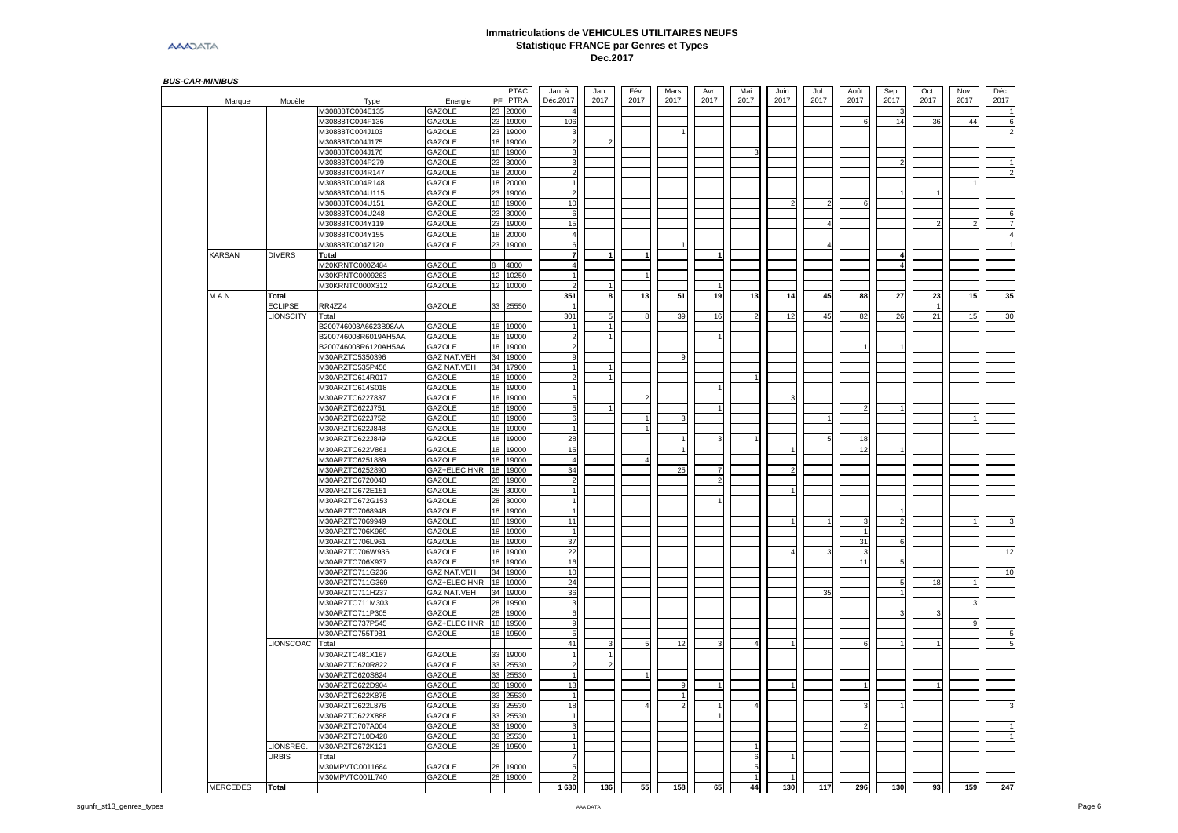| Marque          | Modèle           | Type                 | Energie               |    | PTAC<br>PF PTRA | Jan. à<br>Déc.2017 | Jan.<br>2017   | Fév.<br>2017 | Mars<br>2017 | Avr.<br>2017 | Mai<br>2017           | Juin<br>2017   | Jul.<br>2017 | Août<br>2017 | Sep.<br>2017 | Oct.<br>2017 | Nov.<br>2017 | Déc.<br>2017 |
|-----------------|------------------|----------------------|-----------------------|----|-----------------|--------------------|----------------|--------------|--------------|--------------|-----------------------|----------------|--------------|--------------|--------------|--------------|--------------|--------------|
|                 |                  | M30888TC004E135      | GAZOLE                |    | 23 20000        |                    |                |              |              |              |                       |                |              |              |              |              |              |              |
|                 |                  | M30888TC004F136      | <b>GAZOLE</b>         |    | 23 19000        | 106                |                |              |              |              |                       |                |              | 6            | 14           | 36           | 44           |              |
|                 |                  | M30888TC004J103      | GAZOLE                |    | 23 19000        |                    |                |              |              |              |                       |                |              |              |              |              |              |              |
|                 |                  | M30888TC004J175      | GAZOLE                |    | 18 19000        | -2                 | $\overline{2}$ |              |              |              |                       |                |              |              |              |              |              |              |
|                 |                  | M30888TC004J176      | GAZOLE                |    | 18 19000        |                    |                |              |              |              |                       |                |              |              |              |              |              |              |
|                 |                  | M30888TC004P279      | GAZOLE                | 23 | 30000           |                    |                |              |              |              |                       |                |              |              |              |              |              |              |
|                 |                  | M30888TC004R147      | GAZOLE                | 18 | 20000           |                    |                |              |              |              |                       |                |              |              |              |              |              |              |
|                 |                  | M30888TC004R148      | GAZOLE                | 18 | 20000           |                    |                |              |              |              |                       |                |              |              |              |              |              |              |
|                 |                  | M30888TC004U115      | <b>GAZOLE</b>         |    | 23 19000        | -2                 |                |              |              |              |                       |                |              |              |              |              |              |              |
|                 |                  | M30888TC004U151      | <b>GAZOLE</b>         |    | 18 19000        | 10                 |                |              |              |              |                       |                |              |              |              |              |              |              |
|                 |                  | M30888TC004U248      | GAZOLE                | 23 | 30000           | 6                  |                |              |              |              |                       |                |              |              |              |              |              |              |
|                 |                  |                      |                       |    |                 |                    |                |              |              |              |                       |                |              |              |              |              |              |              |
|                 |                  | M30888TC004Y119      | GAZOLE                | 23 | 19000           | 15                 |                |              |              |              |                       |                |              |              |              |              |              |              |
|                 |                  | M30888TC004Y155      | GAZOLE                |    | 18 20000        | $\overline{4}$     |                |              |              |              |                       |                |              |              |              |              |              |              |
|                 |                  | M30888TC004Z120      | GAZOLE                | 23 | 19000           | 6                  |                |              |              |              |                       |                | $\Delta$     |              |              |              |              |              |
| <b>KARSAN</b>   | <b>DIVERS</b>    | Total                |                       |    |                 | $\overline{7}$     |                |              |              |              |                       |                |              |              | 4            |              |              |              |
|                 |                  | M20KRNTC000Z484      | GAZOLE                | 8  | 4800            |                    |                |              |              |              |                       |                |              |              |              |              |              |              |
|                 |                  | M30KRNTC0009263      | GAZOLE                | 12 | 10250           |                    |                |              |              |              |                       |                |              |              |              |              |              |              |
|                 |                  | M30KRNTC000X312      | GAZOLE                |    | 12 10000        |                    |                |              |              |              |                       |                |              |              |              |              |              |              |
| M.A.N.          | Total            |                      |                       |    |                 | 351                | 8              | 13           | 51           | 19           | 13                    | 14             | 45           | 88           | 27           | 23           | 15           |              |
|                 | <b>ECLIPSE</b>   | RR4ZZ4               | GAZOLE                | 33 | 25550           |                    |                |              |              |              |                       |                |              |              |              |              |              |              |
|                 | <b>LIONSCITY</b> | Total                |                       |    |                 | 301                | 5              | $\mathsf{R}$ | 39           | 16           | $\mathcal{P}$         | 12             | 45           | 82           | 26           | 21           | 15           |              |
|                 |                  | B200746003A6623B98AA | GAZOLE                |    | 18 19000        |                    | $\overline{1}$ |              |              |              |                       |                |              |              |              |              |              |              |
|                 |                  | B200746008R6019AH5AA | GAZOLE                | 18 | 19000           |                    |                |              |              |              |                       |                |              |              |              |              |              |              |
|                 |                  | B200746008R6120AH5AA | GAZOLE                |    | 18 19000        |                    |                |              |              |              |                       |                |              |              |              |              |              |              |
|                 |                  | M30ARZTC5350396      | <b>GAZ NAT.VEH</b>    | 34 | 19000           | 9                  |                |              | q            |              |                       |                |              |              |              |              |              |              |
|                 |                  | M30ARZTC535P456      | GAZ NAT.VEH           |    | 34 17900        |                    |                |              |              |              |                       |                |              |              |              |              |              |              |
|                 |                  | M30ARZTC614R017      | <b>GAZOLE</b>         |    | 18 19000        |                    | $\overline{1}$ |              |              |              |                       |                |              |              |              |              |              |              |
|                 |                  | M30ARZTC614S018      | GAZOLE                |    | 18 19000        |                    |                |              |              |              |                       |                |              |              |              |              |              |              |
|                 |                  | M30ARZTC6227837      | GAZOLE                | 18 | 19000           |                    |                |              |              |              |                       |                |              |              |              |              |              |              |
|                 |                  | M30ARZTC622J751      | GAZOLE                | 18 | 19000           |                    |                |              |              |              |                       |                |              |              |              |              |              |              |
|                 |                  | M30ARZTC622J752      | <b>GAZOLE</b>         | 18 | 19000           | 6                  |                |              |              |              |                       |                |              |              |              |              |              |              |
|                 |                  | M30ARZTC622J848      | GAZOLE                |    | 18 19000        |                    |                |              |              |              |                       |                |              |              |              |              |              |              |
|                 |                  | M30ARZTC622J849      | <b>GAZOLE</b>         | 18 | 19000           | 28                 |                |              |              |              |                       |                | 5            | 18           |              |              |              |              |
|                 |                  | M30ARZTC622V861      | GAZOLE                | 18 | 19000           | 15                 |                |              |              |              |                       |                |              | 12           |              |              |              |              |
|                 |                  | M30ARZTC6251889      | GAZOLE                |    | 18 19000        | $\overline{A}$     |                |              |              |              |                       |                |              |              |              |              |              |              |
|                 |                  | M30ARZTC6252890      | GAZ+ELEC HNR 18 19000 |    |                 | 34                 |                |              | 25           |              |                       | 2              |              |              |              |              |              |              |
|                 |                  | M30ARZTC6720040      | GAZOLE                | 28 | 19000           |                    |                |              |              |              |                       |                |              |              |              |              |              |              |
|                 |                  | M30ARZTC672E151      | GAZOLE                |    | 28 30000        |                    |                |              |              |              |                       | 1              |              |              |              |              |              |              |
|                 |                  | M30ARZTC672G153      | <b>GAZOLE</b>         |    | 28 30000        |                    |                |              |              |              |                       |                |              |              |              |              |              |              |
|                 |                  | M30ARZTC7068948      | GAZOLE                | 18 | 19000           |                    |                |              |              |              |                       |                |              |              |              |              |              |              |
|                 |                  | M30ARZTC7069949      | GAZOLE                |    | 18 19000        | 11                 |                |              |              |              |                       |                |              |              |              |              |              |              |
|                 |                  | M30ARZTC706K960      | GAZOLE                |    | 18 19000        |                    |                |              |              |              |                       |                |              |              |              |              |              |              |
|                 |                  | M30ARZTC706L961      | GAZOLE                | 18 |                 | 37                 |                |              |              |              |                       |                |              | 31           | 6            |              |              |              |
|                 |                  |                      |                       |    | 19000           |                    |                |              |              |              |                       |                |              |              |              |              |              |              |
|                 |                  | M30ARZTC706W936      | GAZOLE                |    | 18 19000        | $\overline{22}$    |                |              |              |              |                       | $\overline{A}$ |              |              | 5            |              |              |              |
|                 |                  | M30ARZTC706X937      | GAZOLE                |    | 18 19000        | 16                 |                |              |              |              |                       |                |              | 11           |              |              |              |              |
|                 |                  | M30ARZTC711G236      | <b>GAZ NAT.VEH</b>    | 34 | 19000           | 10                 |                |              |              |              |                       |                |              |              |              |              |              |              |
|                 |                  | M30ARZTC711G369      | GAZ+ELEC HNR          | 18 | 19000           | 24                 |                |              |              |              |                       |                |              |              | 5            | 18           |              |              |
|                 |                  | M30ARZTC711H237      | <b>GAZ NAT.VEH</b>    | 34 | 19000           | 36                 |                |              |              |              |                       |                | 35           |              |              |              |              |              |
|                 |                  | M30ARZTC711M303      | GAZOLE                |    | 28 19500        | 3                  |                |              |              |              |                       |                |              |              |              |              |              |              |
|                 |                  | M30ARZTC711P305      | GAZOLE                |    | 28 19000        | 6                  |                |              |              |              |                       |                |              |              |              |              |              |              |
|                 |                  | M30ARZTC737P545      | GAZ+ELEC HNR          |    | 18 19500        | $\mathbf{q}$       |                |              |              |              |                       |                |              |              |              |              |              |              |
|                 |                  | M30ARZTC755T981      | GAZOLE                |    | 18 19500        |                    |                |              |              |              |                       |                |              |              |              |              |              |              |
|                 | LIONSCOAC        | Total                |                       |    |                 | 41                 |                |              | 12           |              |                       |                |              |              |              |              |              |              |
|                 |                  | M30ARZTC481X167      | GAZOLE                | 33 | 19000           |                    |                |              |              |              |                       |                |              |              |              |              |              |              |
|                 |                  | M30ARZTC620R822      | GAZOLE                |    | 33 25530        | 2                  |                |              |              |              |                       |                |              |              |              |              |              |              |
|                 |                  | M30ARZTC620S824      | GAZOLE                |    | 33 25530        |                    |                |              |              |              |                       |                |              |              |              |              |              |              |
|                 |                  | M30ARZTC622D904      | GAZOLE                | 33 | 19000           | 13                 |                |              | q            |              |                       |                |              |              |              |              |              |              |
|                 |                  | M30ARZTC622K875      | GAZOLE                |    | 33 25530        |                    |                |              |              |              |                       |                |              |              |              |              |              |              |
|                 |                  | M30ARZTC622L876      | GAZOLE                |    | 33 25530        | 18                 |                |              |              |              | $\boldsymbol{\Delta}$ |                |              |              |              |              |              |              |
|                 |                  | M30ARZTC622X888      | GAZOLE                |    | 33 25530        |                    |                |              |              |              |                       |                |              |              |              |              |              |              |
|                 |                  | M30ARZTC707A004      | GAZOLE                |    | 33 19000        | $\mathbf{a}$       |                |              |              |              |                       |                |              |              |              |              |              |              |
|                 |                  | M30ARZTC710D428      | GAZOLE                |    | 33 25530        |                    |                |              |              |              |                       |                |              |              |              |              |              |              |
|                 | <b>LIONSREG</b>  | M30ARZTC672K121      | GAZOLE                | 28 | 19500           |                    |                |              |              |              |                       |                |              |              |              |              |              |              |
|                 | <b>URBIS</b>     | Total                |                       |    |                 |                    |                |              |              |              | 6                     |                |              |              |              |              |              |              |
|                 |                  | M30MPVTC0011684      | GAZOLE                | 28 | 19000           |                    |                |              |              |              |                       |                |              |              |              |              |              |              |
|                 |                  | M30MPVTC001L740      | GAZOLE                |    | 28 19000        |                    |                |              |              |              |                       |                |              |              |              |              |              |              |
| <b>MERCEDES</b> |                  |                      |                       |    |                 |                    |                |              |              |              |                       |                |              |              |              |              |              |              |
|                 | <b>Total</b>     |                      |                       |    |                 | 1630               | 136            | 55           | 158          | 65           | 44                    | 130            | 117          | 296          | 130          | 93           | 159          |              |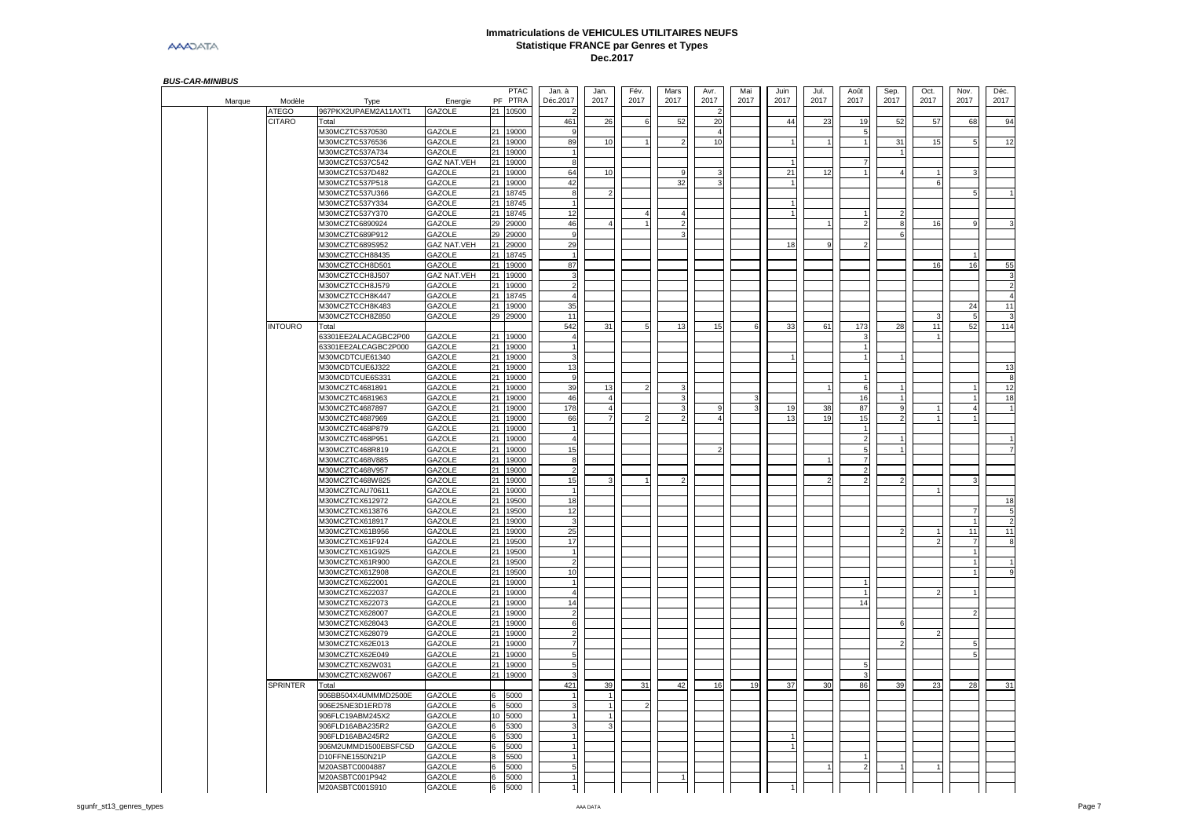# **Immatriculations de VEHICULES UTILITAIRES NEUFS Statistique FRANCE par Genres et Types Dec.2017**

. .

| Marque | Modèle         | Type                               | Energie            |      | PTAC<br>PF PTRA   | Jan. à<br>Déc.2017   | Jan.<br>2017   | Fév.<br>2017 | Mars<br>2017   | Avr.<br>2017   | Mai<br>2017 | Juin<br>2017 | Jul.<br>2017 | Août<br>2017   | Sep.<br>2017           | Oct.<br>2017 | Nov.<br>2017   | Déc.<br>2017   |
|--------|----------------|------------------------------------|--------------------|------|-------------------|----------------------|----------------|--------------|----------------|----------------|-------------|--------------|--------------|----------------|------------------------|--------------|----------------|----------------|
|        | <b>ATEGO</b>   | 967PKX2UPAEM2A11AXT1               | <b>GAZOLE</b>      | 21   | 10500             |                      |                |              |                | $\overline{2}$ |             |              |              |                |                        |              |                |                |
|        | <b>CITARO</b>  | Total                              |                    |      |                   | 461                  | 26             |              | 52             | 20             |             | 44           | 23           | 19             | 52                     | 57           | 68             | 94             |
|        |                | M30MCZTC5370530                    | GAZOLE             | 21   | 19000             |                      |                |              |                | $\overline{4}$ |             |              |              | 5              |                        |              |                |                |
|        |                | M30MCZTC5376536                    | <b>GAZOLE</b>      | 21   | 19000             | 89                   | 10             |              | $\overline{2}$ | 10             |             |              |              |                | 31                     | 15           | 5              | 12             |
|        |                | M30MCZTC537A734                    | <b>GAZOLE</b>      | 21   | 19000             |                      |                |              |                |                |             |              |              |                | $\overline{1}$         |              |                |                |
|        |                | M30MCZTC537C542                    | GAZ NAT.VEH        | 21   | 19000             | 8                    |                |              |                |                |             |              |              |                |                        |              |                |                |
|        |                | M30MCZTC537D482                    | GAZOLE             | 21   | 19000             | 64                   | 10             |              | q              |                |             | 21           | 12           |                | $\boldsymbol{\Lambda}$ |              |                |                |
|        |                | M30MCZTC537P518                    | <b>GAZOLE</b>      |      | 21 19000          | 42                   |                |              | 32             | 3              |             |              |              |                |                        | 6            |                |                |
|        |                | M30MCZTC537U366                    | GAZOLE             | 21   | 18745             | 8                    |                |              |                |                |             |              |              |                |                        |              | 5              |                |
|        |                | M30MCZTC537Y334                    | GAZOLE             | 21   | 18745             |                      |                |              |                |                |             |              |              |                |                        |              |                |                |
|        |                | M30MCZTC537Y370                    | <b>GAZOLE</b>      |      | 21 18745          | 12                   |                |              | 4              |                |             |              |              |                | $\overline{2}$         |              |                |                |
|        |                | M30MCZTC6890924                    | GAZOLE             | 29   | 29000             | 46                   |                |              | $\overline{2}$ |                |             |              |              |                | 8                      | 16           | 9              |                |
|        |                | M30MCZTC689P912                    | <b>GAZOLE</b>      |      | 29 29000          | 9                    |                |              | 3              |                |             |              |              |                | 6                      |              |                |                |
|        |                | M30MCZTC689S952                    | <b>GAZ NAT.VEH</b> | 21   | 29000             | 29                   |                |              |                |                |             | 18           |              |                |                        |              |                |                |
|        |                | M30MCZTCCH88435                    | <b>GAZOLE</b>      | 21 I | 18745             |                      |                |              |                |                |             |              |              |                |                        |              |                |                |
|        |                | M30MCZTCCH8D501                    | GAZOLE             | 21   | 19000             | 87                   |                |              |                |                |             |              |              |                |                        | 16           | 16             | 55             |
|        |                | M30MCZTCCH8J507                    | GAZ NAT.VEH        | 21   | 19000             | 3                    |                |              |                |                |             |              |              |                |                        |              |                | 3              |
|        |                | M30MCZTCCH8J579                    | GAZOLE             | 21   | 19000             | $\overline{2}$       |                |              |                |                |             |              |              |                |                        |              |                | $\overline{2}$ |
|        |                | M30MCZTCCH8K447                    | GAZOLE             | 21   | 18745             | $\overline{4}$       |                |              |                |                |             |              |              |                |                        |              |                | $\overline{4}$ |
|        |                | M30MCZTCCH8K483                    | GAZOLE             | 21   | 19000             | 35                   |                |              |                |                |             |              |              |                |                        |              | 24             | 11             |
|        |                | M30MCZTCCH8Z850                    | GAZOLE             | 29   | 29000             | 11                   |                |              |                |                |             |              |              |                |                        | 3            | 5              |                |
|        | <b>INTOURO</b> | Total                              |                    |      |                   | 542                  | 31             |              | 13             | 15             |             | 33           | 61           | 173            | 28                     | 11           | 52             | 114            |
|        |                | 63301EE2ALACAGBC2P00               | GAZOLE             | 21   | 19000             |                      |                |              |                |                |             |              |              |                |                        |              |                |                |
|        |                | 63301EE2ALCAGBC2P000               | GAZOLE             |      | 21 19000          |                      |                |              |                |                |             |              |              |                |                        |              |                |                |
|        |                | M30MCDTCUE61340                    | <b>GAZOLE</b>      | 21   | 19000             | 3                    |                |              |                |                |             |              |              |                |                        |              |                |                |
|        |                | M30MCDTCUE6J322                    | GAZOLE             | 21   | 19000             | 13                   |                |              |                |                |             |              |              |                |                        |              |                | 13             |
|        |                | M30MCDTCUE6S331                    | GAZOLE             | 21   | 19000             | 9                    |                |              |                |                |             |              |              |                |                        |              |                | 8              |
|        |                | M30MCZTC4681891                    | <b>GAZOLE</b>      | 21   | 19000             | 39                   | 13             |              |                |                |             |              |              | 6              |                        |              |                | 12             |
|        |                | M30MCZTC4681963                    | GAZOLE             | 21   | 19000             | 46                   |                |              | 3              |                |             |              |              | 16             |                        |              |                | 18             |
|        |                | M30MCZTC4687897                    | GAZOLE             | 21   | 19000             | 178                  | $\overline{4}$ |              | 3              |                |             | 19           | 38           | 87             | 9                      |              | $\overline{4}$ |                |
|        |                | M30MCZTC4687969                    | GAZOLE             | 21   | 19000             | 66                   |                |              | $\mathfrak{p}$ |                |             | 13           | 19           | 15             | $\overline{2}$         |              |                |                |
|        |                | M30MCZTC468P879                    | GAZOLE             | 21   | 19000             |                      |                |              |                |                |             |              |              | $\overline{2}$ | $\overline{1}$         |              |                | $\overline{1}$ |
|        |                | M30MCZTC468P951<br>M30MCZTC468R819 | GAZOLE<br>GAZOLE   | 21   | 21 19000<br>19000 | $\overline{4}$<br>15 |                |              |                |                |             |              |              |                |                        |              |                | $\overline{7}$ |
|        |                | M30MCZTC468V885                    | <b>GAZOLE</b>      | 21   | 19000             | 8                    |                |              |                |                |             |              |              |                |                        |              |                |                |
|        |                |                                    | GAZOLE             | 21   |                   |                      |                |              |                |                |             |              |              |                |                        |              |                |                |
|        |                | M30MCZTC468V957<br>M30MCZTC468W825 | GAZOLE             | 21   | 19000<br>19000    | 15                   |                |              |                |                |             |              |              |                |                        |              | 3              |                |
|        |                | M30MCZTCAU70611                    | GAZOLE             | 21   | 19000             |                      |                |              |                |                |             |              |              |                |                        |              |                |                |
|        |                | M30MCZTCX612972                    | <b>GAZOLE</b>      | 21   | 19500             | 18                   |                |              |                |                |             |              |              |                |                        |              |                | 18             |
|        |                | M30MCZTCX613876                    | GAZOLE             | 21   | 19500             | 12                   |                |              |                |                |             |              |              |                |                        |              |                |                |
|        |                | M30MCZTCX618917                    | GAZOLE             | 21   | 19000             | $\mathcal{R}$        |                |              |                |                |             |              |              |                |                        |              |                |                |
|        |                | M30MCZTCX61B956                    | <b>GAZOLE</b>      | 21   | 19000             | 25                   |                |              |                |                |             |              |              |                |                        |              | 11             | 11             |
|        |                | M30MCZTCX61F924                    | GAZOLE             | 21   | 19500             | 17                   |                |              |                |                |             |              |              |                |                        |              | $\overline{7}$ | 8              |
|        |                | M30MCZTCX61G925                    | GAZOLE             | 21   | 19500             |                      |                |              |                |                |             |              |              |                |                        |              | $\overline{1}$ |                |
|        |                | M30MCZTCX61R900                    | <b>GAZOLE</b>      | 21   | 19500             | $\overline{2}$       |                |              |                |                |             |              |              |                |                        |              | $\overline{1}$ |                |
|        |                | M30MCZTCX61Z908                    | GAZOLE             | 21   | 19500             | 10                   |                |              |                |                |             |              |              |                |                        |              |                |                |
|        |                | M30MCZTCX622001                    | <b>GAZOLE</b>      | 21   | 19000             |                      |                |              |                |                |             |              |              |                |                        |              |                |                |
|        |                | M30MCZTCX622037                    | GAZOLE             | 21   | 19000             | $\overline{a}$       |                |              |                |                |             |              |              |                |                        |              |                |                |
|        |                | M30MCZTCX622073                    | GAZOLE             | 21   | 19000             | 14                   |                |              |                |                |             |              |              | 14             |                        |              |                |                |
|        |                | M30MCZTCX628007                    | GAZOLE             | 21   | 19000             | $\mathcal{P}$        |                |              |                |                |             |              |              |                |                        |              | $\overline{2}$ |                |
|        |                | M30MCZTCX628043                    | GAZOLE             | 21   | 19000             | 6                    |                |              |                |                |             |              |              |                | 6                      |              |                |                |
|        |                | M30MCZTCX628079                    | <b>GAZOLE</b>      | 21   | 19000             |                      |                |              |                |                |             |              |              |                |                        |              |                |                |
|        |                | M30MCZTCX62E013                    | GAZOLE             | 21   | 19000             |                      |                |              |                |                |             |              |              |                |                        |              | 5              |                |
|        |                | M30MCZTCX62E049                    | GAZOLE             | 21   | 19000             | 5                    |                |              |                |                |             |              |              |                |                        |              | 5              |                |
|        |                | M30MCZTCX62W031                    | <b>GAZOLE</b>      | 21   | 19000             | 5                    |                |              |                |                |             |              |              |                |                        |              |                |                |
|        |                | M30MCZTCX62W067                    | <b>GAZOLE</b>      |      | 21 19000          |                      |                |              |                |                |             |              |              |                |                        |              |                |                |
|        | SPRINTER       | Total                              |                    |      |                   | 421                  | 39             | 31           | 42             | 16             | 19          | 37           | 30           | 86             | 39                     | 23           | 28             | 31             |
|        |                | 906BB504X4UMMMD2500E               | GAZOLE             | 6    | 5000              |                      |                |              |                |                |             |              |              |                |                        |              |                |                |
|        |                | 906E25NE3D1ERD78                   | <b>GAZOLE</b>      | 6    | 5000              |                      | 1              |              |                |                |             |              |              |                |                        |              |                |                |
|        |                | 906FLC19ABM245X2                   | GAZOLE             | 10   | 5000              |                      |                |              |                |                |             |              |              |                |                        |              |                |                |
|        |                | 906FLD16ABA235R2                   | <b>GAZOLE</b>      | 6    | 5300              |                      |                |              |                |                |             |              |              |                |                        |              |                |                |
|        |                | 906FLD16ABA245R2                   | <b>GAZOLE</b>      | 6    | 5300              |                      |                |              |                |                |             |              |              |                |                        |              |                |                |
|        |                | 906M2UMMD1500EBSFC5D               | GAZOLE             |      | 5000              |                      |                |              |                |                |             |              |              |                |                        |              |                |                |
|        |                | D10FFNE1550N21P                    | GAZOLE             | 8    | 5500              |                      |                |              |                |                |             |              |              |                |                        |              |                |                |
|        |                | M20ASBTC0004887                    | GAZOLE             |      | 5000              |                      |                |              |                |                |             |              |              |                |                        |              |                |                |
|        |                | M20ASBTC001P942                    | <b>GAZOLE</b>      | 6    | 5000              |                      |                |              |                |                |             |              |              |                |                        |              |                |                |
|        |                | M20ASBTC001S910                    | <b>GAZOLE</b>      | 6    | 5000              |                      |                |              |                |                |             |              |              |                |                        |              |                |                |
|        |                |                                    |                    |      |                   |                      |                |              |                |                |             |              |              |                |                        |              |                |                |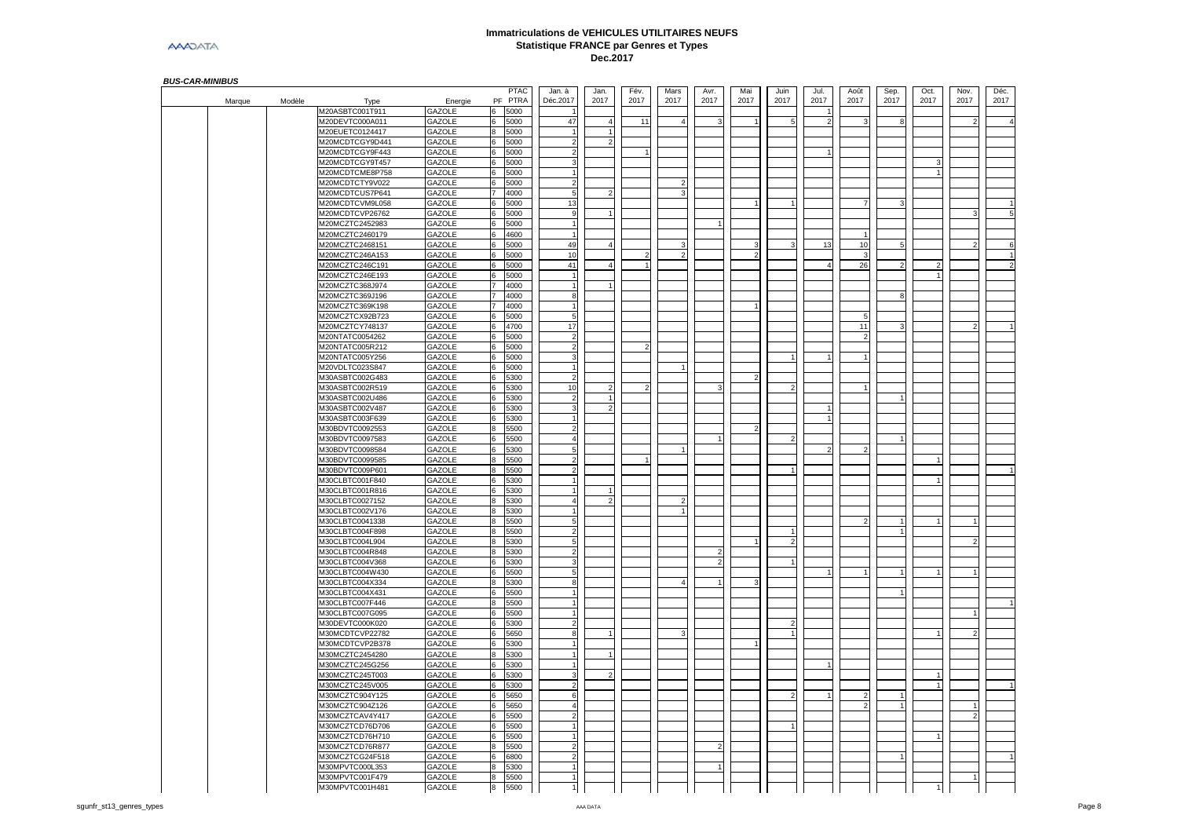# **Immatriculations de VEHICULES UTILITAIRES NEUFS Statistique FRANCE par Genres et Types Dec.2017**

- -

|        |        |                                    |                         |        | PTAC<br>PF PTRA | Jan. à<br>Déc.2017 | Jan.<br>2017             | Fév.<br>2017            | Mars<br>2017   | Avr.<br>2017 | Mai<br>2017 | Juin<br>2017 | Jul.<br>2017 | Août<br>2017       | Sep.<br>2017  | Oct.<br>2017   | Nov.<br>2017   | Déc.<br>2017   |
|--------|--------|------------------------------------|-------------------------|--------|-----------------|--------------------|--------------------------|-------------------------|----------------|--------------|-------------|--------------|--------------|--------------------|---------------|----------------|----------------|----------------|
| Marque | Modèle | Type                               | Energie                 | Ŕ.     |                 |                    |                          |                         |                |              |             |              |              |                    |               |                |                |                |
|        |        | M20ASBTC001T911                    | <b>GAZOLE</b>           |        | 5000            | 47                 |                          |                         |                |              |             |              |              |                    |               |                |                |                |
|        |        | M20DEVTC000A011                    | GAZOLE                  |        | 5000            |                    | $\overline{4}$           | 11                      | $\overline{4}$ |              |             |              |              |                    |               |                | $\overline{2}$ |                |
|        |        | M20EUETC0124417                    | GAZOLE                  |        | 5000            |                    |                          |                         |                |              |             |              |              |                    |               |                |                |                |
|        |        | M20MCDTCGY9D441                    | GAZOLE                  | 6      | 5000            | $\overline{2}$     | $\overline{\phantom{a}}$ |                         |                |              |             |              |              |                    |               |                |                |                |
|        |        | M20MCDTCGY9F443                    | <b>GAZOLE</b>           | 6      | 5000            |                    |                          |                         |                |              |             |              |              |                    |               |                |                |                |
|        |        | M20MCDTCGY9T457                    | GAZOLE                  | 6      | 5000            |                    |                          |                         |                |              |             |              |              |                    |               |                |                |                |
|        |        | M20MCDTCME8P758                    | <b>GAZOLE</b>           |        | 5000            |                    |                          |                         |                |              |             |              |              |                    |               |                |                |                |
|        |        | M20MCDTCTY9V022                    | GAZOLE                  |        | 5000            | $\overline{2}$     |                          |                         |                |              |             |              |              |                    |               |                |                |                |
|        |        | M20MCDTCUS7P641                    | GAZOLE                  |        | 4000            | 5                  |                          |                         | 3              |              |             |              |              |                    |               |                |                |                |
|        |        | M20MCDTCVM9L058                    | GAZOLE                  |        | 5000            | 13                 |                          |                         |                |              |             |              |              |                    |               |                |                |                |
|        |        | M20MCDTCVP26762                    | <b>GAZOLE</b>           | 6      | 5000            |                    |                          |                         |                |              |             |              |              |                    |               |                |                | -5             |
|        |        | M20MCZTC2452983                    | GAZOLE                  |        | 5000            |                    |                          |                         |                |              |             |              |              |                    |               |                |                |                |
|        |        | M20MCZTC2460179                    | <b>GAZOLE</b>           | ĥ      | 4600            |                    |                          |                         |                |              |             |              |              |                    |               |                |                |                |
|        |        | M20MCZTC2468151                    | <b>GAZOLE</b>           |        | 5000            | 49                 |                          |                         | 3              |              | 3           |              | 13           | 10                 |               |                | $\overline{2}$ | 6              |
|        |        | M20MCZTC246A153                    | GAZOLE                  |        | 5000            | 10                 |                          | $\overline{\mathbf{c}}$ | $\overline{2}$ |              |             |              |              | $\mathbf{\hat{z}}$ |               |                |                | $\overline{1}$ |
|        |        | M20MCZTC246C191                    | GAZOLE                  | 6      | 5000            | 41                 | $\boldsymbol{\Delta}$    |                         |                |              |             |              |              | 26                 | $\mathcal{P}$ |                |                |                |
|        |        | M20MCZTC246E193                    | GAZOLE                  | 6      | 5000            |                    |                          |                         |                |              |             |              |              |                    |               |                |                |                |
|        |        | M20MCZTC368J974                    | <b>GAZOLE</b>           |        | 4000            |                    |                          |                         |                |              |             |              |              |                    |               |                |                |                |
|        |        | M20MCZTC369J196                    | GAZOLE                  |        | 4000            | 8                  |                          |                         |                |              |             |              |              |                    | 8             |                |                |                |
|        |        | M20MCZTC369K198                    | GAZOLE                  |        | 4000            |                    |                          |                         |                |              |             |              |              |                    |               |                |                |                |
|        |        | M20MCZTCX92B723                    | GAZOLE                  |        | 5000            | 5                  |                          |                         |                |              |             |              |              | 5                  |               |                |                |                |
|        |        | M20MCZTCY748137                    | <b>GAZOLE</b>           | 6      | 4700            | 17                 |                          |                         |                |              |             |              |              | 11                 |               |                |                |                |
|        |        | M20NTATC0054262                    | GAZOLE                  | 6      | 5000            | $\mathcal{P}$      |                          |                         |                |              |             |              |              | 2                  |               |                |                |                |
|        |        | M20NTATC005R212                    | <b>GAZOLE</b>           | Ŕ.     | 5000            | $\overline{2}$     |                          |                         |                |              |             |              |              |                    |               |                |                |                |
|        |        | M20NTATC005Y256                    | GAZOLE                  |        | 5000            | 3                  |                          |                         |                |              |             |              |              |                    |               |                |                |                |
|        |        | M20VDLTC023S847                    | GAZOLE                  |        | 5000            |                    |                          |                         |                |              |             |              |              |                    |               |                |                |                |
|        |        | M30ASBTC002G483                    | GAZOLE                  |        | 5300            | $\overline{2}$     |                          |                         |                |              |             |              |              |                    |               |                |                |                |
|        |        | M30ASBTC002R519                    | <b>GAZOLE</b>           | 6      | 5300            | 10                 |                          | $\overline{2}$          |                |              |             |              |              |                    |               |                |                |                |
|        |        | M30ASBTC002U486                    | GAZOLE                  |        | 5300            |                    |                          |                         |                |              |             |              |              |                    |               |                |                |                |
|        |        | M30ASBTC002V487                    | GAZOLE                  | 6      | 5300            |                    |                          |                         |                |              |             |              |              |                    |               |                |                |                |
|        |        | M30ASBTC003F639                    | GAZOLE                  |        | 5300            |                    |                          |                         |                |              |             |              |              |                    |               |                |                |                |
|        |        | M30BDVTC0092553                    | GAZOLE                  |        | 5500            |                    |                          |                         |                |              |             |              |              |                    |               |                |                |                |
|        |        | M30BDVTC0097583                    | GAZOLE                  | 6      | 5500            | $\overline{4}$     |                          |                         |                |              |             |              |              |                    |               |                |                |                |
|        |        | M30BDVTC0098584                    | GAZOLE                  | 6      | 5300            |                    |                          |                         |                |              |             |              |              |                    |               |                |                |                |
|        |        | M30BDVTC0099585                    | <b>GAZOLE</b>           | 8      | 5500            | $\overline{2}$     |                          |                         |                |              |             |              |              |                    |               |                |                |                |
|        |        | M30BDVTC009P601                    | GAZOLE                  |        | 5500            |                    |                          |                         |                |              |             |              |              |                    |               |                |                |                |
|        |        | M30CLBTC001F840                    | GAZOLE                  |        | 5300            |                    |                          |                         |                |              |             |              |              |                    |               |                |                |                |
|        |        | M30CLBTC001R816<br>M30CLBTC0027152 | GAZOLE<br><b>GAZOLE</b> | 6<br>8 | 5300<br>5300    | $\overline{a}$     | $\mathfrak{p}$           |                         |                |              |             |              |              |                    |               |                |                |                |
|        |        |                                    | GAZOLE                  |        |                 |                    |                          |                         |                |              |             |              |              |                    |               |                |                |                |
|        |        | M30CLBTC002V176<br>M30CLBTC0041338 | <b>GAZOLE</b>           | R      | 5300<br>5500    | 5                  |                          |                         |                |              |             |              |              |                    |               |                |                |                |
|        |        | M30CLBTC004F898                    | GAZOLE                  |        | 5500            | $\mathcal{P}$      |                          |                         |                |              |             |              |              |                    |               |                |                |                |
|        |        | M30CLBTC004L904                    | GAZOLE                  |        | 5300            | 5                  |                          |                         |                |              |             |              |              |                    |               |                |                |                |
|        |        | M30CLBTC004R848                    | GAZOLE                  | 8      | 5300            | $\overline{2}$     |                          |                         |                |              |             |              |              |                    |               |                |                |                |
|        |        | M30CLBTC004V368                    | <b>GAZOLE</b>           | 6      | 5300            |                    |                          |                         |                |              |             |              |              |                    |               |                |                |                |
|        |        | M30CLBTC004W430                    | GAZOLE                  |        | 5500            |                    |                          |                         |                |              |             |              |              |                    |               |                |                |                |
|        |        | M30CLBTC004X334                    | GAZOLE                  | 8      | 5300            |                    |                          |                         | $\Delta$       |              |             |              |              |                    |               |                |                |                |
|        |        | M30CLBTC004X431                    | GAZOLE                  |        | 5500            |                    |                          |                         |                |              |             |              |              |                    |               |                |                |                |
|        |        | M30CLBTC007F446                    | GAZOLE                  |        | 5500            |                    |                          |                         |                |              |             |              |              |                    |               |                |                |                |
|        |        | M30CLBTC007G095                    | GAZOLE                  | 6      | 5500            |                    |                          |                         |                |              |             |              |              |                    |               |                |                |                |
|        |        | M30DEVTC000K020                    | GAZOLE                  | 6      | 5300            |                    |                          |                         |                |              |             |              |              |                    |               |                |                |                |
|        |        | M30MCDTCVP22782                    | <b>GAZOLE</b>           |        | 5650            |                    |                          |                         |                |              |             |              |              |                    |               |                |                |                |
|        |        | M30MCDTCVP2B378                    | GAZOLE                  |        | 5300            |                    |                          |                         |                |              |             |              |              |                    |               |                |                |                |
|        |        | M30MCZTC2454280                    | GAZOLE                  |        | 5300            |                    |                          |                         |                |              |             |              |              |                    |               |                |                |                |
|        |        | M30MCZTC245G256                    | GAZOLE                  | 6      | 5300            |                    |                          |                         |                |              |             |              |              |                    |               |                |                |                |
|        |        | M30MCZTC245T003                    | <b>GAZOLE</b>           | 6      | 5300            |                    | $\mathcal{D}$            |                         |                |              |             |              |              |                    |               | $\overline{1}$ |                |                |
|        |        | M30MCZTC245V005                    | GAZOLE                  |        | 5300            |                    |                          |                         |                |              |             |              |              |                    |               |                |                |                |
|        |        | M30MCZTC904Y125                    | GAZOLE                  | Ŕ.     | 5650            | 6                  |                          |                         |                |              |             |              |              |                    |               |                |                |                |
|        |        | M30MCZTC904Z126                    | <b>GAZOLE</b>           |        | 5650            | $\overline{a}$     |                          |                         |                |              |             |              |              |                    |               |                | $\overline{1}$ |                |
|        |        | M30MCZTCAV4Y417                    | GAZOLE                  |        | 5500            |                    |                          |                         |                |              |             |              |              |                    |               |                |                |                |
|        |        | M30MCZTCD76D706                    | <b>GAZOLE</b>           | 6      | 5500            |                    |                          |                         |                |              |             |              |              |                    |               |                |                |                |
|        |        | M30MCZTCD76H710                    | <b>GAZOLE</b>           | 6      | 5500            |                    |                          |                         |                |              |             |              |              |                    |               |                |                |                |
|        |        | M30MCZTCD76R877                    | GAZOLE                  |        | 5500            |                    |                          |                         |                |              |             |              |              |                    |               |                |                |                |
|        |        | M30MCZTCG24F518                    | GAZOLE                  |        | 6800            |                    |                          |                         |                |              |             |              |              |                    |               |                |                |                |
|        |        | M30MPVTC000L353                    | GAZOLE                  |        | 5300            |                    |                          |                         |                |              |             |              |              |                    |               |                |                |                |
|        |        | M30MPVTC001F479                    | <b>GAZOLE</b>           |        | 5500            |                    |                          |                         |                |              |             |              |              |                    |               |                |                |                |
|        |        | M30MPVTC001H481                    | <b>GAZOLE</b>           | 8      | 5500            |                    |                          |                         |                |              |             |              |              |                    |               |                |                |                |
|        |        |                                    |                         |        |                 |                    |                          |                         |                |              |             |              |              |                    |               |                |                |                |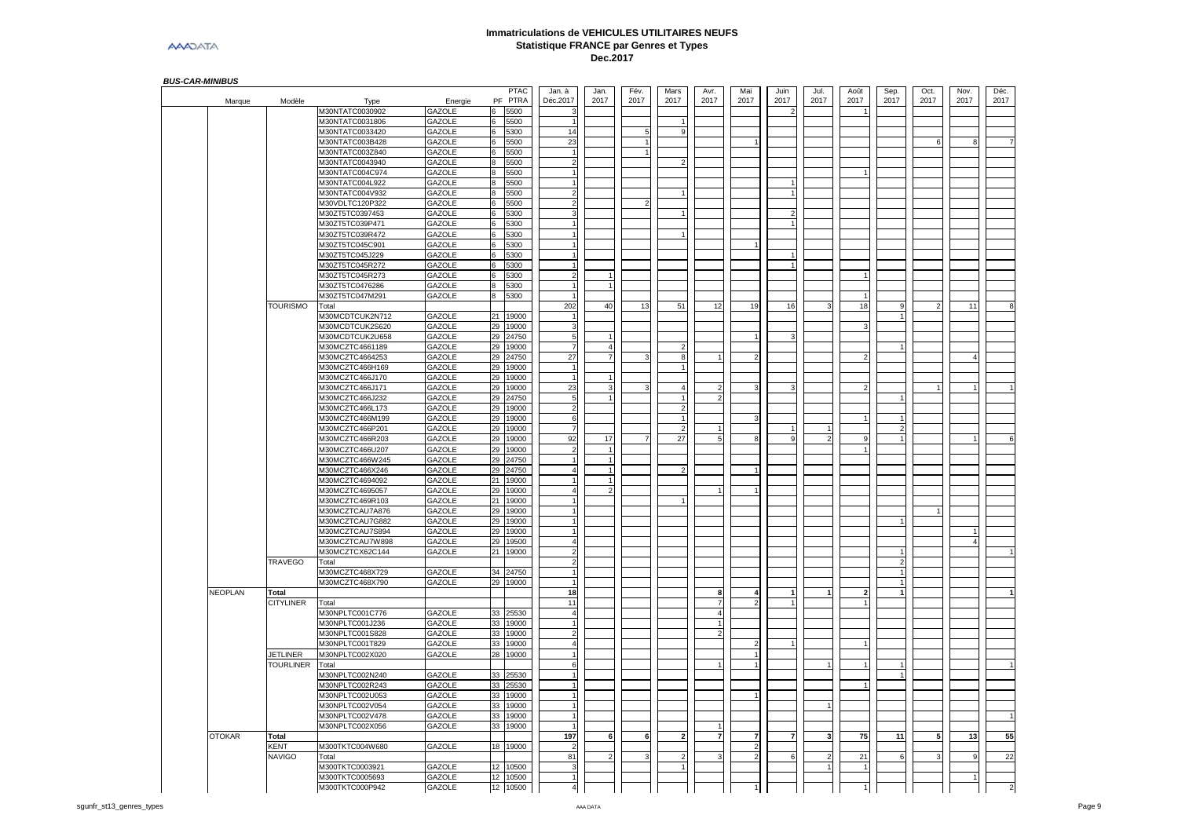|                |                  |                 |                  |                 | PTAC           | Jan, à                | Jan.                     | Fév. | Mars           | Avr. | Mai  | Juin | Jul. | Août           | Sep.           | Oct. | Nov.           | Déc. |
|----------------|------------------|-----------------|------------------|-----------------|----------------|-----------------------|--------------------------|------|----------------|------|------|------|------|----------------|----------------|------|----------------|------|
| Marque         | Modèle           | Type            | Energie          |                 | PF PTRA        | Déc.2017              | 2017                     | 2017 | 2017           | 2017 | 2017 | 2017 | 2017 | 2017           | 2017           | 2017 | 2017           | 2017 |
|                |                  | M30NTATC0030902 | GAZOLE           |                 | 5500           |                       |                          |      |                |      |      |      |      |                |                |      |                |      |
|                |                  | M30NTATC0031806 | GAZOLE           | 6               | 5500           |                       |                          |      |                |      |      |      |      |                |                |      |                |      |
|                |                  | M30NTATC0033420 | GAZOLE           |                 | 5300           | 14                    |                          |      | q              |      |      |      |      |                |                |      |                |      |
|                |                  | M30NTATC003B428 | GAZOLE           |                 | 5500           | 23                    |                          |      |                |      |      |      |      |                |                | 6    | 8              |      |
|                |                  | M30NTATC003Z840 | GAZOLE           | 6               | 5500           |                       |                          |      |                |      |      |      |      |                |                |      |                |      |
|                |                  | M30NTATC0043940 | GAZOLE           |                 | 5500           |                       |                          |      |                |      |      |      |      |                |                |      |                |      |
|                |                  | M30NTATC004C974 | GAZOLE           |                 | 5500           |                       |                          |      |                |      |      |      |      |                |                |      |                |      |
|                |                  | M30NTATC004L922 | GAZOLE           |                 | 5500           |                       |                          |      |                |      |      |      |      |                |                |      |                |      |
|                |                  | M30NTATC004V932 | <b>GAZOLE</b>    |                 | 5500           |                       |                          |      |                |      |      |      |      |                |                |      |                |      |
|                |                  | M30VDLTC120P322 | GAZOLE           |                 | 5500           |                       |                          |      |                |      |      |      |      |                |                |      |                |      |
|                |                  | M30ZT5TC0397453 | GAZOLE           | 6               | 5300           |                       |                          |      |                |      |      |      |      |                |                |      |                |      |
|                |                  | M30ZT5TC039P471 | GAZOLE           |                 | 5300           |                       |                          |      |                |      |      |      |      |                |                |      |                |      |
|                |                  | M30ZT5TC039R472 | GAZOLE           |                 | 5300           |                       |                          |      |                |      |      |      |      |                |                |      |                |      |
|                |                  | M30ZT5TC045C901 | GAZOLE           |                 | 5300           |                       |                          |      |                |      |      |      |      |                |                |      |                |      |
|                |                  | M30ZT5TC045J229 | GAZOLE           | 6               | 5300           |                       |                          |      |                |      |      |      |      |                |                |      |                |      |
|                |                  | M30ZT5TC045R272 | GAZOLE           | 6               | 5300           |                       |                          |      |                |      |      |      |      |                |                |      |                |      |
|                |                  | M30ZT5TC045R273 | GAZOLE           | 6               | 5300           |                       |                          |      |                |      |      |      |      |                |                |      |                |      |
|                |                  | M30ZT5TC0476286 | GAZOLE           | 8               | 5300           |                       | $\overline{1}$           |      |                |      |      |      |      |                |                |      |                |      |
|                |                  | M30ZT5TC047M291 | GAZOLE           | <b>R</b>        | 5300           |                       |                          |      |                |      |      |      |      |                |                |      |                |      |
|                | <b>TOURISMO</b>  | Total           |                  |                 |                | 202                   | 40                       | 13   | 51             | 12   | 19   | 16   |      | 18             |                |      | 11             |      |
|                |                  | M30MCDTCUK2N712 | GAZOLE           | 21              | 19000          |                       |                          |      |                |      |      |      |      |                |                |      |                |      |
|                |                  | M30MCDTCUK2S620 | GAZOLE           | 29              | 19000          |                       |                          |      |                |      |      |      |      |                |                |      |                |      |
|                |                  | M30MCDTCUK2U658 | GAZOLE           | 29              | 24750          |                       |                          |      |                |      |      |      |      |                |                |      |                |      |
|                |                  | M30MCZTC4661189 | GAZOLE           |                 | 29 19000       |                       | $\overline{4}$           |      |                |      |      |      |      |                |                |      |                |      |
|                |                  | M30MCZTC4664253 | GAZOLE           | 29              | 24750          | 27                    |                          |      | 8              |      |      |      |      | 2              |                |      |                |      |
|                |                  | M30MCZTC466H169 | GAZOLE           | 29              | 19000          |                       |                          |      |                |      |      |      |      |                |                |      |                |      |
|                |                  |                 |                  |                 |                |                       | $\overline{1}$           |      |                |      |      |      |      |                |                |      |                |      |
|                |                  | M30MCZTC466J170 | GAZOLE<br>GAZOLE | 29<br>29        | 19000<br>19000 | 23                    | $\mathcal{R}$            |      |                |      |      |      |      |                |                |      |                |      |
|                |                  | M30MCZTC466J171 |                  |                 |                |                       |                          |      |                |      |      |      |      |                |                |      |                |      |
|                |                  | M30MCZTC466J232 | GAZOLE           | 29              | 24750          |                       |                          |      |                |      |      |      |      |                |                |      |                |      |
|                |                  | M30MCZTC466L173 | GAZOLE           | 29              | 19000          |                       |                          |      |                |      |      |      |      |                |                |      |                |      |
|                |                  | M30MCZTC466M199 | GAZOLE           | 29              | 19000          | -6                    |                          |      |                |      |      |      |      |                |                |      |                |      |
|                |                  | M30MCZTC466P201 | <b>GAZOLE</b>    | 29              | 19000          |                       |                          |      | $\overline{2}$ |      |      |      |      |                |                |      |                |      |
|                |                  | M30MCZTC466R203 | GAZOLE           |                 | 29 19000       | 92                    | 17                       |      | 27             |      | 8    |      |      |                |                |      |                |      |
|                |                  | M30MCZTC466U207 | GAZOLE           | 29              | 19000          |                       | $\overline{1}$           |      |                |      |      |      |      |                |                |      |                |      |
|                |                  | M30MCZTC466W245 | GAZOLE           |                 | 29 24750       |                       | $\overline{1}$           |      |                |      |      |      |      |                |                |      |                |      |
|                |                  | M30MCZTC466X246 | GAZOLE           | 29              | 24750          |                       | $\overline{1}$           |      |                |      |      |      |      |                |                |      |                |      |
|                |                  | M30MCZTC4694092 | GAZOLE           | 21              | 19000          |                       | $\overline{1}$           |      |                |      |      |      |      |                |                |      |                |      |
|                |                  | M30MCZTC4695057 | GAZOLE           | 29              | 19000          |                       | $\overline{\phantom{a}}$ |      |                |      |      |      |      |                |                |      |                |      |
|                |                  | M30MCZTC469R103 | GAZOLE           | 21              | 19000          |                       |                          |      |                |      |      |      |      |                |                |      |                |      |
|                |                  | M30MCZTCAU7A876 | GAZOLE           | 29              | 19000          |                       |                          |      |                |      |      |      |      |                |                |      |                |      |
|                |                  | M30MCZTCAU7G882 | GAZOLE           | 29              | 19000          |                       |                          |      |                |      |      |      |      |                |                |      |                |      |
|                |                  | M30MCZTCAU7S894 | GAZOLE           | 29              | 19000          |                       |                          |      |                |      |      |      |      |                |                |      |                |      |
|                |                  | M30MCZTCAU7W898 | GAZOLE           | 29              | 19500          | $\boldsymbol{\Delta}$ |                          |      |                |      |      |      |      |                |                |      | $\overline{a}$ |      |
|                |                  | M30MCZTCX62C144 | GAZOLE           |                 | 21 19000       |                       |                          |      |                |      |      |      |      |                |                |      |                |      |
|                | <b>TRAVEGO</b>   | Total           |                  |                 |                |                       |                          |      |                |      |      |      |      |                | $\overline{2}$ |      |                |      |
|                |                  | M30MCZTC468X729 | <b>GAZOLE</b>    | 34              | 24750          |                       |                          |      |                |      |      |      |      |                |                |      |                |      |
|                |                  | M30MCZTC468X790 | GAZOLE           |                 | 29 19000       |                       |                          |      |                |      |      |      |      |                |                |      |                |      |
| <b>NEOPLAN</b> | Total            |                 |                  |                 |                | 18                    |                          |      |                | 8    |      |      |      | $\overline{2}$ |                |      |                |      |
|                | <b>CITYLINER</b> | Total           |                  |                 |                | 11                    |                          |      |                |      |      |      |      |                |                |      |                |      |
|                |                  | M30NPLTC001C776 | GAZOLE           | 33              | 25530          | $\overline{4}$        |                          |      |                |      |      |      |      |                |                |      |                |      |
|                |                  | M30NPLTC001J236 | GAZOLE           |                 | 33 19000       |                       |                          |      |                |      |      |      |      |                |                |      |                |      |
|                |                  |                 | <b>GAZOLE</b>    | 33              |                | $\mathcal{P}$         |                          |      |                |      |      |      |      |                |                |      |                |      |
|                |                  | M30NPLTC001S828 |                  |                 | 19000          |                       |                          |      |                |      |      |      |      |                |                |      |                |      |
|                |                  | 030NPLTC001T829 | GAZOLE           | 33              | 19000          |                       |                          |      |                |      |      |      |      |                |                |      |                |      |
|                | <b>JETLINER</b>  | M30NPLTC002X020 | GAZOLE           | 28              | 19000          |                       |                          |      |                |      |      |      |      |                |                |      |                |      |
|                | <b>TOURLINER</b> | Total           |                  |                 |                | 6                     |                          |      |                |      |      |      |      |                |                |      |                |      |
|                |                  | M30NPLTC002N240 | GAZOLE           | 33              | 25530          |                       |                          |      |                |      |      |      |      |                |                |      |                |      |
|                |                  | 030NPLTC002R243 | GAZOLE           | 33              | 25530          |                       |                          |      |                |      |      |      |      |                |                |      |                |      |
|                |                  | M30NPLTC002U053 | GAZOLE           | 33              | 19000          |                       |                          |      |                |      |      |      |      |                |                |      |                |      |
|                |                  | M30NPLTC002V054 | GAZOLE           | 33              | 19000          |                       |                          |      |                |      |      |      |      |                |                |      |                |      |
|                |                  | M30NPLTC002V478 | GAZOLE           | 33              | 19000          |                       |                          |      |                |      |      |      |      |                |                |      |                |      |
|                |                  | M30NPLTC002X056 | GAZOLE           |                 | 33 19000       |                       |                          |      |                |      |      |      |      |                |                |      |                |      |
| <b>OTOKAR</b>  | Total            |                 |                  |                 |                | 197                   | 6                        |      |                |      |      |      |      | 75             | 11             | 5    | 13             |      |
|                | KENT             | M300TKTC004W680 | GAZOLE           | 18              | 19000          |                       |                          |      |                |      |      |      |      |                |                |      |                |      |
|                | NAVIGO           | Total           |                  |                 |                | 81                    |                          |      |                |      |      |      |      | 21             | 6              |      | 9              |      |
|                |                  | M300TKTC0003921 | GAZOLE           | 12 <sup>°</sup> | 10500          |                       |                          |      |                |      |      |      |      |                |                |      |                |      |
|                |                  | M300TKTC0005693 | GAZOLE           | 12              | 10500          |                       |                          |      |                |      |      |      |      |                |                |      |                |      |
|                |                  | M300TKTC000P942 | GAZOLE           |                 | 12 10500       | $\overline{4}$        |                          |      |                |      |      |      |      |                |                |      |                |      |
|                |                  |                 |                  |                 |                |                       |                          |      |                |      |      |      |      |                |                |      |                |      |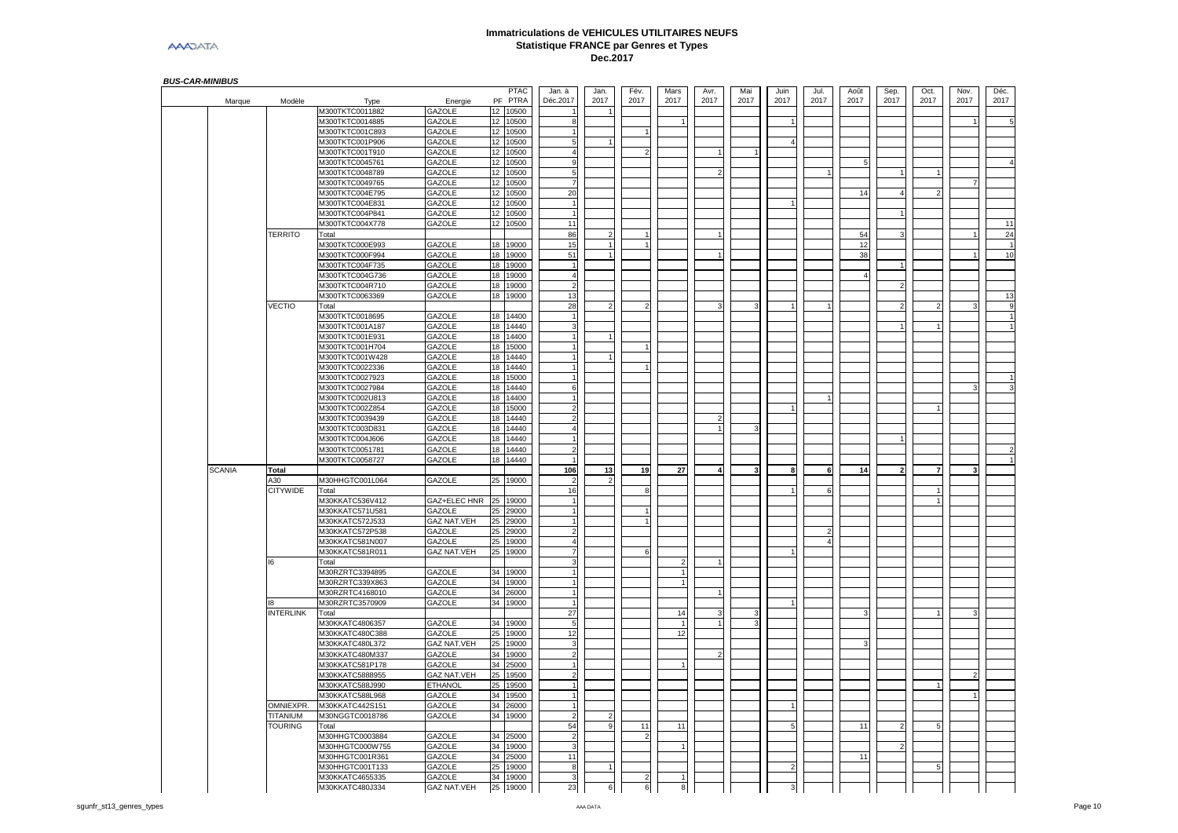|               |                  |                                    |                    |                 | PTAC           | Jan. à         | Jan.     | Fév.           | Mars           | Avr. | Mai  | Juin | Jul. | Août | Sep.                   | Oct.          | Nov. | Déc. |
|---------------|------------------|------------------------------------|--------------------|-----------------|----------------|----------------|----------|----------------|----------------|------|------|------|------|------|------------------------|---------------|------|------|
| Marque        | Modèle           | Type                               | Energie            |                 | PF PTRA        | Déc.2017       | 2017     | 2017           | 2017           | 2017 | 2017 | 2017 | 2017 | 2017 | 2017                   | 2017          | 2017 | 2017 |
|               |                  | M300TKTC0011882                    | <b>GAZOLE</b>      | $12-12$         | 10500          |                |          |                |                |      |      |      |      |      |                        |               |      |      |
|               |                  | M300TKTC0014885                    | GAZOLE             | 12              | 10500          |                |          |                |                |      |      |      |      |      |                        |               |      |      |
|               |                  | M300TKTC001C893                    | GAZOLE             |                 | 12 10500       |                |          |                |                |      |      |      |      |      |                        |               |      |      |
|               |                  | M300TKTC001P906                    | GAZOLE             |                 | 12 10500       | 5              |          |                |                |      |      |      |      |      |                        |               |      |      |
|               |                  | M300TKTC001T910                    | GAZOLE             | 12 <sup>°</sup> | 10500          |                |          |                |                |      |      |      |      |      |                        |               |      |      |
|               |                  | M300TKTC0045761                    | GAZOLE             | 12              | 10500          | 9              |          |                |                |      |      |      |      |      |                        |               |      |      |
|               |                  | M300TKTC0048789                    | GAZOLE             | 12 <sup>1</sup> | 10500          |                |          |                |                |      |      |      |      |      |                        |               |      |      |
|               |                  | M300TKTC0049765                    | GAZOLE             | 12              | 10500          |                |          |                |                |      |      |      |      |      |                        |               |      |      |
|               |                  | M300TKTC004E795                    | GAZOLE             |                 | 12 10500       | 20             |          |                |                |      |      |      |      | 14   | $\boldsymbol{\Lambda}$ | $\mathcal{P}$ |      |      |
|               |                  | M300TKTC004E831                    | GAZOLE             | 12 <sup>°</sup> | 10500          |                |          |                |                |      |      |      |      |      |                        |               |      |      |
|               |                  | M300TKTC004P841                    | GAZOLE             | 12 <sup>°</sup> | 10500          |                |          |                |                |      |      |      |      |      |                        |               |      |      |
|               |                  | M300TKTC004X778                    | GAZOLE             | 12 <sup>1</sup> | 10500          | 11             |          |                |                |      |      |      |      |      |                        |               |      |      |
|               | <b>TERRITO</b>   | Total                              |                    |                 |                | 86             |          |                |                |      |      |      |      | 54   |                        |               |      |      |
|               |                  | M300TKTC000E993                    | GAZOLE             | 18              | 19000          | 15             |          |                |                |      |      |      |      | 12   |                        |               |      |      |
|               |                  | M300TKTC000F994                    | <b>GAZOLE</b>      | 18              | 19000          | 51             |          |                |                |      |      |      |      | 38   |                        |               |      |      |
|               |                  | M300TKTC004F735                    | GAZOLE             | 18              | 19000          |                |          |                |                |      |      |      |      |      |                        |               |      |      |
|               |                  | M300TKTC004G736                    | GAZOLE             | 18              | 19000          | $\overline{4}$ |          |                |                |      |      |      |      |      |                        |               |      |      |
|               |                  |                                    |                    |                 |                | $\mathcal{P}$  |          |                |                |      |      |      |      |      |                        |               |      |      |
|               |                  | M300TKTC004R710<br>M300TKTC0063369 | GAZOLE<br>GAZOLE   | 18              | 19000<br>19000 | 13             |          |                |                |      |      |      |      |      |                        |               |      |      |
|               |                  |                                    |                    | 18              |                |                |          |                |                |      |      |      |      |      |                        |               |      |      |
|               | VECTIO           | Total                              |                    |                 |                | 28             |          | $\overline{2}$ |                |      |      |      |      |      |                        |               |      |      |
|               |                  | M300TKTC0018695                    | GAZOLE             | 18              | 14400          |                |          |                |                |      |      |      |      |      |                        |               |      |      |
|               |                  | M300TKTC001A187                    | GAZOLE             | 18              | 14440          |                |          |                |                |      |      |      |      |      |                        |               |      |      |
|               |                  | M300TKTC001E931                    | GAZOLE             | 18              | 14400          |                |          |                |                |      |      |      |      |      |                        |               |      |      |
|               |                  | M300TKTC001H704                    | GAZOLE             |                 | 18 15000       |                |          |                |                |      |      |      |      |      |                        |               |      |      |
|               |                  | M300TKTC001W428                    | GAZOLE             | 18              | 14440          |                |          |                |                |      |      |      |      |      |                        |               |      |      |
|               |                  | M300TKTC0022336                    | GAZOLE             | 18              | 14440          |                |          |                |                |      |      |      |      |      |                        |               |      |      |
|               |                  | M300TKTC0027923                    | GAZOLE             | 18              | 15000          |                |          |                |                |      |      |      |      |      |                        |               |      |      |
|               |                  | M300TKTC0027984                    | GAZOLE             | 18              | 14440          | 6              |          |                |                |      |      |      |      |      |                        |               |      |      |
|               |                  | M300TKTC002U813                    | GAZOLE             | 18              | 14400          |                |          |                |                |      |      |      |      |      |                        |               |      |      |
|               |                  | M300TKTC002Z854                    | <b>GAZOLE</b>      | 18              | 15000          | $\overline{2}$ |          |                |                |      |      |      |      |      |                        |               |      |      |
|               |                  | M300TKTC0039439                    | GAZOLE             | 18              | 14440          | $\mathcal{P}$  |          |                |                |      |      |      |      |      |                        |               |      |      |
|               |                  | M300TKTC003D831                    | GAZOLE             | 18              | 14440          | $\overline{a}$ |          |                |                |      |      |      |      |      |                        |               |      |      |
|               |                  | M300TKTC004J606                    | GAZOLE             | 18              | 14440          |                |          |                |                |      |      |      |      |      |                        |               |      |      |
|               |                  | M300TKTC0051781                    | GAZOLE             | 18              | 14440          |                |          |                |                |      |      |      |      |      |                        |               |      |      |
|               |                  |                                    |                    |                 |                |                |          |                |                |      |      |      |      |      |                        |               |      |      |
|               |                  | M300TKTC0058727                    | <b>GAZOLE</b>      |                 | 18 14440       |                |          |                |                |      |      |      |      |      |                        |               |      |      |
| <b>SCANIA</b> | Total            |                                    |                    |                 |                | 106            | 13       | 19             | 27             |      |      |      | 6    | 14   |                        |               | 3    |      |
|               | A30              | M30HHGTC001L064                    | GAZOLE             | 25              | 19000          |                |          |                |                |      |      |      |      |      |                        |               |      |      |
|               | <b>CITYWIDE</b>  | Total                              |                    |                 |                | 16             |          | 8              |                |      |      |      |      |      |                        |               |      |      |
|               |                  | M30KKATC536V412                    | GAZ+ELEC HNR 25    |                 | 19000          |                |          |                |                |      |      |      |      |      |                        |               |      |      |
|               |                  | M30KKATC571U581                    | GAZOLE             | 25              | 29000          |                |          |                |                |      |      |      |      |      |                        |               |      |      |
|               |                  | M30KKATC572J533                    | GAZ NAT.VEH        | 25              | 29000          |                |          |                |                |      |      |      |      |      |                        |               |      |      |
|               |                  | M30KKATC572P538                    | GAZOLE             | 25              | 29000          |                |          |                |                |      |      |      |      |      |                        |               |      |      |
|               |                  | M30KKATC581N007                    | GAZOLE             | 25              | 19000          | $\overline{4}$ |          |                |                |      |      |      |      |      |                        |               |      |      |
|               |                  | M30KKATC581R011                    | GAZ NAT.VEH        | 25              | 19000          |                |          | 6              |                |      |      |      |      |      |                        |               |      |      |
|               | 16               | Total                              |                    |                 |                |                |          |                | $\mathfrak{p}$ |      |      |      |      |      |                        |               |      |      |
|               |                  | M30RZRTC3394895                    | <b>GAZOLE</b>      |                 | 34 19000       |                |          |                |                |      |      |      |      |      |                        |               |      |      |
|               |                  | M30RZRTC339X863                    | <b>GAZOLE</b>      |                 | 34 19000       |                |          |                |                |      |      |      |      |      |                        |               |      |      |
|               |                  | M30RZRTC4168010                    | GAZOLE             | 34              | 26000          |                |          |                |                |      |      |      |      |      |                        |               |      |      |
|               | I8               | M30RZRTC3570909                    | <b>GAZOLE</b>      | 34              | 19000          |                |          |                |                |      |      |      |      |      |                        |               |      |      |
|               | <b>INTERLINK</b> | Total                              |                    |                 |                | 27             |          |                | 14             |      |      |      |      |      |                        |               |      |      |
|               |                  | M30KKATC4806357                    | GAZOLE             | 34              | 19000          |                |          |                | $\overline{1}$ |      |      |      |      |      |                        |               |      |      |
|               |                  | M30KKATC480C388                    | <b>GAZOLE</b>      | 25              | 19000          | 12             |          |                | 12             |      |      |      |      |      |                        |               |      |      |
|               |                  | M30KKATC480L372                    | <b>GAZ NAT.VEH</b> | 25              | 19000          | 3              |          |                |                |      |      |      |      |      |                        |               |      |      |
|               |                  |                                    |                    |                 |                |                |          |                |                |      |      |      |      |      |                        |               |      |      |
|               |                  | M30KKATC480M337                    | GAZOLE             | 34              | 19000          |                |          |                |                |      |      |      |      |      |                        |               |      |      |
|               |                  | M30KKATC581P178                    | GAZOLE             | 34              | 25000          |                |          |                |                |      |      |      |      |      |                        |               |      |      |
|               |                  | M30KKATC5888955                    | GAZ NAT.VEH        | 25              | 19500          |                |          |                |                |      |      |      |      |      |                        |               |      |      |
|               |                  | M30KKATC588J990                    | <b>ETHANOL</b>     | 25              | 19500          |                |          |                |                |      |      |      |      |      |                        |               |      |      |
|               |                  | M30KKATC588L968                    | <b>GAZOLE</b>      |                 | $34$ 19500     |                |          |                |                |      |      |      |      |      |                        |               |      |      |
|               | OMNIEXPR.        | M30KKATC442S151                    | <b>GAZOLE</b>      | 34              | 26000          |                |          |                |                |      |      |      |      |      |                        |               |      |      |
|               | TITANIUM         | M30NGGTC0018786                    | GAZOLE             | 34              | 19000          | $\overline{2}$ |          |                |                |      |      |      |      |      |                        |               |      |      |
|               | <b>TOURING</b>   | Total                              |                    |                 |                | 54             | $\alpha$ | 11             | 11             |      |      |      |      | 11   |                        |               |      |      |
|               |                  | M30HHGTC0003884                    | GAZOLE             | 34              | 25000          | $\overline{2}$ |          | $\overline{2}$ |                |      |      |      |      |      |                        |               |      |      |
|               |                  | M30HHGTC000W755                    | GAZOLE             | 34              | 19000          | 3              |          |                |                |      |      |      |      |      |                        |               |      |      |
|               |                  | M30HHGTC001R361                    | GAZOLE             | 34              | 25000          | 11             |          |                |                |      |      |      |      | 11   |                        |               |      |      |
|               |                  |                                    |                    |                 |                |                |          |                |                |      |      |      |      |      |                        |               |      |      |
|               |                  | M30HHGTC001T133                    | GAZOLE             | 25              | 19000          | 8              |          |                |                |      |      |      |      |      |                        |               |      |      |
|               |                  |                                    | <b>GAZOLE</b>      |                 |                | 3              |          | $\overline{2}$ |                |      |      |      |      |      |                        |               |      |      |
|               |                  | M30KKATC4655335<br>M30KKATC480J334 | <b>GAZ NAT.VEH</b> | 34<br>25        | 19000<br>19000 | 23             | 6        | 6              | 8              |      |      |      |      |      |                        |               |      |      |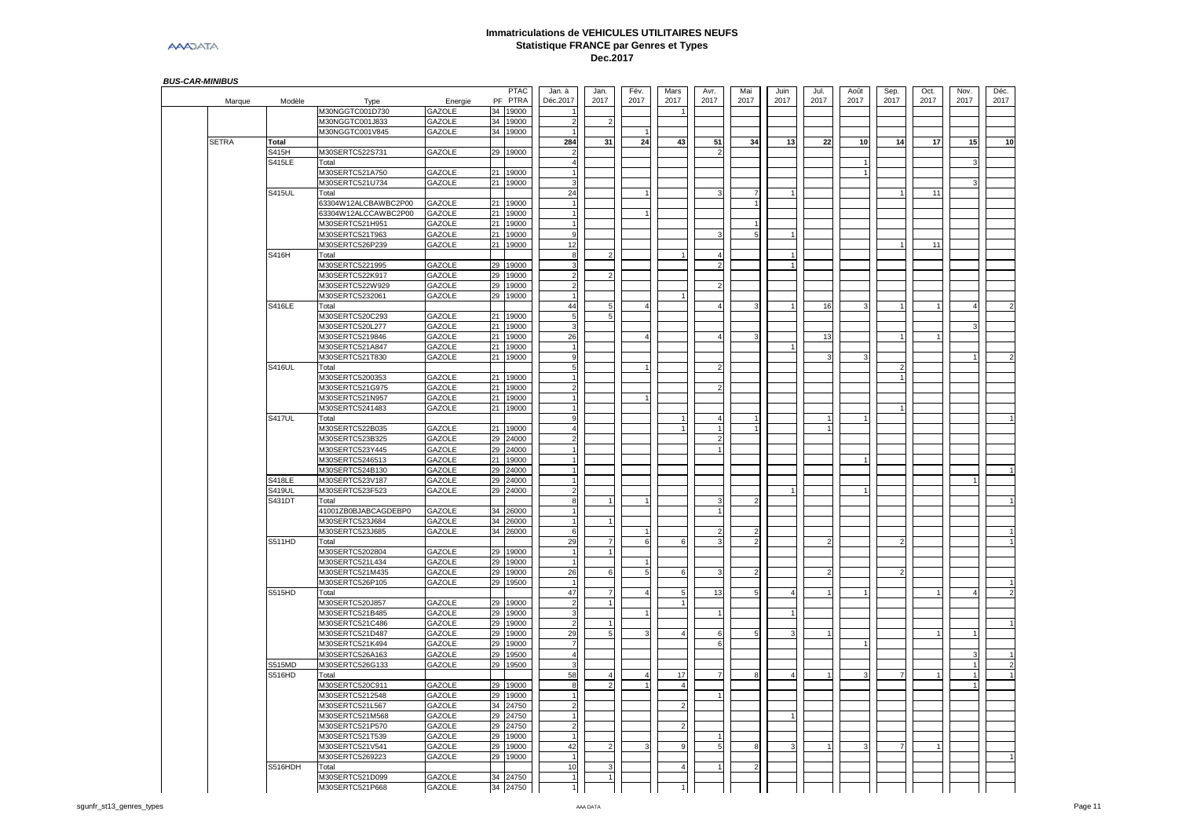. .

| Marque       | Modèle                 | Type                 | Energie       | PF | PTAC<br>PTRA          | Jan. à<br>Déc.2017 | Jan.<br>2017             | Fév.<br>2017 | Mars<br>2017 | Avr.<br>2017          | Mai<br>2017 | Juin<br>2017   | Jul.<br>2017 | Août<br>2017 | Sep.<br>2017 | Oct.<br>2017 | Nov.<br>2017          | 2017 |
|--------------|------------------------|----------------------|---------------|----|-----------------------|--------------------|--------------------------|--------------|--------------|-----------------------|-------------|----------------|--------------|--------------|--------------|--------------|-----------------------|------|
|              |                        | M30NGGTC001D730      | <b>GAZOLE</b> | 34 | 19000                 |                    |                          |              |              |                       |             |                |              |              |              |              |                       |      |
|              |                        | M30NGGTC001J833      | GAZOLE        | 34 | 19000                 |                    | $\overline{\phantom{a}}$ |              |              |                       |             |                |              |              |              |              |                       |      |
|              |                        | M30NGGTC001V845      | GAZOLE        | 34 | 19000                 |                    |                          |              |              |                       |             |                |              |              |              |              |                       |      |
| <b>SETRA</b> | Total                  |                      |               |    |                       | 284                | 31                       | 24           | 43           | 51                    | 34          | 13             | 22           | 10           | 14           | 17           | 15                    |      |
|              | S415H                  | M30SERTC522S731      | GAZOLE        |    | 29 19000              |                    |                          |              |              | -2                    |             |                |              |              |              |              |                       |      |
|              | <b>S415LE</b>          | Total                |               |    |                       |                    |                          |              |              |                       |             |                |              |              |              |              | ß                     |      |
|              |                        |                      |               |    |                       |                    |                          |              |              |                       |             |                |              |              |              |              |                       |      |
|              |                        | M30SERTC521A750      | <b>GAZOLE</b> | 21 | 19000                 |                    |                          |              |              |                       |             |                |              |              |              |              |                       |      |
|              |                        | M30SERTC521U734      | GAZOLE        | 21 | 19000                 | 3                  |                          |              |              |                       |             |                |              |              |              |              |                       |      |
|              | S415UL                 | Total                |               |    |                       | 24                 |                          |              |              |                       |             |                |              |              |              | 11           |                       |      |
|              |                        | 63304W12ALCBAWBC2P00 | <b>GAZOLE</b> | 21 | 19000                 |                    |                          |              |              |                       |             |                |              |              |              |              |                       |      |
|              |                        | 63304W12ALCCAWBC2P00 | <b>GAZOLE</b> |    | 21 19000              |                    |                          |              |              |                       |             |                |              |              |              |              |                       |      |
|              |                        | M30SERTC521H951      | GAZOLE        | 21 | 19000                 |                    |                          |              |              |                       |             |                |              |              |              |              |                       |      |
|              |                        | M30SERTC521T963      | <b>GAZOLE</b> |    | $\overline{21}$ 19000 | 9                  |                          |              |              |                       | 5           |                |              |              |              |              |                       |      |
|              |                        | M30SERTC526P239      | <b>GAZOLE</b> | 21 | 19000                 | 12                 |                          |              |              |                       |             |                |              |              |              | 11           |                       |      |
|              | <b>S416H</b><br>S416LE | Total                |               |    |                       | 8                  |                          |              |              | $\boldsymbol{\Delta}$ |             |                |              |              |              |              |                       |      |
|              |                        | M30SERTC5221995      | GAZOLE        |    | 29 19000              | $\mathbf{3}$       |                          |              |              | $\overline{2}$        |             | $\overline{1}$ |              |              |              |              |                       |      |
|              |                        |                      | GAZOLE        |    | 29 19000              |                    | $\mathcal{P}$            |              |              |                       |             |                |              |              |              |              |                       |      |
|              |                        | M30SERTC522K917      |               |    |                       |                    |                          |              |              |                       |             |                |              |              |              |              |                       |      |
|              |                        | M30SERTC522W929      | <b>GAZOLE</b> | 29 | 19000                 |                    |                          |              |              |                       |             |                |              |              |              |              |                       |      |
|              |                        | M30SERTC5232061      | GAZOLE        | 29 | 19000                 |                    |                          |              |              |                       |             |                |              |              |              |              |                       |      |
|              |                        | Total                |               |    |                       | 44                 | 5                        |              |              |                       |             |                | 16           |              |              |              | $\boldsymbol{\Delta}$ |      |
|              |                        | M30SERTC520C293      | GAZOLE        | 21 | 19000                 | 5                  | 5                        |              |              |                       |             |                |              |              |              |              |                       |      |
|              |                        | M30SERTC520L277      | GAZOLE        |    | 21 19000              | $\mathbf{3}$       |                          |              |              |                       |             |                |              |              |              |              |                       |      |
|              |                        | M30SERTC5219846      | GAZOLE        | 21 | 19000                 | 26                 |                          |              |              |                       |             |                | 13           |              |              |              |                       |      |
|              |                        | M30SERTC521A847      | GAZOLE        | 21 | 19000                 | $\overline{1}$     |                          |              |              |                       |             |                |              |              |              |              |                       |      |
|              |                        | M30SERTC521T830      | GAZOLE        | 21 | 19000                 | 9                  |                          |              |              |                       |             |                | 3            |              |              |              |                       |      |
|              | <b>S416UL</b>          | Total                |               |    |                       | 5                  |                          |              |              |                       |             |                |              |              |              |              |                       |      |
|              |                        |                      | <b>GAZOLE</b> |    | 19000                 |                    |                          |              |              |                       |             |                |              |              |              |              |                       |      |
|              |                        | M30SERTC5200353      |               | 21 |                       |                    |                          |              |              |                       |             |                |              |              |              |              |                       |      |
|              |                        | M30SERTC521G975      | GAZOLE        | 21 | 19000                 |                    |                          |              |              |                       |             |                |              |              |              |              |                       |      |
|              |                        | M30SERTC521N957      | GAZOLE        | 21 | 19000                 |                    |                          |              |              |                       |             |                |              |              |              |              |                       |      |
|              |                        | M30SERTC5241483      | GAZOLE        | 21 | 19000                 |                    |                          |              |              |                       |             |                |              |              |              |              |                       |      |
|              | <b>S417UL</b>          | Total                |               |    |                       | 9                  |                          |              |              |                       |             |                |              |              |              |              |                       |      |
|              |                        | M30SERTC522B035      | GAZOLE        | 21 | 19000                 | $\overline{4}$     |                          |              |              | $\overline{1}$        |             |                |              |              |              |              |                       |      |
|              |                        | M30SERTC523B325      | GAZOLE        | 29 | 24000                 |                    |                          |              |              |                       |             |                |              |              |              |              |                       |      |
|              |                        | M30SERTC523Y445      | GAZOLE        | 29 | 24000                 |                    |                          |              |              |                       |             |                |              |              |              |              |                       |      |
|              |                        | M30SERTC5246513      | <b>GAZOLE</b> | 21 | 19000                 |                    |                          |              |              |                       |             |                |              |              |              |              |                       |      |
|              |                        | M30SERTC524B130      | GAZOLE        | 29 | 24000                 |                    |                          |              |              |                       |             |                |              |              |              |              |                       |      |
|              | S418LE                 | M30SERTC523V187      | GAZOLE        | 29 | 24000                 |                    |                          |              |              |                       |             |                |              |              |              |              |                       |      |
|              |                        |                      |               |    |                       |                    |                          |              |              |                       |             |                |              |              |              |              |                       |      |
|              | <b>S419UL</b>          | M30SERTC523F523      | GAZOLE        | 29 | 24000                 | $\overline{2}$     |                          |              |              |                       |             |                |              |              |              |              |                       |      |
|              | S431DT                 | Total                |               |    |                       | 8                  | $\overline{1}$           |              |              |                       |             |                |              |              |              |              |                       |      |
|              |                        | 41001ZB0BJABCAGDEBP0 | GAZOLE        | 34 | 26000                 |                    |                          |              |              |                       |             |                |              |              |              |              |                       |      |
|              |                        | M30SERTC523J684      | GAZOLE        | 34 | 26000                 |                    |                          |              |              |                       |             |                |              |              |              |              |                       |      |
|              |                        | M30SERTC523J685      | GAZOLE        | 34 | 26000                 | 6                  |                          |              |              |                       |             |                |              |              |              |              |                       |      |
|              | S511HD                 | Total                |               |    |                       | 29                 |                          | 6            | 6            | 3                     |             |                |              |              |              |              |                       |      |
|              |                        | M30SERTC5202804      | GAZOLE        | 29 | 19000                 |                    | $\overline{1}$           |              |              |                       |             |                |              |              |              |              |                       |      |
|              |                        | M30SERTC521L434      | GAZOLE        | 29 | 19000                 | $\mathbf{1}$       |                          |              |              |                       |             |                |              |              |              |              |                       |      |
|              |                        | M30SERTC521M435      | GAZOLE        | 29 | 19000                 | 26                 | 6                        |              |              |                       |             |                |              |              |              |              |                       |      |
|              |                        | M30SERTC526P105      | GAZOLE        |    | 29 19500              |                    |                          |              |              |                       |             |                |              |              |              |              |                       |      |
|              | S515HD                 | Total                |               |    |                       | 47                 |                          |              | 5            | 13                    |             |                |              |              |              |              |                       |      |
|              |                        | M30SERTC520J857      | GAZOLE        |    | 29 19000              |                    |                          |              |              |                       |             |                |              |              |              |              |                       |      |
|              |                        |                      |               |    |                       |                    |                          |              |              |                       |             |                |              |              |              |              |                       |      |
|              |                        | M30SERTC521B485      | GAZOLE        |    | 29 19000              |                    |                          |              |              |                       |             |                |              |              |              |              |                       |      |
|              |                        | M30SERTC521C486      | GAZOLE        |    | 29 19000              |                    |                          |              |              |                       |             |                |              |              |              |              |                       |      |
|              |                        | M30SERTC521D487      | <b>GAZOLE</b> | 29 | 19000                 | 29                 |                          |              |              | 6                     |             |                |              |              |              |              |                       |      |
|              |                        | M30SERTC521K494      | GAZOLE        | 29 | 19000                 |                    |                          |              |              |                       |             |                |              |              |              |              |                       |      |
|              |                        | M30SERTC526A163      | GAZOLE        | 29 | 19500                 | $\overline{4}$     |                          |              |              |                       |             |                |              |              |              |              |                       |      |
|              | S515MD                 | M30SERTC526G133      | GAZOLE        |    | 29 19500              | $\mathbf{3}$       |                          |              |              |                       |             |                |              |              |              |              |                       |      |
|              | S516HD                 | Total                |               |    |                       | 58                 |                          |              | 17           |                       |             |                |              |              |              |              |                       |      |
|              |                        | M30SERTC520C911      | GAZOLE        | 29 | 19000                 | $\mathbf{R}$       |                          |              |              |                       |             |                |              |              |              |              |                       |      |
|              |                        | M30SERTC5212548      | GAZOLE        |    | 29 19000              |                    |                          |              |              |                       |             |                |              |              |              |              |                       |      |
|              |                        | M30SERTC521L567      | <b>GAZOLE</b> | 34 | 24750                 | $\overline{2}$     |                          |              |              |                       |             |                |              |              |              |              |                       |      |
|              |                        |                      |               |    |                       |                    |                          |              |              |                       |             |                |              |              |              |              |                       |      |
|              |                        | M30SERTC521M568      | GAZOLE        | 29 | 24750                 |                    |                          |              |              |                       |             |                |              |              |              |              |                       |      |
|              |                        | M30SERTC521P570      | GAZOLE        | 29 | 24750                 | $\mathcal{D}$      |                          |              | 2            |                       |             |                |              |              |              |              |                       |      |
|              |                        | M30SERTC521T539      | <b>GAZOLE</b> | 29 | 19000                 |                    |                          |              |              |                       |             |                |              |              |              |              |                       |      |
|              |                        | M30SERTC521V541      | GAZOLE        | 29 | 19000                 | 42                 |                          |              | a            |                       |             |                |              |              |              |              |                       |      |
|              |                        | M30SERTC5269223      | GAZOLE        | 29 | 19000                 |                    |                          |              |              |                       |             |                |              |              |              |              |                       |      |
|              | S516HDH                | Total                |               |    |                       | 10                 |                          |              |              |                       |             |                |              |              |              |              |                       |      |
|              |                        | M30SERTC521D099      | GAZOLE        |    | 34 24750              |                    |                          |              |              |                       |             |                |              |              |              |              |                       |      |
|              |                        | M30SERTC521P668      | GAZOLE        |    | 34 24750              | $\mathbf{1}$       |                          |              |              |                       |             |                |              |              |              |              |                       |      |
|              |                        |                      |               |    |                       |                    |                          |              |              |                       |             |                |              |              |              |              |                       |      |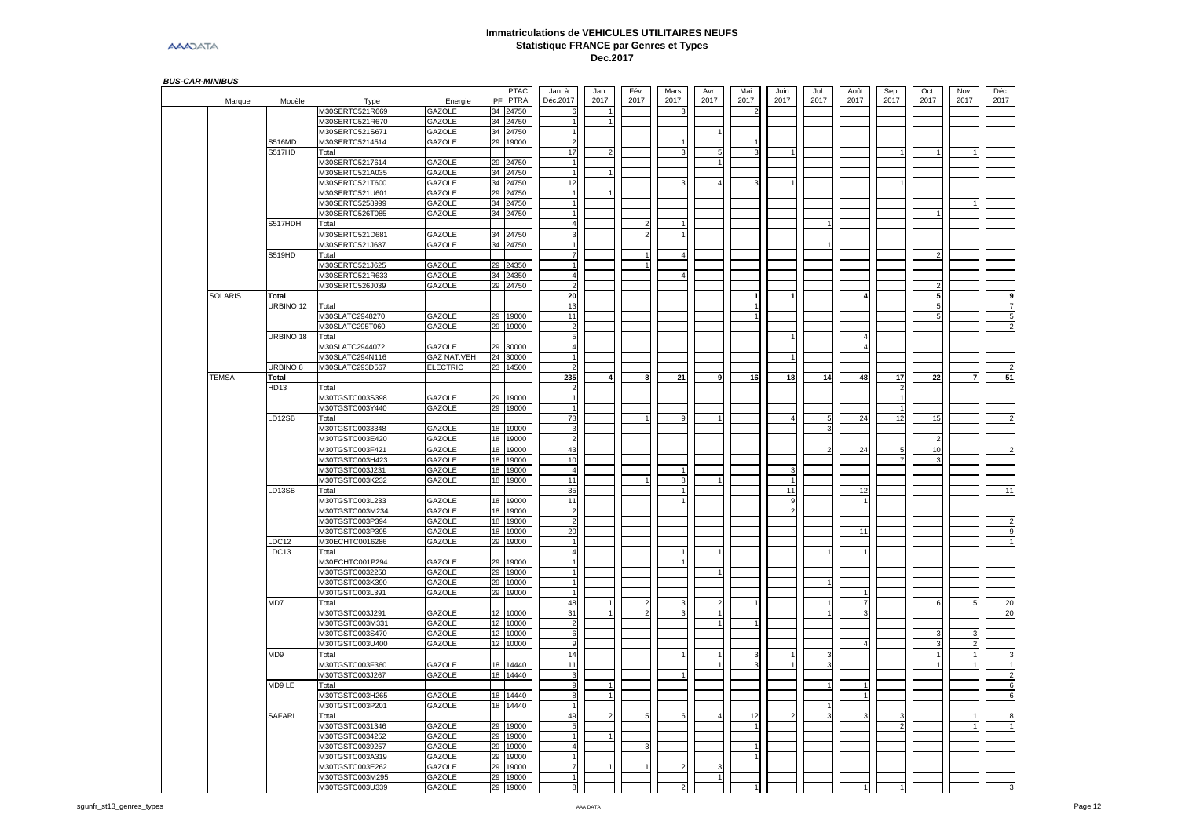. .

. .

|                |                     |                 |                    |    | PTAC     | Jan. à                  | Jan.           | Fév.           | Mars           | Avr. | Mai  | Juin | Jul.         | Août           | Sep.          | Oct. | Nov.           | Déc. |
|----------------|---------------------|-----------------|--------------------|----|----------|-------------------------|----------------|----------------|----------------|------|------|------|--------------|----------------|---------------|------|----------------|------|
| Marque         | Modèle              | Type            | Energie            | PF | PTRA     | Déc.2017                | 2017           | 2017           | 2017           | 2017 | 2017 | 2017 | 2017         | 2017           | 2017          | 2017 | 2017           | 2017 |
|                |                     | M30SERTC521R669 | <b>GAZOLE</b>      | 34 | 24750    |                         |                |                |                |      |      |      |              |                |               |      |                |      |
|                |                     | M30SERTC521R670 | GAZOLE             | 34 | 24750    |                         |                |                |                |      |      |      |              |                |               |      |                |      |
|                |                     | M30SERTC521S671 | GAZOLE             | 34 | 24750    |                         |                |                |                |      |      |      |              |                |               |      |                |      |
|                | S516MD              | M30SERTC5214514 | GAZOLE             | 29 | 19000    | $\overline{2}$          |                |                |                |      |      |      |              |                |               |      |                |      |
|                |                     |                 |                    |    |          |                         |                |                |                |      |      |      |              |                |               |      |                |      |
|                | <b>S517HD</b>       | Total           |                    |    |          | 17                      | $\mathcal{P}$  |                |                |      |      |      |              |                |               |      |                |      |
|                |                     | M30SERTC5217614 | GAZOLE             | 29 | 24750    |                         |                |                |                |      |      |      |              |                |               |      |                |      |
|                |                     | M30SERTC521A035 | <b>GAZOLE</b>      | 34 | 24750    |                         |                |                |                |      |      |      |              |                |               |      |                |      |
|                |                     | M30SERTC521T600 | GAZOLE             | 34 | 24750    | 12                      |                |                |                |      |      |      |              |                |               |      |                |      |
|                |                     |                 |                    |    |          |                         |                |                |                |      |      |      |              |                |               |      |                |      |
|                |                     | M30SERTC521U601 | GAZOLE             | 29 | 24750    |                         |                |                |                |      |      |      |              |                |               |      |                |      |
|                |                     | M30SERTC5258999 | GAZOLE             | 34 | 24750    |                         |                |                |                |      |      |      |              |                |               |      |                |      |
|                |                     | M30SERTC526T085 | GAZOLE             |    | 34 24750 |                         |                |                |                |      |      |      |              |                |               |      |                |      |
|                | S517HDH             | Total           |                    |    |          |                         |                |                |                |      |      |      |              |                |               |      |                |      |
|                |                     |                 |                    |    |          |                         |                |                |                |      |      |      |              |                |               |      |                |      |
|                |                     | M30SERTC521D681 | GAZOLE             |    | 34 24750 | $\mathbf{3}$            |                |                |                |      |      |      |              |                |               |      |                |      |
|                |                     | M30SERTC521J687 | <b>GAZOLE</b>      |    | 34 24750 | $\mathbf{1}$            |                |                |                |      |      |      |              |                |               |      |                |      |
|                | S519HD              | Total           |                    |    |          | $\overline{7}$          |                |                |                |      |      |      |              |                |               |      |                |      |
|                |                     | M30SERTC521J625 | GAZOLE             |    | 29 24350 | $\overline{1}$          |                | $\overline{1}$ |                |      |      |      |              |                |               |      |                |      |
|                |                     |                 |                    |    |          |                         |                |                |                |      |      |      |              |                |               |      |                |      |
|                |                     | M30SERTC521R633 | GAZOLE             |    | 34 24350 |                         |                |                |                |      |      |      |              |                |               |      |                |      |
|                |                     | M30SERTC526J039 | <b>GAZOLE</b>      |    | 29 24750 | $\overline{\mathbf{c}}$ |                |                |                |      |      |      |              |                |               |      |                |      |
| <b>SOLARIS</b> | Total               |                 |                    |    |          | 20                      |                |                |                |      |      |      |              |                |               | 5    |                |      |
|                | URBINO 12           | Total           |                    |    |          | 13                      |                |                |                |      |      |      |              |                |               | 5    |                |      |
|                |                     |                 |                    |    |          |                         |                |                |                |      |      |      |              |                |               | 5    |                |      |
|                |                     | M30SLATC2948270 | GAZOLE             |    | 29 19000 | 11                      |                |                |                |      |      |      |              |                |               |      |                |      |
|                |                     | M30SLATC295T060 | <b>GAZOLE</b>      |    | 29 19000 | $\overline{2}$          |                |                |                |      |      |      |              |                |               |      |                |      |
|                | URBINO 18           | Total           |                    |    |          |                         |                |                |                |      |      |      |              |                |               |      |                |      |
|                |                     | M30SLATC2944072 | GAZOLE             | 29 | 30000    | $\boldsymbol{\Delta}$   |                |                |                |      |      |      |              | $\overline{A}$ |               |      |                |      |
|                |                     | M30SLATC294N116 | <b>GAZ NAT.VEH</b> | 24 | 30000    |                         |                |                |                |      |      |      |              |                |               |      |                |      |
|                |                     |                 |                    |    |          |                         |                |                |                |      |      |      |              |                |               |      |                |      |
|                | URBINO <sub>8</sub> | M30SLATC293D567 | <b>ELECTRIC</b>    | 23 | 14500    |                         |                |                |                |      |      |      |              |                |               |      |                |      |
| <b>TEMSA</b>   | Total               |                 |                    |    |          | 235                     | $\Delta$       | 8              | 21             | 9    | 16   | 18   | 14           | 48             | 17            | 22   | $\overline{7}$ |      |
|                | HD <sub>13</sub>    | Total           |                    |    |          |                         |                |                |                |      |      |      |              |                | $\mathcal{D}$ |      |                |      |
|                |                     | M30TGSTC003S398 | GAZOLE             | 29 | 19000    |                         |                |                |                |      |      |      |              |                |               |      |                |      |
|                |                     |                 |                    |    |          |                         |                |                |                |      |      |      |              |                |               |      |                |      |
|                |                     | M30TGSTC003Y440 | GAZOLE             |    | 29 19000 |                         |                |                |                |      |      |      |              |                |               |      |                |      |
|                | LD12SB              | Total           |                    |    |          | 73                      |                |                |                |      |      |      | 5            | 24             | 12            | 15   |                |      |
|                |                     | M30TGSTC0033348 | GAZOLE             | 18 | 19000    | $\mathbf{3}$            |                |                |                |      |      |      | $\mathbf{B}$ |                |               |      |                |      |
|                |                     | M30TGSTC003E420 | GAZOLE             | 18 | 19000    | $\overline{2}$          |                |                |                |      |      |      |              |                |               |      |                |      |
|                |                     |                 |                    |    |          |                         |                |                |                |      |      |      |              |                |               |      |                |      |
|                |                     | M30TGSTC003F421 | GAZOLE             | 18 | 19000    | 43                      |                |                |                |      |      |      |              | 24             |               | 10   |                |      |
|                |                     | M30TGSTC003H423 | <b>GAZOLE</b>      | 18 | 19000    | 10                      |                |                |                |      |      |      |              |                |               |      |                |      |
|                |                     | M30TGSTC003J231 | GAZOLE             | 18 | 19000    | $\overline{4}$          |                |                |                |      |      |      |              |                |               |      |                |      |
|                |                     | M30TGSTC003K232 | GAZOLE             | 18 | 19000    | 11                      |                |                | 8              |      |      | 1    |              |                |               |      |                |      |
|                |                     |                 |                    |    |          |                         |                |                |                |      |      |      |              |                |               |      |                |      |
|                | LD13SB              | Total           |                    |    |          | 35                      |                |                |                |      |      | 11   |              | 12             |               |      |                |      |
|                |                     | M30TGSTC003L233 | GAZOLE             | 18 | 19000    | 11                      |                |                |                |      |      | 9    |              | $\overline{1}$ |               |      |                |      |
|                |                     | M30TGSTC003M234 | GAZOLE             | 18 | 19000    |                         |                |                |                |      |      |      |              |                |               |      |                |      |
|                |                     | M30TGSTC003P394 | GAZOLE             | 18 | 19000    | $\mathcal{D}$           |                |                |                |      |      |      |              |                |               |      |                |      |
|                |                     |                 |                    |    |          |                         |                |                |                |      |      |      |              |                |               |      |                |      |
|                |                     | M30TGSTC003P395 | GAZOLE             | 18 | 19000    | 20                      |                |                |                |      |      |      |              | 11             |               |      |                |      |
|                | LDC12               | M30ECHTC0016286 | GAZOLE             | 29 | 19000    | $\mathbf{1}$            |                |                |                |      |      |      |              |                |               |      |                |      |
|                | LDC13               | Total           |                    |    |          | $\overline{4}$          |                |                |                |      |      |      |              |                |               |      |                |      |
|                |                     | M30ECHTC001P294 | <b>GAZOLE</b>      | 29 | 19000    | $\overline{1}$          |                |                |                |      |      |      |              |                |               |      |                |      |
|                |                     |                 |                    |    |          |                         |                |                |                |      |      |      |              |                |               |      |                |      |
|                |                     | M30TGSTC0032250 | GAZOLE             | 29 | 19000    |                         |                |                |                |      |      |      |              |                |               |      |                |      |
|                |                     | M30TGSTC003K390 | GAZOLE             |    | 29 19000 |                         |                |                |                |      |      |      |              |                |               |      |                |      |
|                |                     | M30TGSTC003L391 | GAZOLE             | 29 | 19000    |                         |                |                |                |      |      |      |              |                |               |      |                |      |
|                | MD7                 | Total           |                    |    |          | 48                      |                |                |                |      |      |      |              |                |               | 6    | 5              |      |
|                |                     |                 | GAZOLE             |    | 12 10000 | 31                      | $\overline{1}$ | $\mathcal{D}$  |                |      |      |      |              |                |               |      |                |      |
|                |                     | M30TGSTC003J291 |                    |    |          |                         |                |                |                |      |      |      |              |                |               |      |                |      |
|                |                     | M30TGSTC003M331 | GAZOLE             |    | 12 10000 | $\overline{2}$          |                |                |                |      |      |      |              |                |               |      |                |      |
|                |                     | M30TGSTC003S470 | <b>GAZOLE</b>      | 12 | 10000    | 6                       |                |                |                |      |      |      |              |                |               |      |                |      |
|                |                     | M30TGSTC003U400 | GAZOLE             | 12 | 10000    | -9                      |                |                |                |      |      |      |              |                |               |      |                |      |
|                | MD <sub>9</sub>     | Total           |                    |    |          | 14                      |                |                |                |      |      |      | 3            |                |               |      |                |      |
|                |                     |                 |                    |    |          |                         |                |                |                |      |      |      |              |                |               |      |                |      |
|                |                     | M30TGSTC003F360 | GAZOLE             |    | 18 14440 | 11                      |                |                |                |      |      |      | 3            |                |               |      |                |      |
|                |                     | M30TGSTC003J267 | GAZOLE             |    | 18 14440 | $\mathbf{3}$            |                |                |                |      |      |      |              |                |               |      |                |      |
|                | MD9 LE              | Total           |                    |    |          | <b>q</b>                |                |                |                |      |      |      |              |                |               |      |                |      |
|                |                     | M30TGSTC003H265 | GAZOLE             | 18 | 14440    | 8                       |                |                |                |      |      |      |              |                |               |      |                |      |
|                |                     |                 |                    |    |          |                         |                |                |                |      |      |      |              |                |               |      |                |      |
|                |                     | M30TGSTC003P201 | GAZOLE             |    | 18 14440 |                         |                |                |                |      |      |      |              |                |               |      |                |      |
|                | <b>SAFARI</b>       | Total           |                    |    |          | 49                      |                | 5              | 6              |      | 12   |      |              |                |               |      |                |      |
|                |                     | M30TGSTC0031346 | GAZOLE             |    | 29 19000 | 5                       |                |                |                |      |      |      |              |                |               |      |                |      |
|                |                     | M30TGSTC0034252 | GAZOLE             | 29 | 19000    |                         |                |                |                |      |      |      |              |                |               |      |                |      |
|                |                     |                 |                    |    |          |                         |                |                |                |      |      |      |              |                |               |      |                |      |
|                |                     | M30TGSTC0039257 | GAZOLE             | 29 | 19000    | $\boldsymbol{\Delta}$   |                |                |                |      |      |      |              |                |               |      |                |      |
|                |                     | M30TGSTC003A319 | GAZOLE             | 29 | 19000    |                         |                |                |                |      |      |      |              |                |               |      |                |      |
|                |                     |                 |                    |    |          |                         |                |                |                |      |      |      |              |                |               |      |                |      |
|                |                     |                 | GAZOLE             | 29 | 19000    |                         |                |                |                |      |      |      |              |                |               |      |                |      |
|                |                     | M30TGSTC003E262 |                    |    |          |                         |                |                |                |      |      |      |              |                |               |      |                |      |
|                |                     | M30TGSTC003M295 | GAZOLE             | 29 | 19000    |                         |                |                |                |      |      |      |              |                |               |      |                |      |
|                |                     | M30TGSTC003U339 | GAZOLE             |    | 29 19000 | 8                       |                |                | $\overline{2}$ |      |      |      |              |                |               |      |                |      |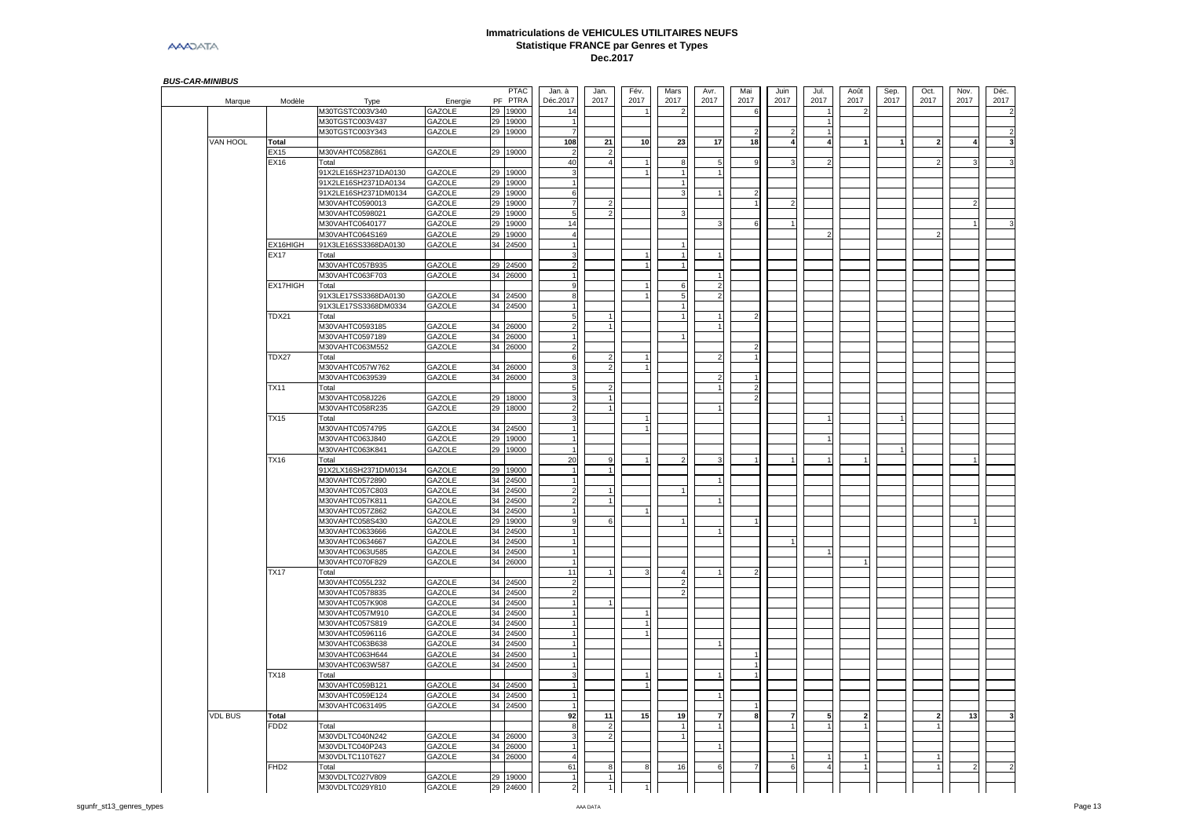| PF PTRA<br>Déc.2017<br>2017<br>2017<br>2017<br>2017<br>2017<br>2017<br>2017<br>Marque<br>Modèle<br>Type<br>Energie<br>M30TGSTC003V340<br>29 19000<br>GAZOLE<br>14<br>6<br>M30TGSTC003V437<br>GAZOLE<br>29 19000<br>M30TGSTC003Y343<br>GAZOLE<br>29 19000<br>VAN HOOL<br>108<br>18<br>21<br>10 <sub>1</sub><br>23<br>17<br>Total<br>$\overline{A}$<br>4<br><b>EX15</b><br>M30VAHTC058Z861<br>GAZOLE<br>29<br>19000<br>$\overline{2}$<br>EX16<br>40<br>Total<br>$\overline{A}$<br>8<br>91X2LE16SH2371DA0130<br>GAZOLE<br>29 19000<br>91X2LE16SH2371DA0134<br>GAZOLE<br>29<br>19000<br>91X2LE16SH2371DM0134<br><b>GAZOLE</b><br>29<br>19000<br>6<br>3<br>M30VAHTC0590013<br>GAZOLE<br>29<br>19000<br>$\overline{2}$<br>M30VAHTC0598021<br>GAZOLE<br>29<br>19000<br>$\mathcal{P}$<br>GAZOLE<br>29<br>14<br>M30VAHTC0640177<br>19000<br>6<br>29 19000<br>M30VAHTC064S169<br>GAZOLE<br>EX16HIGH<br>91X3LE16SS3368DA0130<br>GAZOLE<br>34<br>24500<br>EX17<br>Total<br>3<br>M30VAHTC057B935<br>GAZOLE<br>29 24500<br>1<br>M30VAHTC063F703<br>GAZOLE<br>26000<br>34<br>EX17HIGH<br>Total<br>-9<br>$\overline{2}$<br>6<br>91X3LE17SS3368DA0130<br>GAZOLE<br>34<br>24500<br>8<br>5<br>91X3LE17SS3368DM0334<br>GAZOLE<br>34<br>24500<br><b>TDX21</b><br>Total<br>5<br>$\overline{1}$<br>$\mathcal{P}$<br>M30VAHTC0593185<br>GAZOLE<br>34<br>26000<br>$\overline{1}$<br>M30VAHTC0597189<br>GAZOLE<br>34<br>26000<br>GAZOLE<br>34<br>M30VAHTC063M552<br>26000<br>$\overline{\mathbf{c}}$<br>TDX27<br>Total<br>6<br>2<br>M30VAHTC057W762<br>GAZOLE<br>26000<br>34<br>$\overline{\phantom{a}}$<br>M30VAHTC0639539<br>GAZOLE<br>34<br>26000<br><b>TX11</b><br>Total<br>$\mathcal{P}$<br>GAZOLE<br>M30VAHTC058J226<br>29<br>18000<br>GAZOLE<br>29 18000<br>M30VAHTC058R235<br>TX15<br>Total<br><b>GAZOLE</b><br>24500<br>M30VAHTC0574795<br>34 | 2017 |   | 2017 | 2017 | $\overline{2}$ | 2017<br>$\mathbf{A}$ |
|------------------------------------------------------------------------------------------------------------------------------------------------------------------------------------------------------------------------------------------------------------------------------------------------------------------------------------------------------------------------------------------------------------------------------------------------------------------------------------------------------------------------------------------------------------------------------------------------------------------------------------------------------------------------------------------------------------------------------------------------------------------------------------------------------------------------------------------------------------------------------------------------------------------------------------------------------------------------------------------------------------------------------------------------------------------------------------------------------------------------------------------------------------------------------------------------------------------------------------------------------------------------------------------------------------------------------------------------------------------------------------------------------------------------------------------------------------------------------------------------------------------------------------------------------------------------------------------------------------------------------------------------------------------------------------------------------------------------------------------------------------------------------------------------------------------------------|------|---|------|------|----------------|----------------------|
|                                                                                                                                                                                                                                                                                                                                                                                                                                                                                                                                                                                                                                                                                                                                                                                                                                                                                                                                                                                                                                                                                                                                                                                                                                                                                                                                                                                                                                                                                                                                                                                                                                                                                                                                                                                                                              |      |   |      |      |                |                      |
|                                                                                                                                                                                                                                                                                                                                                                                                                                                                                                                                                                                                                                                                                                                                                                                                                                                                                                                                                                                                                                                                                                                                                                                                                                                                                                                                                                                                                                                                                                                                                                                                                                                                                                                                                                                                                              |      |   |      |      |                |                      |
|                                                                                                                                                                                                                                                                                                                                                                                                                                                                                                                                                                                                                                                                                                                                                                                                                                                                                                                                                                                                                                                                                                                                                                                                                                                                                                                                                                                                                                                                                                                                                                                                                                                                                                                                                                                                                              |      |   |      |      |                |                      |
|                                                                                                                                                                                                                                                                                                                                                                                                                                                                                                                                                                                                                                                                                                                                                                                                                                                                                                                                                                                                                                                                                                                                                                                                                                                                                                                                                                                                                                                                                                                                                                                                                                                                                                                                                                                                                              |      |   |      |      |                |                      |
|                                                                                                                                                                                                                                                                                                                                                                                                                                                                                                                                                                                                                                                                                                                                                                                                                                                                                                                                                                                                                                                                                                                                                                                                                                                                                                                                                                                                                                                                                                                                                                                                                                                                                                                                                                                                                              |      |   |      |      |                |                      |
|                                                                                                                                                                                                                                                                                                                                                                                                                                                                                                                                                                                                                                                                                                                                                                                                                                                                                                                                                                                                                                                                                                                                                                                                                                                                                                                                                                                                                                                                                                                                                                                                                                                                                                                                                                                                                              |      |   |      |      |                |                      |
|                                                                                                                                                                                                                                                                                                                                                                                                                                                                                                                                                                                                                                                                                                                                                                                                                                                                                                                                                                                                                                                                                                                                                                                                                                                                                                                                                                                                                                                                                                                                                                                                                                                                                                                                                                                                                              |      |   |      |      |                |                      |
|                                                                                                                                                                                                                                                                                                                                                                                                                                                                                                                                                                                                                                                                                                                                                                                                                                                                                                                                                                                                                                                                                                                                                                                                                                                                                                                                                                                                                                                                                                                                                                                                                                                                                                                                                                                                                              |      |   |      |      |                |                      |
|                                                                                                                                                                                                                                                                                                                                                                                                                                                                                                                                                                                                                                                                                                                                                                                                                                                                                                                                                                                                                                                                                                                                                                                                                                                                                                                                                                                                                                                                                                                                                                                                                                                                                                                                                                                                                              |      |   |      |      |                |                      |
|                                                                                                                                                                                                                                                                                                                                                                                                                                                                                                                                                                                                                                                                                                                                                                                                                                                                                                                                                                                                                                                                                                                                                                                                                                                                                                                                                                                                                                                                                                                                                                                                                                                                                                                                                                                                                              |      |   |      |      |                |                      |
|                                                                                                                                                                                                                                                                                                                                                                                                                                                                                                                                                                                                                                                                                                                                                                                                                                                                                                                                                                                                                                                                                                                                                                                                                                                                                                                                                                                                                                                                                                                                                                                                                                                                                                                                                                                                                              |      |   |      |      |                |                      |
|                                                                                                                                                                                                                                                                                                                                                                                                                                                                                                                                                                                                                                                                                                                                                                                                                                                                                                                                                                                                                                                                                                                                                                                                                                                                                                                                                                                                                                                                                                                                                                                                                                                                                                                                                                                                                              |      |   |      |      |                |                      |
|                                                                                                                                                                                                                                                                                                                                                                                                                                                                                                                                                                                                                                                                                                                                                                                                                                                                                                                                                                                                                                                                                                                                                                                                                                                                                                                                                                                                                                                                                                                                                                                                                                                                                                                                                                                                                              |      |   |      |      |                |                      |
|                                                                                                                                                                                                                                                                                                                                                                                                                                                                                                                                                                                                                                                                                                                                                                                                                                                                                                                                                                                                                                                                                                                                                                                                                                                                                                                                                                                                                                                                                                                                                                                                                                                                                                                                                                                                                              |      |   |      |      |                |                      |
|                                                                                                                                                                                                                                                                                                                                                                                                                                                                                                                                                                                                                                                                                                                                                                                                                                                                                                                                                                                                                                                                                                                                                                                                                                                                                                                                                                                                                                                                                                                                                                                                                                                                                                                                                                                                                              |      |   |      |      |                |                      |
|                                                                                                                                                                                                                                                                                                                                                                                                                                                                                                                                                                                                                                                                                                                                                                                                                                                                                                                                                                                                                                                                                                                                                                                                                                                                                                                                                                                                                                                                                                                                                                                                                                                                                                                                                                                                                              |      |   |      |      |                |                      |
|                                                                                                                                                                                                                                                                                                                                                                                                                                                                                                                                                                                                                                                                                                                                                                                                                                                                                                                                                                                                                                                                                                                                                                                                                                                                                                                                                                                                                                                                                                                                                                                                                                                                                                                                                                                                                              |      |   |      |      |                |                      |
|                                                                                                                                                                                                                                                                                                                                                                                                                                                                                                                                                                                                                                                                                                                                                                                                                                                                                                                                                                                                                                                                                                                                                                                                                                                                                                                                                                                                                                                                                                                                                                                                                                                                                                                                                                                                                              |      |   |      |      |                |                      |
|                                                                                                                                                                                                                                                                                                                                                                                                                                                                                                                                                                                                                                                                                                                                                                                                                                                                                                                                                                                                                                                                                                                                                                                                                                                                                                                                                                                                                                                                                                                                                                                                                                                                                                                                                                                                                              |      |   |      |      |                |                      |
|                                                                                                                                                                                                                                                                                                                                                                                                                                                                                                                                                                                                                                                                                                                                                                                                                                                                                                                                                                                                                                                                                                                                                                                                                                                                                                                                                                                                                                                                                                                                                                                                                                                                                                                                                                                                                              |      |   |      |      |                |                      |
|                                                                                                                                                                                                                                                                                                                                                                                                                                                                                                                                                                                                                                                                                                                                                                                                                                                                                                                                                                                                                                                                                                                                                                                                                                                                                                                                                                                                                                                                                                                                                                                                                                                                                                                                                                                                                              |      |   |      |      |                |                      |
|                                                                                                                                                                                                                                                                                                                                                                                                                                                                                                                                                                                                                                                                                                                                                                                                                                                                                                                                                                                                                                                                                                                                                                                                                                                                                                                                                                                                                                                                                                                                                                                                                                                                                                                                                                                                                              |      |   |      |      |                |                      |
|                                                                                                                                                                                                                                                                                                                                                                                                                                                                                                                                                                                                                                                                                                                                                                                                                                                                                                                                                                                                                                                                                                                                                                                                                                                                                                                                                                                                                                                                                                                                                                                                                                                                                                                                                                                                                              |      |   |      |      |                |                      |
|                                                                                                                                                                                                                                                                                                                                                                                                                                                                                                                                                                                                                                                                                                                                                                                                                                                                                                                                                                                                                                                                                                                                                                                                                                                                                                                                                                                                                                                                                                                                                                                                                                                                                                                                                                                                                              |      |   |      |      |                |                      |
|                                                                                                                                                                                                                                                                                                                                                                                                                                                                                                                                                                                                                                                                                                                                                                                                                                                                                                                                                                                                                                                                                                                                                                                                                                                                                                                                                                                                                                                                                                                                                                                                                                                                                                                                                                                                                              |      |   |      |      |                |                      |
|                                                                                                                                                                                                                                                                                                                                                                                                                                                                                                                                                                                                                                                                                                                                                                                                                                                                                                                                                                                                                                                                                                                                                                                                                                                                                                                                                                                                                                                                                                                                                                                                                                                                                                                                                                                                                              |      |   |      |      |                |                      |
|                                                                                                                                                                                                                                                                                                                                                                                                                                                                                                                                                                                                                                                                                                                                                                                                                                                                                                                                                                                                                                                                                                                                                                                                                                                                                                                                                                                                                                                                                                                                                                                                                                                                                                                                                                                                                              |      |   |      |      |                |                      |
|                                                                                                                                                                                                                                                                                                                                                                                                                                                                                                                                                                                                                                                                                                                                                                                                                                                                                                                                                                                                                                                                                                                                                                                                                                                                                                                                                                                                                                                                                                                                                                                                                                                                                                                                                                                                                              |      |   |      |      |                |                      |
|                                                                                                                                                                                                                                                                                                                                                                                                                                                                                                                                                                                                                                                                                                                                                                                                                                                                                                                                                                                                                                                                                                                                                                                                                                                                                                                                                                                                                                                                                                                                                                                                                                                                                                                                                                                                                              |      |   |      |      |                |                      |
|                                                                                                                                                                                                                                                                                                                                                                                                                                                                                                                                                                                                                                                                                                                                                                                                                                                                                                                                                                                                                                                                                                                                                                                                                                                                                                                                                                                                                                                                                                                                                                                                                                                                                                                                                                                                                              |      |   |      |      |                |                      |
|                                                                                                                                                                                                                                                                                                                                                                                                                                                                                                                                                                                                                                                                                                                                                                                                                                                                                                                                                                                                                                                                                                                                                                                                                                                                                                                                                                                                                                                                                                                                                                                                                                                                                                                                                                                                                              |      |   |      |      |                |                      |
|                                                                                                                                                                                                                                                                                                                                                                                                                                                                                                                                                                                                                                                                                                                                                                                                                                                                                                                                                                                                                                                                                                                                                                                                                                                                                                                                                                                                                                                                                                                                                                                                                                                                                                                                                                                                                              |      |   |      |      |                |                      |
|                                                                                                                                                                                                                                                                                                                                                                                                                                                                                                                                                                                                                                                                                                                                                                                                                                                                                                                                                                                                                                                                                                                                                                                                                                                                                                                                                                                                                                                                                                                                                                                                                                                                                                                                                                                                                              |      |   |      |      |                |                      |
|                                                                                                                                                                                                                                                                                                                                                                                                                                                                                                                                                                                                                                                                                                                                                                                                                                                                                                                                                                                                                                                                                                                                                                                                                                                                                                                                                                                                                                                                                                                                                                                                                                                                                                                                                                                                                              |      |   |      |      |                |                      |
|                                                                                                                                                                                                                                                                                                                                                                                                                                                                                                                                                                                                                                                                                                                                                                                                                                                                                                                                                                                                                                                                                                                                                                                                                                                                                                                                                                                                                                                                                                                                                                                                                                                                                                                                                                                                                              |      |   |      |      |                |                      |
| M30VAHTC063J840<br>GAZOLE<br>29 19000                                                                                                                                                                                                                                                                                                                                                                                                                                                                                                                                                                                                                                                                                                                                                                                                                                                                                                                                                                                                                                                                                                                                                                                                                                                                                                                                                                                                                                                                                                                                                                                                                                                                                                                                                                                        |      |   |      |      |                |                      |
| M30VAHTC063K841<br>GAZOLE<br>29<br>19000                                                                                                                                                                                                                                                                                                                                                                                                                                                                                                                                                                                                                                                                                                                                                                                                                                                                                                                                                                                                                                                                                                                                                                                                                                                                                                                                                                                                                                                                                                                                                                                                                                                                                                                                                                                     |      |   |      |      |                |                      |
| 20<br>TX16<br>Total<br>q                                                                                                                                                                                                                                                                                                                                                                                                                                                                                                                                                                                                                                                                                                                                                                                                                                                                                                                                                                                                                                                                                                                                                                                                                                                                                                                                                                                                                                                                                                                                                                                                                                                                                                                                                                                                     |      |   |      |      |                |                      |
| GAZOLE<br>29<br>91X2LX16SH2371DM0134<br>19000<br>$\overline{1}$                                                                                                                                                                                                                                                                                                                                                                                                                                                                                                                                                                                                                                                                                                                                                                                                                                                                                                                                                                                                                                                                                                                                                                                                                                                                                                                                                                                                                                                                                                                                                                                                                                                                                                                                                              |      |   |      |      |                |                      |
| M30VAHTC0572890<br>GAZOLE<br>34<br>24500                                                                                                                                                                                                                                                                                                                                                                                                                                                                                                                                                                                                                                                                                                                                                                                                                                                                                                                                                                                                                                                                                                                                                                                                                                                                                                                                                                                                                                                                                                                                                                                                                                                                                                                                                                                     |      |   |      |      |                |                      |
| M30VAHTC057C803<br>GAZOLE<br>34<br>24500<br>$\overline{1}$                                                                                                                                                                                                                                                                                                                                                                                                                                                                                                                                                                                                                                                                                                                                                                                                                                                                                                                                                                                                                                                                                                                                                                                                                                                                                                                                                                                                                                                                                                                                                                                                                                                                                                                                                                   |      |   |      |      |                |                      |
| M30VAHTC057K811<br>GAZOLE<br>34<br>24500<br>$\overline{1}$                                                                                                                                                                                                                                                                                                                                                                                                                                                                                                                                                                                                                                                                                                                                                                                                                                                                                                                                                                                                                                                                                                                                                                                                                                                                                                                                                                                                                                                                                                                                                                                                                                                                                                                                                                   |      |   |      |      |                |                      |
|                                                                                                                                                                                                                                                                                                                                                                                                                                                                                                                                                                                                                                                                                                                                                                                                                                                                                                                                                                                                                                                                                                                                                                                                                                                                                                                                                                                                                                                                                                                                                                                                                                                                                                                                                                                                                              |      |   |      |      |                |                      |
| M30VAHTC057Z862<br>GAZOLE<br>34<br>24500                                                                                                                                                                                                                                                                                                                                                                                                                                                                                                                                                                                                                                                                                                                                                                                                                                                                                                                                                                                                                                                                                                                                                                                                                                                                                                                                                                                                                                                                                                                                                                                                                                                                                                                                                                                     |      |   |      |      |                |                      |
| 29<br>M30VAHTC058S430<br>GAZOLE<br>19000<br>-9<br>6                                                                                                                                                                                                                                                                                                                                                                                                                                                                                                                                                                                                                                                                                                                                                                                                                                                                                                                                                                                                                                                                                                                                                                                                                                                                                                                                                                                                                                                                                                                                                                                                                                                                                                                                                                          |      |   |      |      |                |                      |
| M30VAHTC0633666<br>GAZOLE<br>34<br>24500                                                                                                                                                                                                                                                                                                                                                                                                                                                                                                                                                                                                                                                                                                                                                                                                                                                                                                                                                                                                                                                                                                                                                                                                                                                                                                                                                                                                                                                                                                                                                                                                                                                                                                                                                                                     |      |   |      |      |                |                      |
| M30VAHTC0634667<br>GAZOLE<br>34<br>24500                                                                                                                                                                                                                                                                                                                                                                                                                                                                                                                                                                                                                                                                                                                                                                                                                                                                                                                                                                                                                                                                                                                                                                                                                                                                                                                                                                                                                                                                                                                                                                                                                                                                                                                                                                                     |      |   |      |      |                |                      |
| 34<br>M30VAHTC063U585<br>24500<br>GAZOLE                                                                                                                                                                                                                                                                                                                                                                                                                                                                                                                                                                                                                                                                                                                                                                                                                                                                                                                                                                                                                                                                                                                                                                                                                                                                                                                                                                                                                                                                                                                                                                                                                                                                                                                                                                                     |      |   |      |      |                |                      |
| M30VAHTC070F829<br>GAZOLE<br>34 26000                                                                                                                                                                                                                                                                                                                                                                                                                                                                                                                                                                                                                                                                                                                                                                                                                                                                                                                                                                                                                                                                                                                                                                                                                                                                                                                                                                                                                                                                                                                                                                                                                                                                                                                                                                                        |      |   |      |      |                |                      |
| $\overline{TX17}$<br>11<br>Total                                                                                                                                                                                                                                                                                                                                                                                                                                                                                                                                                                                                                                                                                                                                                                                                                                                                                                                                                                                                                                                                                                                                                                                                                                                                                                                                                                                                                                                                                                                                                                                                                                                                                                                                                                                             |      |   |      |      |                |                      |
| 34<br>M30VAHTC055L232<br>GAZOLE<br>24500                                                                                                                                                                                                                                                                                                                                                                                                                                                                                                                                                                                                                                                                                                                                                                                                                                                                                                                                                                                                                                                                                                                                                                                                                                                                                                                                                                                                                                                                                                                                                                                                                                                                                                                                                                                     |      |   |      |      |                |                      |
| GAZOLE<br>34<br>24500<br>M30VAHTC0578835                                                                                                                                                                                                                                                                                                                                                                                                                                                                                                                                                                                                                                                                                                                                                                                                                                                                                                                                                                                                                                                                                                                                                                                                                                                                                                                                                                                                                                                                                                                                                                                                                                                                                                                                                                                     |      |   |      |      |                |                      |
| M30VAHTC057K908<br>GAZOLE<br>34<br>24500                                                                                                                                                                                                                                                                                                                                                                                                                                                                                                                                                                                                                                                                                                                                                                                                                                                                                                                                                                                                                                                                                                                                                                                                                                                                                                                                                                                                                                                                                                                                                                                                                                                                                                                                                                                     |      |   |      |      |                |                      |
| M30VAHTC057M910<br>GAZOLE<br>34<br>24500                                                                                                                                                                                                                                                                                                                                                                                                                                                                                                                                                                                                                                                                                                                                                                                                                                                                                                                                                                                                                                                                                                                                                                                                                                                                                                                                                                                                                                                                                                                                                                                                                                                                                                                                                                                     |      |   |      |      |                |                      |
| M30VAHTC057S819<br>GAZOLE<br>34 24500                                                                                                                                                                                                                                                                                                                                                                                                                                                                                                                                                                                                                                                                                                                                                                                                                                                                                                                                                                                                                                                                                                                                                                                                                                                                                                                                                                                                                                                                                                                                                                                                                                                                                                                                                                                        |      |   |      |      |                |                      |
| <b>GAZOLE</b><br>34<br>24500<br>M30VAHTC0596116                                                                                                                                                                                                                                                                                                                                                                                                                                                                                                                                                                                                                                                                                                                                                                                                                                                                                                                                                                                                                                                                                                                                                                                                                                                                                                                                                                                                                                                                                                                                                                                                                                                                                                                                                                              |      |   |      |      |                |                      |
| 34<br>M30VAHTC063B638<br>GAZOLE<br>24500                                                                                                                                                                                                                                                                                                                                                                                                                                                                                                                                                                                                                                                                                                                                                                                                                                                                                                                                                                                                                                                                                                                                                                                                                                                                                                                                                                                                                                                                                                                                                                                                                                                                                                                                                                                     |      |   |      |      |                |                      |
| M30VAHTC063H644<br>GAZOLE<br>34<br>24500                                                                                                                                                                                                                                                                                                                                                                                                                                                                                                                                                                                                                                                                                                                                                                                                                                                                                                                                                                                                                                                                                                                                                                                                                                                                                                                                                                                                                                                                                                                                                                                                                                                                                                                                                                                     |      |   |      |      |                |                      |
|                                                                                                                                                                                                                                                                                                                                                                                                                                                                                                                                                                                                                                                                                                                                                                                                                                                                                                                                                                                                                                                                                                                                                                                                                                                                                                                                                                                                                                                                                                                                                                                                                                                                                                                                                                                                                              |      |   |      |      |                |                      |
| 34 24500<br>M30VAHTC063W587<br>GAZOLE                                                                                                                                                                                                                                                                                                                                                                                                                                                                                                                                                                                                                                                                                                                                                                                                                                                                                                                                                                                                                                                                                                                                                                                                                                                                                                                                                                                                                                                                                                                                                                                                                                                                                                                                                                                        |      |   |      |      |                |                      |
| <b>TX18</b><br>Total                                                                                                                                                                                                                                                                                                                                                                                                                                                                                                                                                                                                                                                                                                                                                                                                                                                                                                                                                                                                                                                                                                                                                                                                                                                                                                                                                                                                                                                                                                                                                                                                                                                                                                                                                                                                         |      |   |      |      |                |                      |
| M30VAHTC059B121<br>GAZOLE<br>34<br>24500                                                                                                                                                                                                                                                                                                                                                                                                                                                                                                                                                                                                                                                                                                                                                                                                                                                                                                                                                                                                                                                                                                                                                                                                                                                                                                                                                                                                                                                                                                                                                                                                                                                                                                                                                                                     |      |   |      |      |                |                      |
| 34<br>GAZOLE<br>24500<br>M30VAHTC059E124                                                                                                                                                                                                                                                                                                                                                                                                                                                                                                                                                                                                                                                                                                                                                                                                                                                                                                                                                                                                                                                                                                                                                                                                                                                                                                                                                                                                                                                                                                                                                                                                                                                                                                                                                                                     |      |   |      |      |                |                      |
| M30VAHTC0631495<br>GAZOLE<br>34 24500<br>$\overline{1}$                                                                                                                                                                                                                                                                                                                                                                                                                                                                                                                                                                                                                                                                                                                                                                                                                                                                                                                                                                                                                                                                                                                                                                                                                                                                                                                                                                                                                                                                                                                                                                                                                                                                                                                                                                      |      |   |      |      |                |                      |
| <b>VDL BUS</b><br>92<br>11<br>15<br>19<br>Total<br>8<br>5                                                                                                                                                                                                                                                                                                                                                                                                                                                                                                                                                                                                                                                                                                                                                                                                                                                                                                                                                                                                                                                                                                                                                                                                                                                                                                                                                                                                                                                                                                                                                                                                                                                                                                                                                                    |      | 2 |      |      | $\overline{2}$ | 13                   |
| FDD <sub>2</sub><br>Total<br>8<br>$\overline{2}$                                                                                                                                                                                                                                                                                                                                                                                                                                                                                                                                                                                                                                                                                                                                                                                                                                                                                                                                                                                                                                                                                                                                                                                                                                                                                                                                                                                                                                                                                                                                                                                                                                                                                                                                                                             |      |   |      |      |                |                      |
| M30VDLTC040N242<br>GAZOLE<br>34 26000<br>$\overline{2}$                                                                                                                                                                                                                                                                                                                                                                                                                                                                                                                                                                                                                                                                                                                                                                                                                                                                                                                                                                                                                                                                                                                                                                                                                                                                                                                                                                                                                                                                                                                                                                                                                                                                                                                                                                      |      |   |      |      |                |                      |
|                                                                                                                                                                                                                                                                                                                                                                                                                                                                                                                                                                                                                                                                                                                                                                                                                                                                                                                                                                                                                                                                                                                                                                                                                                                                                                                                                                                                                                                                                                                                                                                                                                                                                                                                                                                                                              |      |   |      |      |                |                      |
|                                                                                                                                                                                                                                                                                                                                                                                                                                                                                                                                                                                                                                                                                                                                                                                                                                                                                                                                                                                                                                                                                                                                                                                                                                                                                                                                                                                                                                                                                                                                                                                                                                                                                                                                                                                                                              |      |   |      |      |                |                      |
| M30VDLTC040P243<br>GAZOLE<br>34<br>26000                                                                                                                                                                                                                                                                                                                                                                                                                                                                                                                                                                                                                                                                                                                                                                                                                                                                                                                                                                                                                                                                                                                                                                                                                                                                                                                                                                                                                                                                                                                                                                                                                                                                                                                                                                                     |      |   |      |      |                |                      |
| GAZOLE<br>34<br>M30VDLTC110T627<br>26000                                                                                                                                                                                                                                                                                                                                                                                                                                                                                                                                                                                                                                                                                                                                                                                                                                                                                                                                                                                                                                                                                                                                                                                                                                                                                                                                                                                                                                                                                                                                                                                                                                                                                                                                                                                     |      |   |      |      |                |                      |
| FHD <sub>2</sub><br>61<br>16<br>Total<br>8                                                                                                                                                                                                                                                                                                                                                                                                                                                                                                                                                                                                                                                                                                                                                                                                                                                                                                                                                                                                                                                                                                                                                                                                                                                                                                                                                                                                                                                                                                                                                                                                                                                                                                                                                                                   |      |   |      |      |                |                      |
| M30VDLTC027V809<br>GAZOLE<br>29 19000<br>$\overline{1}$<br>29 24600<br>$\overline{2}$<br>M30VDLTC029Y810<br>GAZOLE<br>1<br>1                                                                                                                                                                                                                                                                                                                                                                                                                                                                                                                                                                                                                                                                                                                                                                                                                                                                                                                                                                                                                                                                                                                                                                                                                                                                                                                                                                                                                                                                                                                                                                                                                                                                                                 |      |   |      |      |                |                      |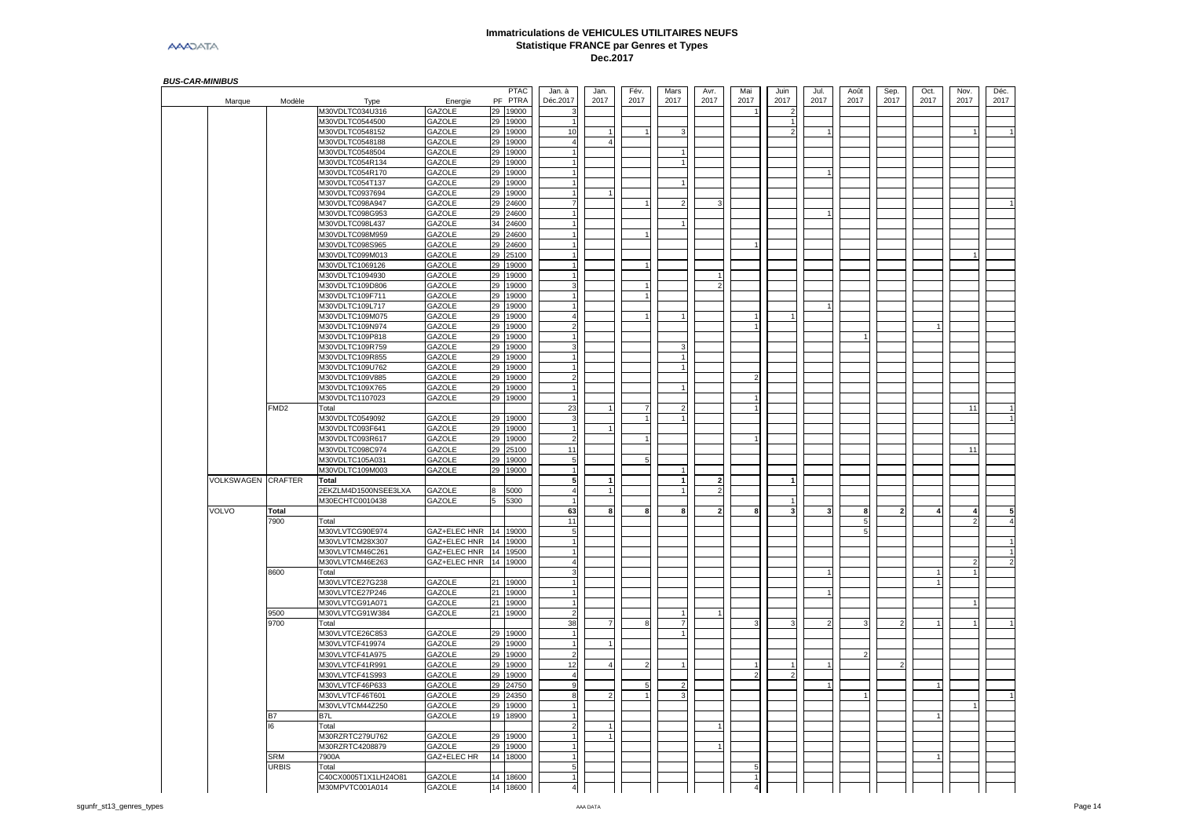# **Immatriculations de VEHICULES UTILITAIRES NEUFS Statistique FRANCE par Genres et Types Dec.2017**

|                    |                  |                                         |                       |    | PTAC              | Jan, à                 | Jan.           | Fév.<br>2017 | Mars                 | Avr. | Mai<br>2017    | Juin | Jul. | Août<br>2017 | Sep.<br>2017 | Oct. | Nov.<br>2017  | Déc. |
|--------------------|------------------|-----------------------------------------|-----------------------|----|-------------------|------------------------|----------------|--------------|----------------------|------|----------------|------|------|--------------|--------------|------|---------------|------|
| Marque             | Modèle           | Type                                    | Energie               | PF | PTRA              | Déc.2017               | 2017           |              | 2017                 | 2017 |                | 2017 | 2017 |              |              | 2017 |               | 2017 |
|                    |                  | M30VDLTC034U316                         | GAZOLE                |    | 29 19000          |                        |                |              |                      |      |                |      |      |              |              |      |               |      |
|                    |                  | M30VDLTC0544500                         | GAZOLE                | 29 | 19000             |                        |                |              |                      |      |                |      |      |              |              |      |               |      |
|                    |                  | M30VDLTC0548152                         | GAZOLE                | 29 | 19000             | 10                     |                |              |                      |      |                |      |      |              |              |      |               |      |
|                    |                  | M30VDLTC0548188                         | GAZOLE                | 29 | 19000             | $\boldsymbol{\Lambda}$ | $\overline{a}$ |              |                      |      |                |      |      |              |              |      |               |      |
|                    |                  | M30VDLTC0548504                         | GAZOLE                | 29 | 19000             |                        |                |              |                      |      |                |      |      |              |              |      |               |      |
|                    |                  | M30VDLTC054R134                         | GAZOLE                | 29 | 19000             |                        |                |              |                      |      |                |      |      |              |              |      |               |      |
|                    |                  | M30VDLTC054R170                         | GAZOLE                |    | 29 19000          |                        |                |              |                      |      |                |      |      |              |              |      |               |      |
|                    |                  | M30VDLTC054T137                         | GAZOLE                | 29 | 19000             |                        |                |              |                      |      |                |      |      |              |              |      |               |      |
|                    |                  | M30VDLTC0937694                         | <b>GAZOLE</b>         | 29 | 19000             |                        |                |              |                      |      |                |      |      |              |              |      |               |      |
|                    |                  | M30VDLTC098A947                         | GAZOLE                | 29 | 24600             |                        |                |              |                      |      |                |      |      |              |              |      |               |      |
|                    |                  | M30VDLTC098G953                         | GAZOLE                | 29 | 24600             |                        |                |              |                      |      |                |      |      |              |              |      |               |      |
|                    |                  | M30VDLTC098L437                         | GAZOLE                | 34 | 24600             |                        |                |              |                      |      |                |      |      |              |              |      |               |      |
|                    |                  | M30VDLTC098M959                         | GAZOLE                | 29 | 24600             |                        |                |              |                      |      |                |      |      |              |              |      |               |      |
|                    |                  | M30VDLTC098S965                         | GAZOLE                | 29 | 24600             |                        |                |              |                      |      |                |      |      |              |              |      |               |      |
|                    |                  | M30VDLTC099M013                         | GAZOLE                | 29 | 25100             |                        |                |              |                      |      |                |      |      |              |              |      |               |      |
|                    |                  | M30VDLTC1069126                         | GAZOLE                |    | 29 19000          |                        |                |              |                      |      |                |      |      |              |              |      |               |      |
|                    |                  | M30VDLTC1094930                         | GAZOLE                | 29 | 19000             |                        |                |              |                      |      |                |      |      |              |              |      |               |      |
|                    |                  | M30VDLTC109D806                         | GAZOLE                | 29 | 19000             |                        |                |              |                      |      |                |      |      |              |              |      |               |      |
|                    |                  | M30VDLTC109F711                         | GAZOLE                | 29 | 19000             |                        |                |              |                      |      |                |      |      |              |              |      |               |      |
|                    |                  | M30VDLTC109L717                         | GAZOLE                | 29 | 19000             |                        |                |              |                      |      |                |      |      |              |              |      |               |      |
|                    |                  | M30VDLTC109M075                         | GAZOLE                | 29 | 19000             | $\boldsymbol{\Lambda}$ |                |              |                      |      |                |      |      |              |              |      |               |      |
|                    |                  | M30VDLTC109N974                         | GAZOLE                | 29 | 19000             |                        |                |              |                      |      |                |      |      |              |              |      |               |      |
|                    |                  |                                         |                       | 29 |                   |                        |                |              |                      |      |                |      |      |              |              |      |               |      |
|                    |                  | M30VDLTC109P818                         | GAZOLE                |    | 19000             |                        |                |              |                      |      |                |      |      |              |              |      |               |      |
|                    |                  | M30VDLTC109R759                         | <b>GAZOLE</b>         |    | 29 19000          |                        |                |              |                      |      |                |      |      |              |              |      |               |      |
|                    |                  | M30VDLTC109R855                         | GAZOLE                | 29 | 19000             |                        |                |              |                      |      |                |      |      |              |              |      |               |      |
|                    |                  | M30VDLTC109U762                         | GAZOLE                | 29 | 19000             |                        |                |              |                      |      |                |      |      |              |              |      |               |      |
|                    |                  | M30VDLTC109V885                         | GAZOLE                | 29 | 19000             |                        |                |              |                      |      |                |      |      |              |              |      |               |      |
|                    |                  | M30VDLTC109X765                         | GAZOLE                | 29 | 19000             |                        |                |              |                      |      |                |      |      |              |              |      |               |      |
|                    |                  | M30VDLTC1107023                         | GAZOLE                | 29 | 19000             |                        |                |              |                      |      |                |      |      |              |              |      |               |      |
|                    | FMD <sub>2</sub> | Total                                   |                       |    |                   | 23                     |                |              |                      |      |                |      |      |              |              |      | 11            |      |
|                    |                  | M30VDLTC0549092                         | GAZOLE                | 29 | 19000             |                        |                |              |                      |      |                |      |      |              |              |      |               |      |
|                    |                  | M30VDLTC093F641                         | <b>GAZOLE</b>         | 29 | 19000             |                        |                |              |                      |      |                |      |      |              |              |      |               |      |
|                    |                  | M30VDLTC093R617                         | GAZOLE                |    | 29 19000          |                        |                |              |                      |      |                |      |      |              |              |      |               |      |
|                    |                  | M30VDLTC098C974                         | GAZOLE                | 29 | 25100             | 11                     |                |              |                      |      |                |      |      |              |              |      | 11            |      |
|                    |                  | M30VDLTC105A031                         | GAZOLE                |    | 29 19000          | 5                      |                |              |                      |      |                |      |      |              |              |      |               |      |
|                    |                  | M30VDLTC109M003                         | GAZOLE                |    | 29 19000          | $\mathbf{1}$           |                |              |                      |      |                |      |      |              |              |      |               |      |
| VOLKSWAGEN CRAFTER |                  | Total                                   |                       |    |                   | 5                      | 1              |              | $\blacktriangleleft$ |      |                |      |      |              |              |      |               |      |
|                    |                  | 2EKZLM4D1500NSEE3LXA                    | GAZOLE                |    | 5000              |                        | $\overline{1}$ |              |                      |      |                |      |      |              |              |      |               |      |
|                    |                  | M30ECHTC0010438                         | GAZOLE                |    | 5300              |                        |                |              |                      |      |                |      |      |              |              |      |               |      |
| <b>VOLVO</b>       | Total            |                                         |                       |    |                   | 63                     | 8              |              | 8                    |      |                |      |      | я            |              |      |               |      |
|                    | 7900             | Total                                   |                       |    |                   | 11                     |                |              |                      |      |                |      |      |              |              |      | $\mathcal{P}$ |      |
|                    |                  | M30VLVTCG90E974                         | GAZ+ELEC HNR 14       |    | 19000             | 5                      |                |              |                      |      |                |      |      |              |              |      |               |      |
|                    |                  | M30VLVTCM28X307                         | GAZ+ELEC HNR          | 14 | 19000             |                        |                |              |                      |      |                |      |      |              |              |      |               |      |
|                    |                  | M30VLVTCM46C261                         | GAZ+ELEC HNR 14       |    | 19500             |                        |                |              |                      |      |                |      |      |              |              |      |               |      |
|                    |                  | M30VLVTCM46E263                         | GAZ+ELEC HNR 14 19000 |    |                   | $\overline{a}$         |                |              |                      |      |                |      |      |              |              |      | $\mathcal{P}$ |      |
|                    |                  |                                         |                       |    |                   |                        |                |              |                      |      |                |      |      |              |              |      |               |      |
|                    | 8600             | Total<br>M30VLVTCE27G238                | GAZOLE                | 21 | 19000             |                        |                |              |                      |      |                |      |      |              |              |      |               |      |
|                    |                  | M30VLVTCE27P246                         | GAZOLE                | 21 | 19000             |                        |                |              |                      |      |                |      |      |              |              |      |               |      |
|                    |                  |                                         |                       | 21 | 19000             |                        |                |              |                      |      |                |      |      |              |              |      |               |      |
|                    |                  |                                         |                       |    |                   |                        |                |              |                      |      |                |      |      |              |              |      |               |      |
|                    |                  | M30VLVTCG91A071                         | GAZOLE                |    |                   |                        |                |              |                      |      |                |      |      |              |              |      |               |      |
|                    | 9500             | M30VLVTCG91W384                         | GAZOLE                |    | 21 19000          |                        |                |              |                      |      |                |      |      |              |              |      |               |      |
|                    | 9700             | Total                                   |                       |    |                   | 38                     |                |              |                      |      |                |      |      |              |              |      |               |      |
|                    |                  | M30VLVTCE26C853                         | <b>GAZOLE</b>         | 29 | 19000             |                        |                |              |                      |      |                |      |      |              |              |      |               |      |
|                    |                  | M30VLVTCF419974                         | GAZOLE                | 29 | 19000             |                        |                |              |                      |      |                |      |      |              |              |      |               |      |
|                    |                  | M30VLVTCF41A975                         | GAZOLE                | 29 | 19000             |                        |                |              |                      |      |                |      |      |              |              |      |               |      |
|                    |                  | M30VLVTCF41R991                         | GAZOLE                | 29 | 19000             | 12                     | $\overline{4}$ |              |                      |      |                |      |      |              |              |      |               |      |
|                    |                  | M30VLVTCF41S993                         | GAZOLE                |    | 29 19000          |                        |                |              |                      |      |                |      |      |              |              |      |               |      |
|                    |                  | M30VLVTCF46P633                         | GAZOLE                | 29 | 24750             | 9                      |                |              |                      |      |                |      |      |              |              |      |               |      |
|                    |                  | M30VLVTCF46T601                         | GAZOLE                | 29 | 24350             | 8                      |                |              |                      |      |                |      |      |              |              |      |               |      |
|                    |                  | M30VLVTCM44Z250                         | GAZOLE                |    | 29 19000          |                        |                |              |                      |      |                |      |      |              |              |      |               |      |
|                    | R7               | B7L                                     | GAZOLE                | 19 | 18900             |                        |                |              |                      |      |                |      |      |              |              |      |               |      |
|                    | 16               | Total                                   |                       |    |                   |                        | $\mathbf{1}$   |              |                      |      |                |      |      |              |              |      |               |      |
|                    |                  | M30RZRTC279U762                         | GAZOLE                | 29 | 19000             |                        | $\overline{1}$ |              |                      |      |                |      |      |              |              |      |               |      |
|                    |                  |                                         |                       |    |                   |                        |                |              |                      |      |                |      |      |              |              |      |               |      |
|                    |                  | M30RZRTC4208879                         | GAZOLE                | 29 | 19000             |                        |                |              |                      |      |                |      |      |              |              |      |               |      |
|                    | SRM              | 7900A                                   | GAZ+ELEC HR           |    | 14 18000          |                        |                |              |                      |      |                |      |      |              |              |      |               |      |
|                    | <b>URBIS</b>     | Total                                   |                       |    |                   |                        |                |              |                      |      |                |      |      |              |              |      |               |      |
|                    |                  | C40CX0005T1X1LH24O81<br>M30MPVTC001A014 | GAZOLE<br>GAZOLE      | 14 | 18600<br>14 18600 | $\overline{4}$         |                |              |                      |      | $\overline{4}$ |      |      |              |              |      |               |      |